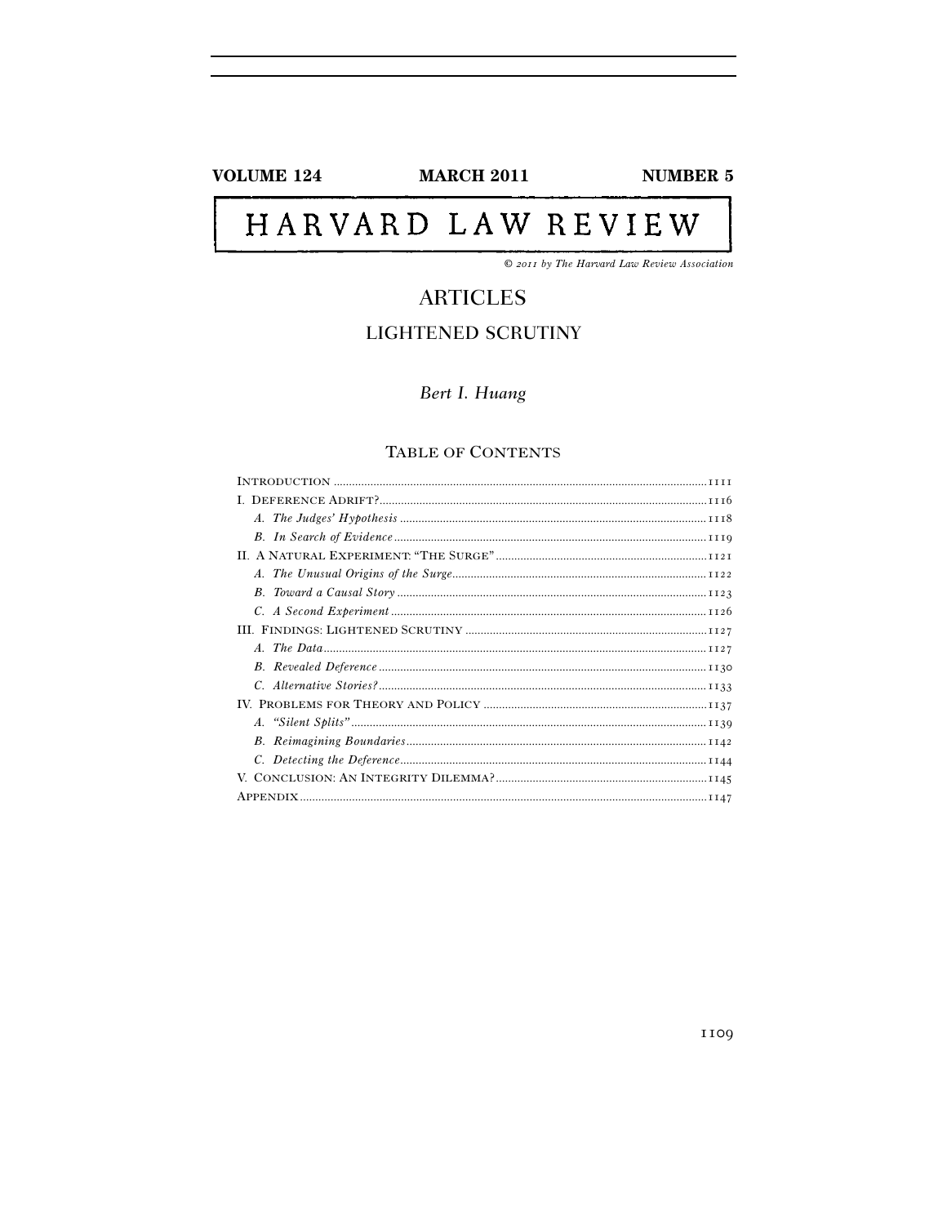# **VOLUME 124**

**MARCH 2011** 

**NUMBER 5** 

# HARVARD LAW REVIEW

© 2011 by The Harvard Law Review Association

# **ARTICLES**

# **LIGHTENED SCRUTINY**

Bert I. Huang

# TABLE OF CONTENTS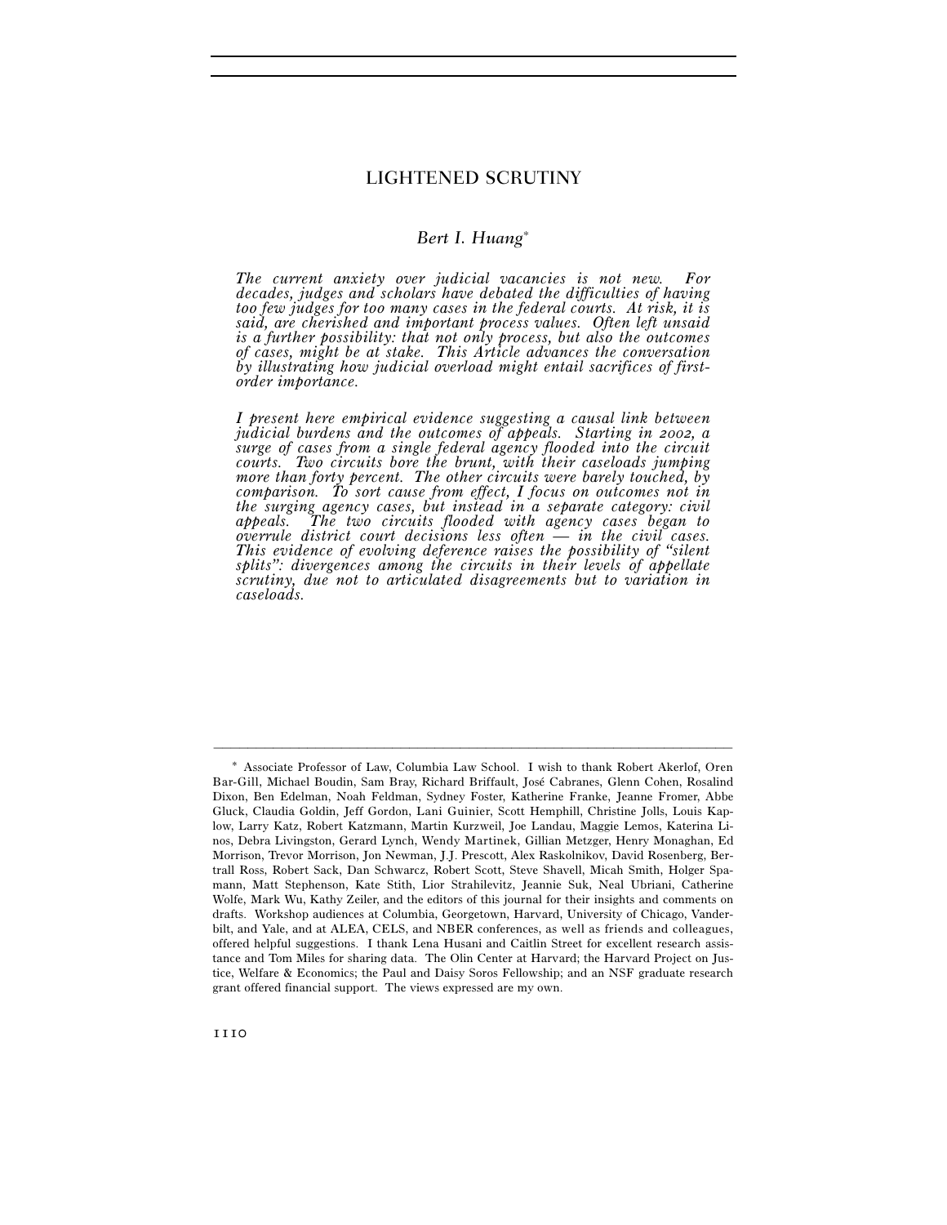# LIGHTENED SCRUTINY

# *Bert I. Huang*<sup>∗</sup>

*The current anxiety over judicial vacancies is not new. For decades, judges and scholars have debated the difficulties of having too few judges for too many cases in the federal courts. At risk, it is said, are cherished and important process values. Often left unsaid is a further possibility: that not only process, but also the outcomes of cases, might be at stake. This Article advances the conversation by illustrating how judicial overload might entail sacrifices of firstorder importance.* 

*I present here empirical evidence suggesting a causal link between judicial burdens and the outcomes of appeals. Starting in 2002, a surge of cases from a single federal agency flooded into the circuit courts. Two circuits bore the brunt, with their caseloads jumping more than forty percent. The other circuits were barely touched, by comparison. To sort cause from effect, I focus on outcomes not in the surging agency cases, but instead in a separate category: civil appeals. The two circuits flooded with agency cases began to overrule district court decisions less often — in the civil cases. This evidence of evolving deference raises the possibility of "silent splits": divergences among the circuits in their levels of appellate scrutiny, due not to articulated disagreements but to variation in caseloads.* 

<sup>\*</sup> Associate Professor of Law, Columbia Law School. I wish to thank Robert Akerlof, Oren Bar-Gill, Michael Boudin, Sam Bray, Richard Briffault, José Cabranes, Glenn Cohen, Rosalind Dixon, Ben Edelman, Noah Feldman, Sydney Foster, Katherine Franke, Jeanne Fromer, Abbe Gluck, Claudia Goldin, Jeff Gordon, Lani Guinier, Scott Hemphill, Christine Jolls, Louis Kaplow, Larry Katz, Robert Katzmann, Martin Kurzweil, Joe Landau, Maggie Lemos, Katerina Linos, Debra Livingston, Gerard Lynch, Wendy Martinek, Gillian Metzger, Henry Monaghan, Ed Morrison, Trevor Morrison, Jon Newman, J.J. Prescott, Alex Raskolnikov, David Rosenberg, Bertrall Ross, Robert Sack, Dan Schwarcz, Robert Scott, Steve Shavell, Micah Smith, Holger Spamann, Matt Stephenson, Kate Stith, Lior Strahilevitz, Jeannie Suk, Neal Ubriani, Catherine Wolfe, Mark Wu, Kathy Zeiler, and the editors of this journal for their insights and comments on drafts. Workshop audiences at Columbia, Georgetown, Harvard, University of Chicago, Vanderbilt, and Yale, and at ALEA, CELS, and NBER conferences, as well as friends and colleagues, offered helpful suggestions. I thank Lena Husani and Caitlin Street for excellent research assistance and Tom Miles for sharing data. The Olin Center at Harvard; the Harvard Project on Justice, Welfare & Economics; the Paul and Daisy Soros Fellowship; and an NSF graduate research grant offered financial support. The views expressed are my own.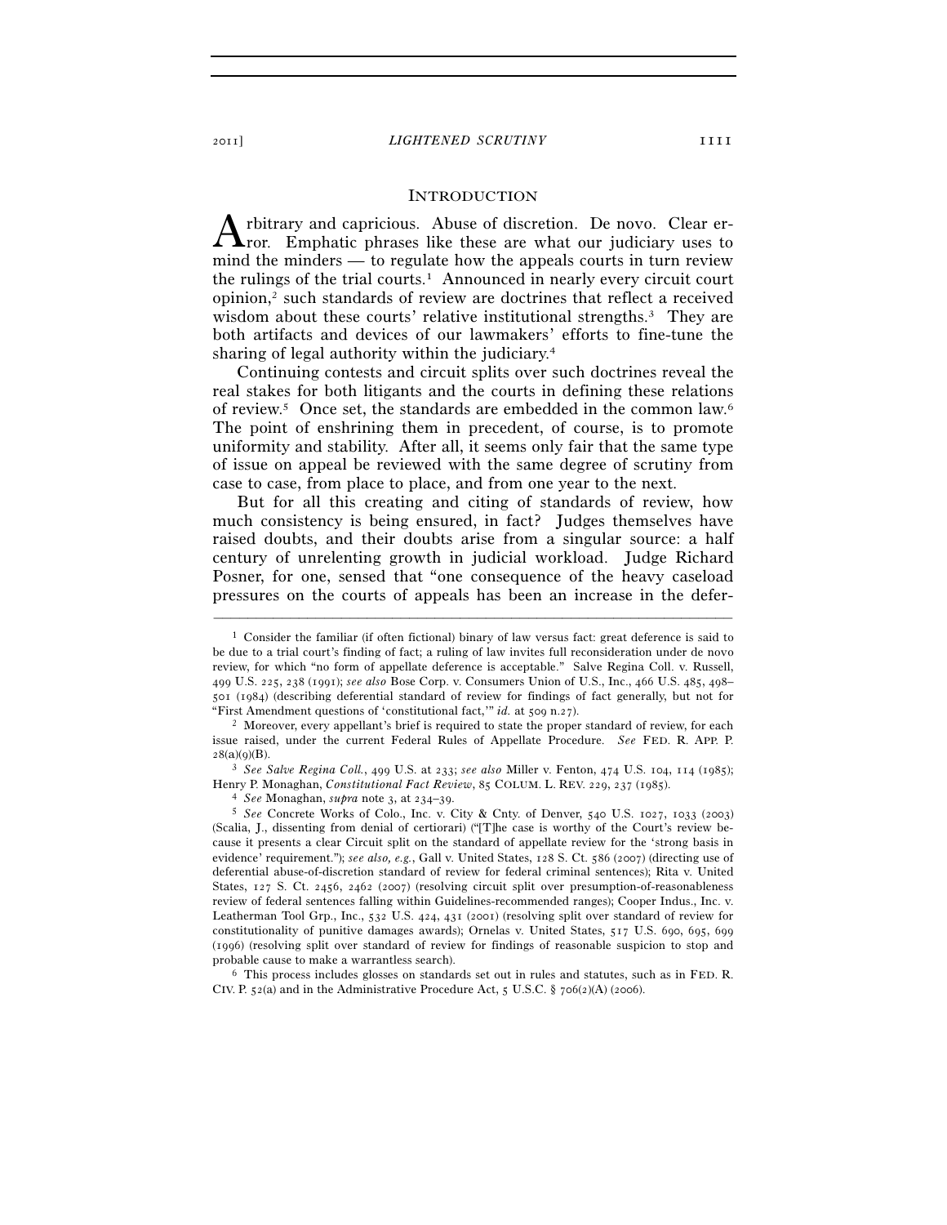#### INTRODUCTION

rbitrary and capricious. Abuse of discretion. De novo. Clear error. Emphatic phrases like these are what our judiciary uses to mind the minders — to regulate how the appeals courts in turn review the rulings of the trial courts.<sup>1</sup> Announced in nearly every circuit court opinion,2 such standards of review are doctrines that reflect a received wisdom about these courts' relative institutional strengths.<sup>3</sup> They are both artifacts and devices of our lawmakers' efforts to fine-tune the sharing of legal authority within the judiciary.4 A

Continuing contests and circuit splits over such doctrines reveal the real stakes for both litigants and the courts in defining these relations of review.5 Once set, the standards are embedded in the common law.6 The point of enshrining them in precedent, of course, is to promote uniformity and stability. After all, it seems only fair that the same type of issue on appeal be reviewed with the same degree of scrutiny from case to case, from place to place, and from one year to the next.

But for all this creating and citing of standards of review, how much consistency is being ensured, in fact? Judges themselves have raised doubts, and their doubts arise from a singular source: a half century of unrelenting growth in judicial workload. Judge Richard Posner, for one, sensed that "one consequence of the heavy caseload pressures on the courts of appeals has been an increase in the defer-

–––––––––––––––––––––––––––––––––––––––––––––––––––––––––––––

<sup>28</sup>(a)(9)(B). 3 *See Salve Regina Coll.*, 499 U.S. at 233; *see also* Miller v. Fenton, 474 U.S. 104, 114 (1985);

 $6$  This process includes glosses on standards set out in rules and statutes, such as in FED. R. CIV. P. 52(a) and in the Administrative Procedure Act, 5 U.S.C. § 706(2)(A) (2006).

<sup>1</sup> Consider the familiar (if often fictional) binary of law versus fact: great deference is said to be due to a trial court's finding of fact; a ruling of law invites full reconsideration under de novo review, for which "no form of appellate deference is acceptable." Salve Regina Coll. v. Russell, 499 U.S. 225, 238 (1991); *see also* Bose Corp. v. Consumers Union of U.S., Inc., 466 U.S. 485, 498– 501 (1984) (describing deferential standard of review for findings of fact generally, but not for "First Amendment questions of 'constitutional fact,'" *id.* at 509 n.27). 2 Moreover, every appellant's brief is required to state the proper standard of review, for each

issue raised, under the current Federal Rules of Appellate Procedure. *See* FED. R. APP. P.

<sup>&</sup>lt;sup>4</sup> See Monaghan, supra note 3, at  $234-39$ .<br><sup>5</sup> See Concrete Works of Colo., Inc. v. City & Cnty. of Denver, 540 U.S. 1027, 1033 (2003) (Scalia, J., dissenting from denial of certiorari) ("[T]he case is worthy of the Court's review because it presents a clear Circuit split on the standard of appellate review for the 'strong basis in evidence' requirement."); *see also, e.g.*, Gall v. United States, 128 S. Ct. 586 (2007) (directing use of deferential abuse-of-discretion standard of review for federal criminal sentences); Rita v. United States, 127 S. Ct. 2456, 2462 (2007) (resolving circuit split over presumption-of-reasonableness review of federal sentences falling within Guidelines-recommended ranges); Cooper Indus., Inc. v. Leatherman Tool Grp., Inc., 532 U.S. 424, 431 (2001) (resolving split over standard of review for constitutionality of punitive damages awards); Ornelas v. United States, 517 U.S. 690, 695, 699 (1996) (resolving split over standard of review for findings of reasonable suspicion to stop and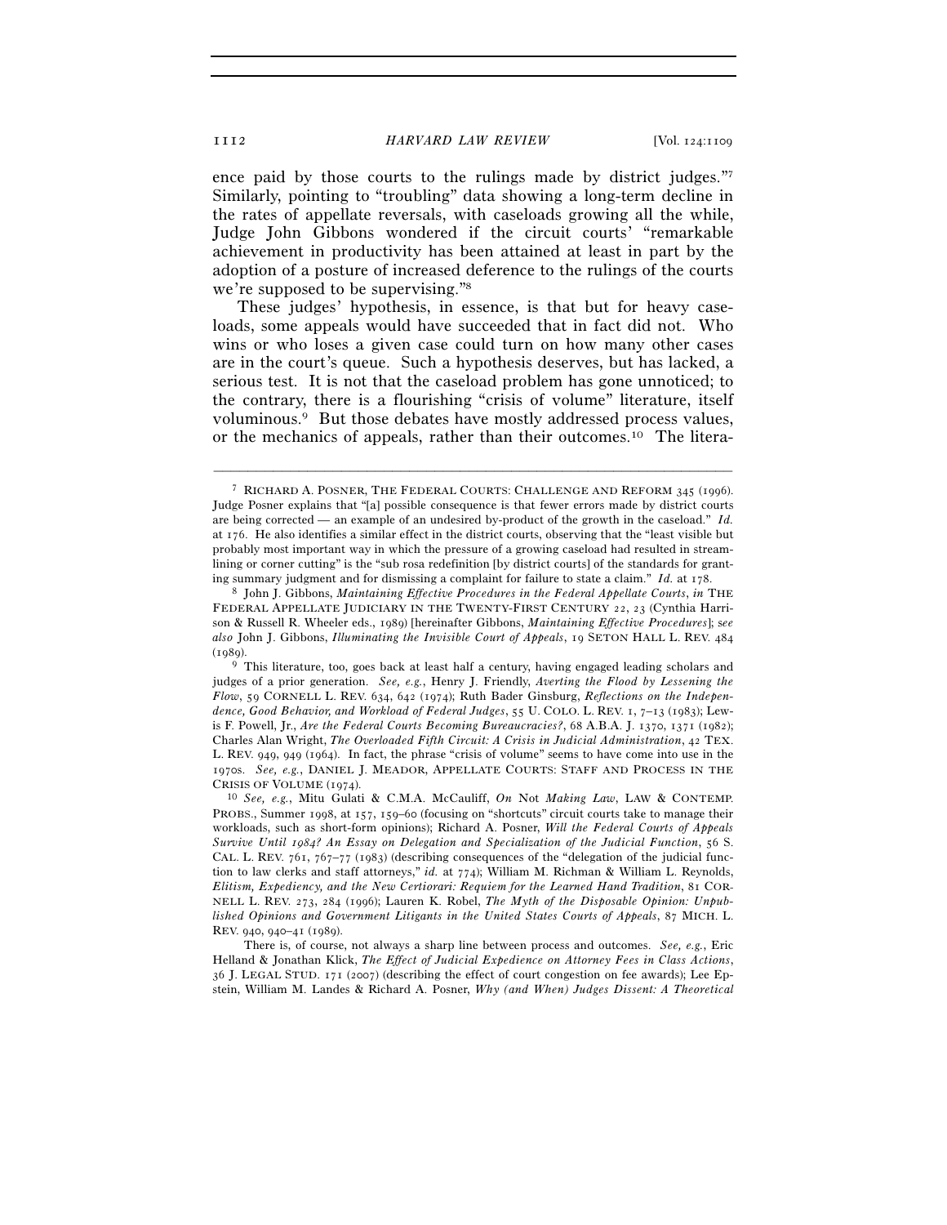ence paid by those courts to the rulings made by district judges."7 Similarly, pointing to "troubling" data showing a long-term decline in the rates of appellate reversals, with caseloads growing all the while, Judge John Gibbons wondered if the circuit courts' "remarkable achievement in productivity has been attained at least in part by the adoption of a posture of increased deference to the rulings of the courts we're supposed to be supervising."8

These judges' hypothesis, in essence, is that but for heavy caseloads, some appeals would have succeeded that in fact did not. Who wins or who loses a given case could turn on how many other cases are in the court's queue. Such a hypothesis deserves, but has lacked, a serious test. It is not that the caseload problem has gone unnoticed; to the contrary, there is a flourishing "crisis of volume" literature, itself voluminous.9 But those debates have mostly addressed process values, or the mechanics of appeals, rather than their outcomes.10 The litera-

–––––––––––––––––––––––––––––––––––––––––––––––––––––––––––––

<sup>9</sup> This literature, too, goes back at least half a century, having engaged leading scholars and judges of a prior generation. *See, e.g.*, Henry J. Friendly, *Averting the Flood by Lessening the Flow*, 59 CORNELL L. REV. 634, 642 (1974); Ruth Bader Ginsburg, *Reflections on the Independence, Good Behavior, and Workload of Federal Judges*, 55 U. COLO. L. REV. 1, 7–13 (1983); Lewis F. Powell, Jr., *Are the Federal Courts Becoming Bureaucracies?*, 68 A.B.A. J. 1370, 1371 (1982); Charles Alan Wright, *The Overloaded Fifth Circuit: A Crisis in Judicial Administration*, 42 TEX. L. REV. 949, 949 (1964). In fact, the phrase "crisis of volume" seems to have come into use in the 1970s. *See, e.g.*, DANIEL J. MEADOR, APPELLATE COURTS: STAFF AND PROCESS IN THE CRISIS OF VOLUME (1974). 10 *See, e.g.*, Mitu Gulati & C.M.A. McCauliff, *On* Not *Making Law*, LAW & CONTEMP.

<sup>7</sup> RICHARD A. POSNER, THE FEDERAL COURTS: CHALLENGE AND REFORM 345 (1996). Judge Posner explains that "[a] possible consequence is that fewer errors made by district courts are being corrected — an example of an undesired by-product of the growth in the caseload." *Id.* at 176. He also identifies a similar effect in the district courts, observing that the "least visible but probably most important way in which the pressure of a growing caseload had resulted in streamlining or corner cutting" is the "sub rosa redefinition [by district courts] of the standards for grant-

ing summary judgment and for dismissing a complaint for failure to state a claim." *Id.* at 178. 8 John J. Gibbons, *Maintaining Effective Procedures in the Federal Appellate Courts*, *in* THE FEDERAL APPELLATE JUDICIARY IN THE TWENTY-FIRST CENTURY 22, 23 (Cynthia Harrison & Russell R. Wheeler eds., 1989) [hereinafter Gibbons, *Maintaining Effective Procedures*]; s*ee also* John J. Gibbons, *Illuminating the Invisible Court of Appeals*, 19 SETON HALL L. REV. 484  $(1989)$ .

PROBS., Summer 1998, at 157, 159–60 (focusing on "shortcuts" circuit courts take to manage their workloads, such as short-form opinions); Richard A. Posner, *Will the Federal Courts of Appeals Survive Until 1984? An Essay on Delegation and Specialization of the Judicial Function*, 56 S. CAL. L. REV. 761, 767–77 (1983) (describing consequences of the "delegation of the judicial function to law clerks and staff attorneys," *id.* at 774); William M. Richman & William L. Reynolds, *Elitism, Expediency, and the New Certiorari: Requiem for the Learned Hand Tradition*, 81 COR-NELL L. REV. 273, 284 (1996); Lauren K. Robel, *The Myth of the Disposable Opinion: Unpublished Opinions and Government Litigants in the United States Courts of Appeals*, 87 MICH. L. REV. 940, 940–41 (1989).

There is, of course, not always a sharp line between process and outcomes. *See, e.g.*, Eric Helland & Jonathan Klick, *The Effect of Judicial Expedience on Attorney Fees in Class Actions*, 36 J. LEGAL STUD. 171 (2007) (describing the effect of court congestion on fee awards); Lee Epstein, William M. Landes & Richard A. Posner, *Why (and When) Judges Dissent: A Theoretical*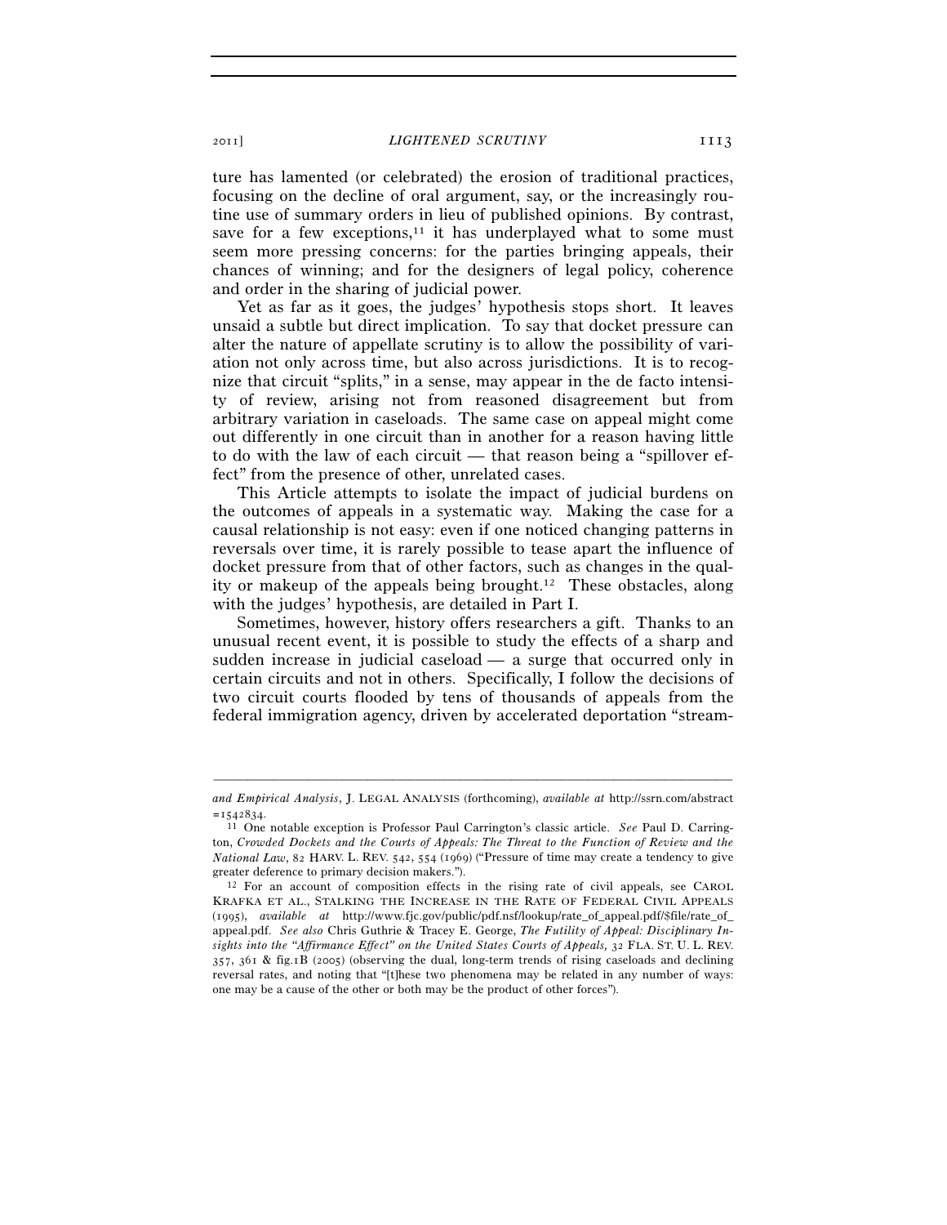2011] *LIGHTENED SCRUTINY* 1113

ture has lamented (or celebrated) the erosion of traditional practices, focusing on the decline of oral argument, say, or the increasingly routine use of summary orders in lieu of published opinions. By contrast, save for a few exceptions, $11$  it has underplayed what to some must seem more pressing concerns: for the parties bringing appeals, their chances of winning; and for the designers of legal policy, coherence and order in the sharing of judicial power.

Yet as far as it goes, the judges' hypothesis stops short. It leaves unsaid a subtle but direct implication. To say that docket pressure can alter the nature of appellate scrutiny is to allow the possibility of variation not only across time, but also across jurisdictions. It is to recognize that circuit "splits," in a sense, may appear in the de facto intensity of review, arising not from reasoned disagreement but from arbitrary variation in caseloads. The same case on appeal might come out differently in one circuit than in another for a reason having little to do with the law of each circuit — that reason being a "spillover effect" from the presence of other, unrelated cases.

This Article attempts to isolate the impact of judicial burdens on the outcomes of appeals in a systematic way. Making the case for a causal relationship is not easy: even if one noticed changing patterns in reversals over time, it is rarely possible to tease apart the influence of docket pressure from that of other factors, such as changes in the quality or makeup of the appeals being brought.12 These obstacles, along with the judges' hypothesis, are detailed in Part I.

Sometimes, however, history offers researchers a gift. Thanks to an unusual recent event, it is possible to study the effects of a sharp and sudden increase in judicial caseload — a surge that occurred only in certain circuits and not in others. Specifically, I follow the decisions of two circuit courts flooded by tens of thousands of appeals from the federal immigration agency, driven by accelerated deportation "stream-

<sup>–––––––––––––––––––––––––––––––––––––––––––––––––––––––––––––</sup> *and Empirical Analysis*, J. LEGAL ANALYSIS (forthcoming), *available at* http://ssrn.com/abstract <sup>=</sup>1542834. 11 One notable exception is Professor Paul Carrington's classic article. *See* Paul D. Carring-

ton, *Crowded Dockets and the Courts of Appeals: The Threat to the Function of Review and the National Law*, 82 HARV. L. REV. 542, 554 (1969) ("Pressure of time may create a tendency to give greater deference to primary decision makers.").<br><sup>12</sup> For an account of composition effects in the rising rate of civil appeals, see CAROL

KRAFKA ET AL., STALKING THE INCREASE IN THE RATE OF FEDERAL CIVIL APPEALS (1995), *available at* http://www.fjc.gov/public/pdf.nsf/lookup/rate\_of\_appeal.pdf/\$file/rate\_of\_ appeal.pdf. *See also* Chris Guthrie & Tracey E. George, *The Futility of Appeal: Disciplinary Insights into the "Affirmance Effect" on the United States Courts of Appeals,* 32 FLA. ST. U. L. REV. 357, 361 & fig.1B (2005) (observing the dual, long-term trends of rising caseloads and declining reversal rates, and noting that "[t]hese two phenomena may be related in any number of ways: one may be a cause of the other or both may be the product of other forces").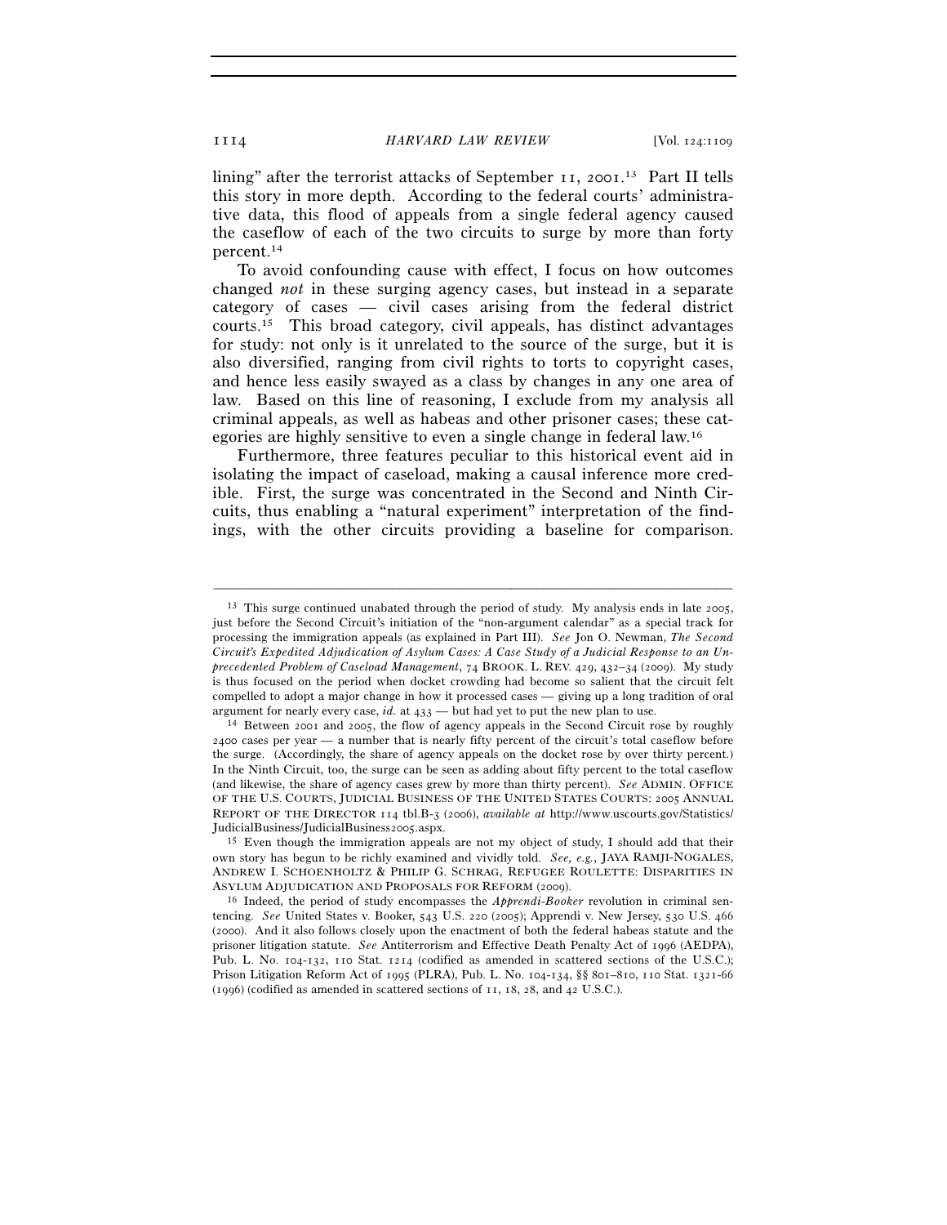lining" after the terrorist attacks of September 11, 2001. 13 Part II tells this story in more depth. According to the federal courts' administrative data, this flood of appeals from a single federal agency caused the caseflow of each of the two circuits to surge by more than forty percent.14

To avoid confounding cause with effect, I focus on how outcomes changed *not* in these surging agency cases, but instead in a separate category of cases — civil cases arising from the federal district courts.15 This broad category, civil appeals, has distinct advantages for study: not only is it unrelated to the source of the surge, but it is also diversified, ranging from civil rights to torts to copyright cases, and hence less easily swayed as a class by changes in any one area of law. Based on this line of reasoning, I exclude from my analysis all criminal appeals, as well as habeas and other prisoner cases; these categories are highly sensitive to even a single change in federal law.16

Furthermore, three features peculiar to this historical event aid in isolating the impact of caseload, making a causal inference more credible. First, the surge was concentrated in the Second and Ninth Circuits, thus enabling a "natural experiment" interpretation of the findings, with the other circuits providing a baseline for comparison.

<sup>&</sup>lt;sup>13</sup> This surge continued unabated through the period of study. My analysis ends in late 2005, just before the Second Circuit's initiation of the "non-argument calendar" as a special track for processing the immigration appeals (as explained in Part III). *See* Jon O. Newman, *The Second Circuit's Expedited Adjudication of Asylum Cases: A Case Study of a Judicial Response to an Unprecedented Problem of Caseload Management*, 74 BROOK. L. REV. 429, 432–34 (2009). My study is thus focused on the period when docket crowding had become so salient that the circuit felt compelled to adopt a major change in how it processed cases — giving up a long tradition of oral argument for nearly every case, *id.* at  $433$  — but had yet to put the new plan to use.<br><sup>14</sup> Between 2001 and 2005, the flow of agency appeals in the Second Circuit rose by roughly

<sup>2400</sup> cases per year — a number that is nearly fifty percent of the circuit's total caseflow before the surge. (Accordingly, the share of agency appeals on the docket rose by over thirty percent.) In the Ninth Circuit, too, the surge can be seen as adding about fifty percent to the total caseflow (and likewise, the share of agency cases grew by more than thirty percent). *See* ADMIN. OFFICE OF THE U.S. COURTS, JUDICIAL BUSINESS OF THE UNITED STATES COURTS: 2005 ANNUAL REPORT OF THE DIRECTOR 114 tbl.B-3 (2006), *available at* http://www.uscourts.gov/Statistics/ JudicialBusiness/JudicialBusiness2005.aspx. 15 Even though the immigration appeals are not my object of study, I should add that their

own story has begun to be richly examined and vividly told. *See, e.g.*, JAYA RAMJI-NOGALES, ANDREW I. SCHOENHOLTZ & PHILIP G. SCHRAG, REFUGEE ROULETTE: DISPARITIES IN ASYLUM ADJUDICATION AND PROPOSALS FOR REFORM (2009). 16 Indeed, the period of study encompasses the *Apprendi*-*Booker* revolution in criminal sen-

tencing. *See* United States v. Booker, 543 U.S. 220 (2005); Apprendi v. New Jersey, 530 U.S. 466 (2000). And it also follows closely upon the enactment of both the federal habeas statute and the prisoner litigation statute. *See* Antiterrorism and Effective Death Penalty Act of 1996 (AEDPA), Pub. L. No. 104-132, 110 Stat. 1214 (codified as amended in scattered sections of the U.S.C.); Prison Litigation Reform Act of 1995 (PLRA), Pub. L. No. 104-134, §§ 801–810, 110 Stat. 1321-66 (1996) (codified as amended in scattered sections of 11, 18, 28, and 42 U.S.C.).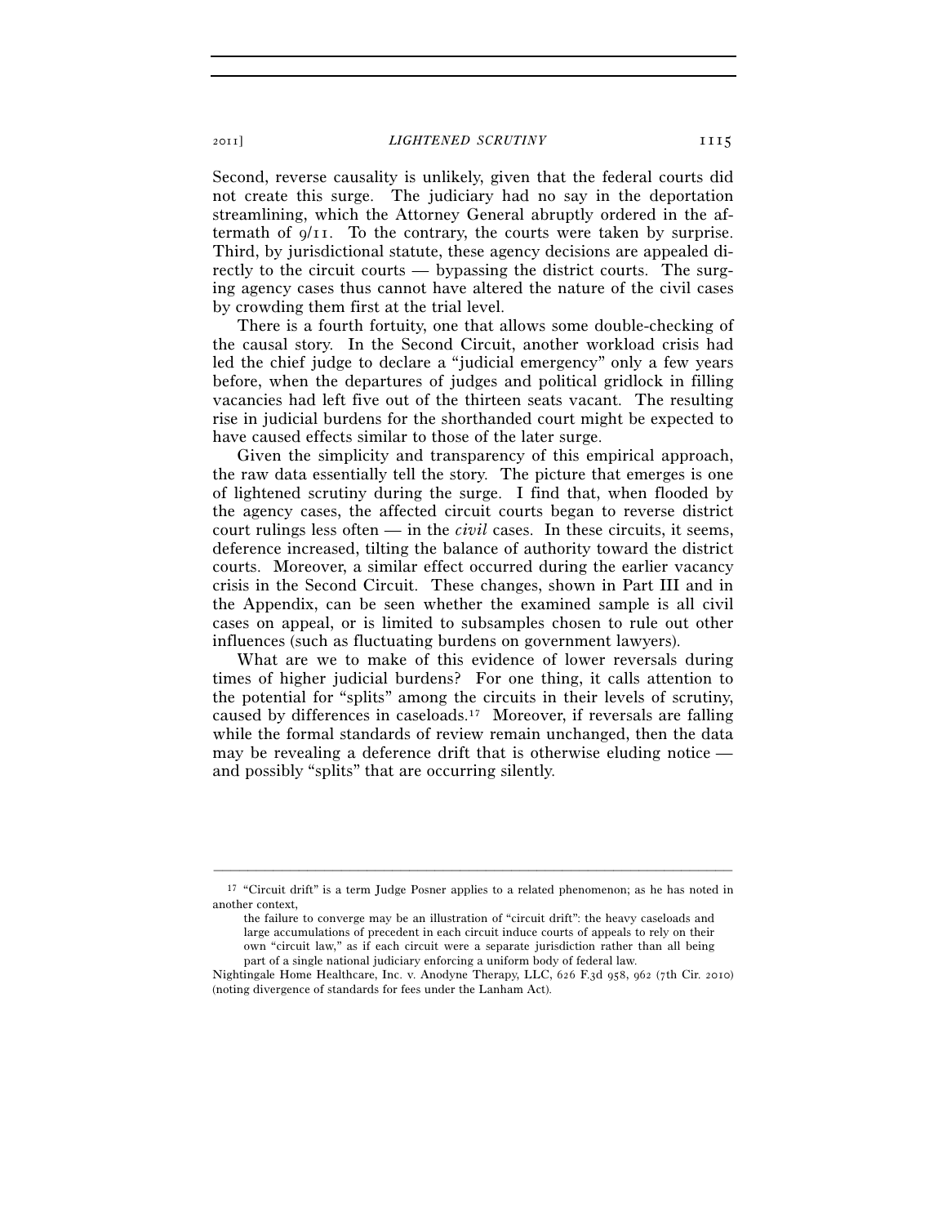2011] *LIGHTENED SCRUTINY* 1115

Second, reverse causality is unlikely, given that the federal courts did not create this surge. The judiciary had no say in the deportation streamlining, which the Attorney General abruptly ordered in the aftermath of  $q/I$ . To the contrary, the courts were taken by surprise. Third, by jurisdictional statute, these agency decisions are appealed directly to the circuit courts — bypassing the district courts. The surging agency cases thus cannot have altered the nature of the civil cases by crowding them first at the trial level.

There is a fourth fortuity, one that allows some double-checking of the causal story. In the Second Circuit, another workload crisis had led the chief judge to declare a "judicial emergency" only a few years before, when the departures of judges and political gridlock in filling vacancies had left five out of the thirteen seats vacant. The resulting rise in judicial burdens for the shorthanded court might be expected to have caused effects similar to those of the later surge.

Given the simplicity and transparency of this empirical approach, the raw data essentially tell the story. The picture that emerges is one of lightened scrutiny during the surge. I find that, when flooded by the agency cases, the affected circuit courts began to reverse district court rulings less often — in the *civil* cases. In these circuits, it seems, deference increased, tilting the balance of authority toward the district courts. Moreover, a similar effect occurred during the earlier vacancy crisis in the Second Circuit. These changes, shown in Part III and in the Appendix, can be seen whether the examined sample is all civil cases on appeal, or is limited to subsamples chosen to rule out other influences (such as fluctuating burdens on government lawyers).

What are we to make of this evidence of lower reversals during times of higher judicial burdens? For one thing, it calls attention to the potential for "splits" among the circuits in their levels of scrutiny, caused by differences in caseloads.17 Moreover, if reversals are falling while the formal standards of review remain unchanged, then the data may be revealing a deference drift that is otherwise eluding notice and possibly "splits" that are occurring silently.

<sup>–––––––––––––––––––––––––––––––––––––––––––––––––––––––––––––</sup> <sup>17</sup> "Circuit drift" is a term Judge Posner applies to a related phenomenon; as he has noted in another context,

the failure to converge may be an illustration of "circuit drift": the heavy caseloads and large accumulations of precedent in each circuit induce courts of appeals to rely on their own "circuit law," as if each circuit were a separate jurisdiction rather than all being part of a single national judiciary enforcing a uniform body of federal law.

Nightingale Home Healthcare, Inc. v. Anodyne Therapy, LLC, 626 F.3d 958, 962 (7th Cir. 2010) (noting divergence of standards for fees under the Lanham Act).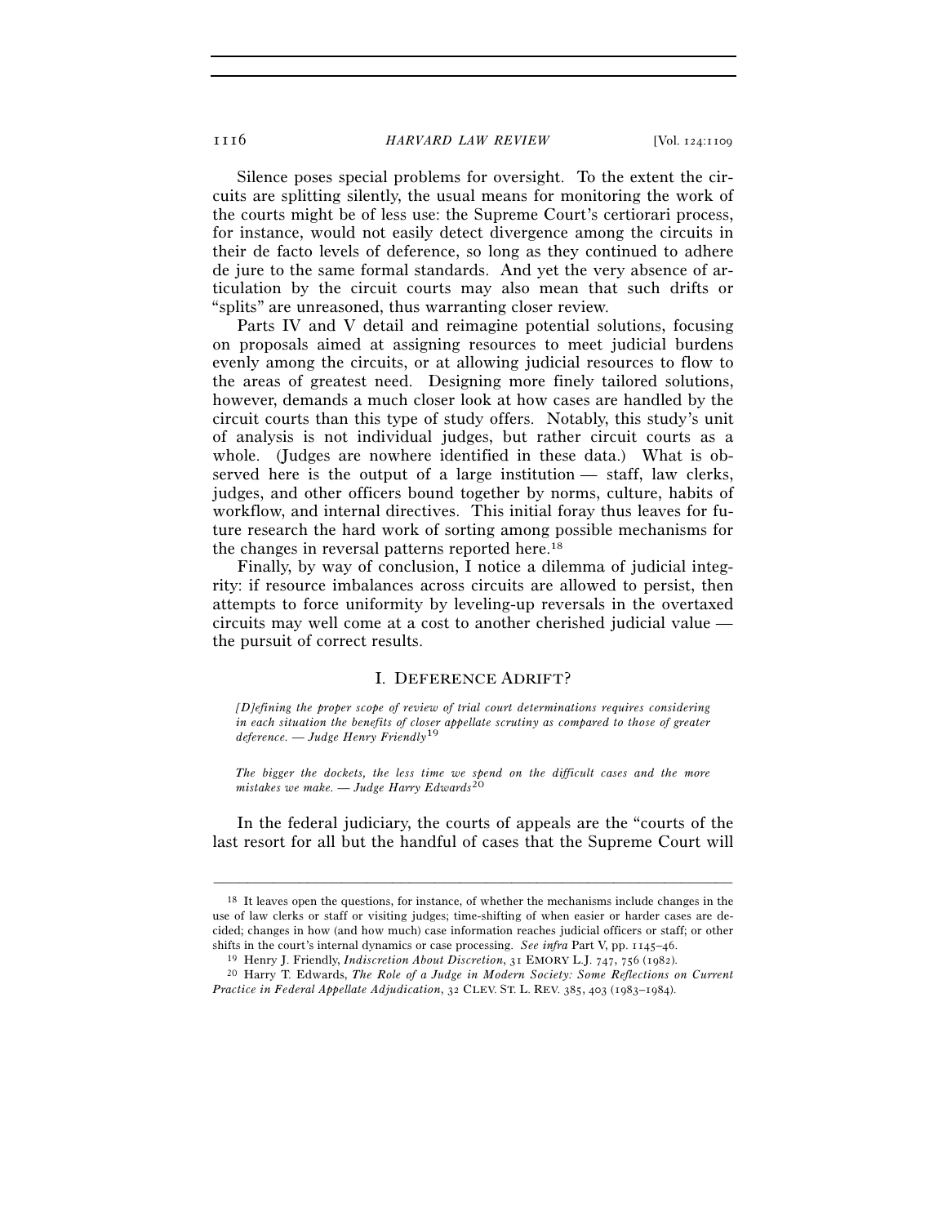1116 *HARVARD LAW REVIEW* [Vol. 124:1109

Silence poses special problems for oversight. To the extent the circuits are splitting silently, the usual means for monitoring the work of the courts might be of less use: the Supreme Court's certiorari process, for instance, would not easily detect divergence among the circuits in their de facto levels of deference, so long as they continued to adhere de jure to the same formal standards. And yet the very absence of articulation by the circuit courts may also mean that such drifts or "splits" are unreasoned, thus warranting closer review.

Parts IV and V detail and reimagine potential solutions, focusing on proposals aimed at assigning resources to meet judicial burdens evenly among the circuits, or at allowing judicial resources to flow to the areas of greatest need. Designing more finely tailored solutions, however, demands a much closer look at how cases are handled by the circuit courts than this type of study offers. Notably, this study's unit of analysis is not individual judges, but rather circuit courts as a whole. (Judges are nowhere identified in these data.) What is observed here is the output of a large institution — staff, law clerks, judges, and other officers bound together by norms, culture, habits of workflow, and internal directives. This initial foray thus leaves for future research the hard work of sorting among possible mechanisms for the changes in reversal patterns reported here.18

Finally, by way of conclusion, I notice a dilemma of judicial integrity: if resource imbalances across circuits are allowed to persist, then attempts to force uniformity by leveling-up reversals in the overtaxed circuits may well come at a cost to another cherished judicial value the pursuit of correct results.

#### I. DEFERENCE ADRIFT?

*[D]efining the proper scope of review of trial court determinations requires considering in each situation the benefits of closer appellate scrutiny as compared to those of greater deference. — Judge Henry Friendly*19

*The bigger the dockets, the less time we spend on the difficult cases and the more mistakes we make. — Judge Harry Edwards*20

In the federal judiciary, the courts of appeals are the "courts of the last resort for all but the handful of cases that the Supreme Court will

<sup>18</sup> It leaves open the questions, for instance, of whether the mechanisms include changes in the use of law clerks or staff or visiting judges; time-shifting of when easier or harder cases are decided; changes in how (and how much) case information reaches judicial officers or staff; or other shifts in the court's internal dynamics or case processing. See infra Part V, pp. 1145–46.<br><sup>19</sup> Henry J. Friendly, *Indiscretion About Discretion*, 31 EMORY L.J. 747, 756 (1982).<br><sup>20</sup> Harry T. Edwards, *The Role of a Judge* 

*Practice in Federal Appellate Adjudication*, 32 CLEV. ST. L. REV. 385, 403 (1983–1984).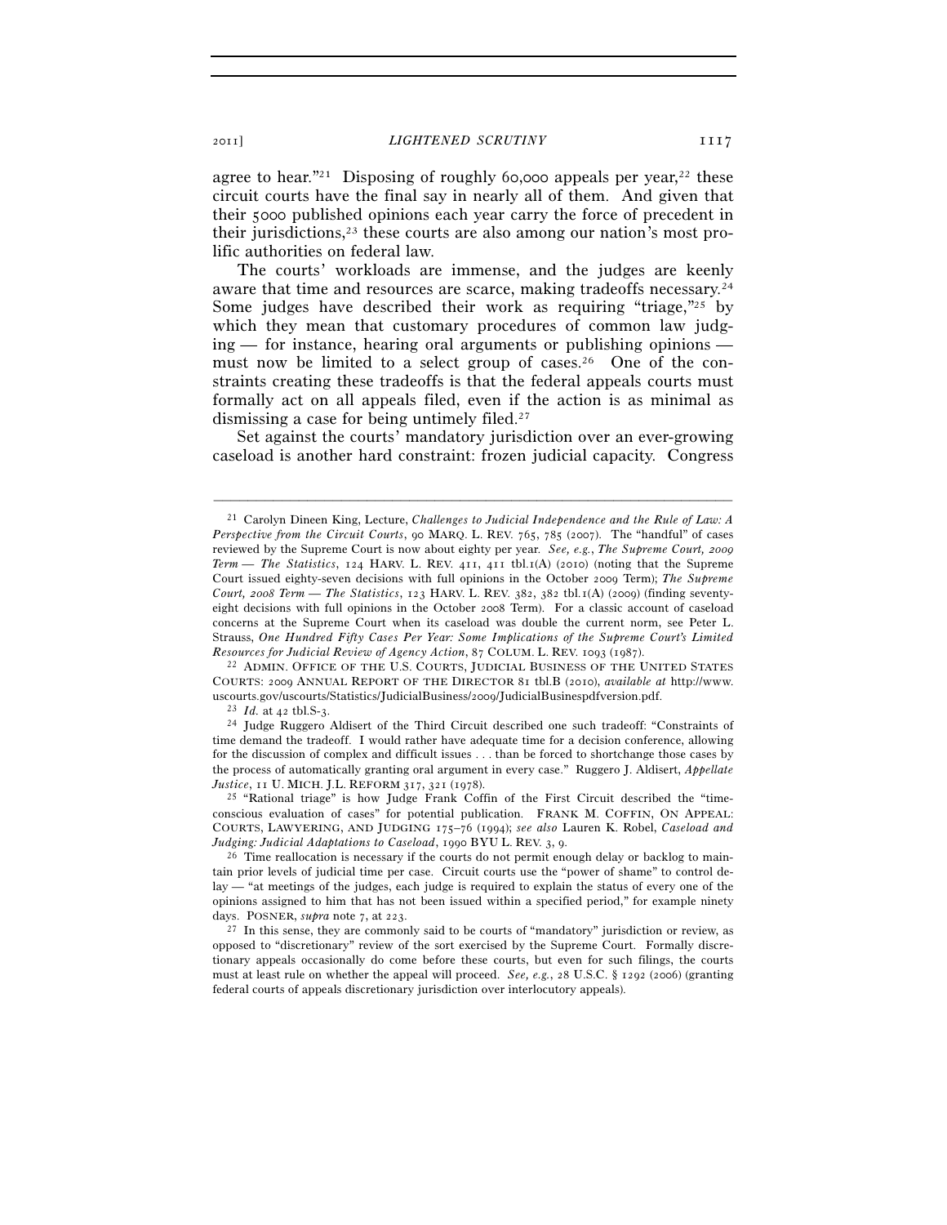agree to hear."<sup>21</sup> Disposing of roughly 60,000 appeals per year.<sup>22</sup> these circuit courts have the final say in nearly all of them. And given that their 5000 published opinions each year carry the force of precedent in their jurisdictions, $2<sup>3</sup>$  these courts are also among our nation's most prolific authorities on federal law.

The courts' workloads are immense, and the judges are keenly aware that time and resources are scarce, making tradeoffs necessary.24 Some judges have described their work as requiring "triage,"<sup>25</sup> by which they mean that customary procedures of common law judg $ing$  — for instance, hearing oral arguments or publishing opinions must now be limited to a select group of cases.26 One of the constraints creating these tradeoffs is that the federal appeals courts must formally act on all appeals filed, even if the action is as minimal as dismissing a case for being untimely filed.27

Set against the courts' mandatory jurisdiction over an ever-growing caseload is another hard constraint: frozen judicial capacity. Congress

–––––––––––––––––––––––––––––––––––––––––––––––––––––––––––––

COURTS: 2009 ANNUAL REPORT OF THE DIRECTOR 81 tbl.B (2010), *available at* http://www.

<sup>23</sup> *Id.* at 42 tbl.S-3. 24 Judge Ruggero Aldisert of the Third Circuit described one such tradeoff: "Constraints of time demand the tradeoff. I would rather have adequate time for a decision conference, allowing for the discussion of complex and difficult issues . . . than be forced to shortchange those cases by the process of automatically granting oral argument in every case." Ruggero J. Aldisert, *Appellate* 

<sup>25</sup> "Rational triage" is how Judge Frank Coffin of the First Circuit described the "timeconscious evaluation of cases" for potential publication. FRANK M. COFFIN, ON APPEAL: COURTS, LAWYERING, AND JUDGING 175–76 (1994); *see also* Lauren K. Robel, *Caseload and Judging: Judicial Adaptations to Caseload*, 1990 BYU L. REV. 3, 9.<br><sup>26</sup> Time reallocation is necessary if the courts do not permit enough delay or backlog to main-

tain prior levels of judicial time per case. Circuit courts use the "power of shame" to control delay — "at meetings of the judges, each judge is required to explain the status of every one of the opinions assigned to him that has not been issued within a specified period," for example ninety days. POSNER, *supra* note  $7$ , at  $223$ .

<sup>27</sup> In this sense, they are commonly said to be courts of "mandatory" jurisdiction or review, as opposed to "discretionary" review of the sort exercised by the Supreme Court. Formally discretionary appeals occasionally do come before these courts, but even for such filings, the courts must at least rule on whether the appeal will proceed. *See, e.g.*, 28 U.S.C. § 1292 (2006) (granting federal courts of appeals discretionary jurisdiction over interlocutory appeals).

<sup>21</sup> Carolyn Dineen King, Lecture, *Challenges to Judicial Independence and the Rule of Law: A Perspective from the Circuit Courts*, 90 MARQ. L. REV. 765, 785 (2007). The "handful" of cases reviewed by the Supreme Court is now about eighty per year. *See, e.g.*, *The Supreme Court, 2009 Term — The Statistics*, 124 HARV. L. REV. 411, 411 tbl.1(A) (2010) (noting that the Supreme Court issued eighty-seven decisions with full opinions in the October 2009 Term); *The Supreme Court, 2008 Term — The Statistics*, 123 HARV. L. REV. 382, 382 tbl.1(A) (2009) (finding seventyeight decisions with full opinions in the October 2008 Term). For a classic account of caseload concerns at the Supreme Court when its caseload was double the current norm, see Peter L. Strauss, *One Hundred Fifty Cases Per Year: Some Implications of the Supreme Court's Limited Resources for Judicial Review of Agency Action*, 87 COLUM. L. REV. 1093 (1987). 22 ADMIN. OFFICE OF THE U.S. COURTS, JUDICIAL BUSINESS OF THE UNITED STATES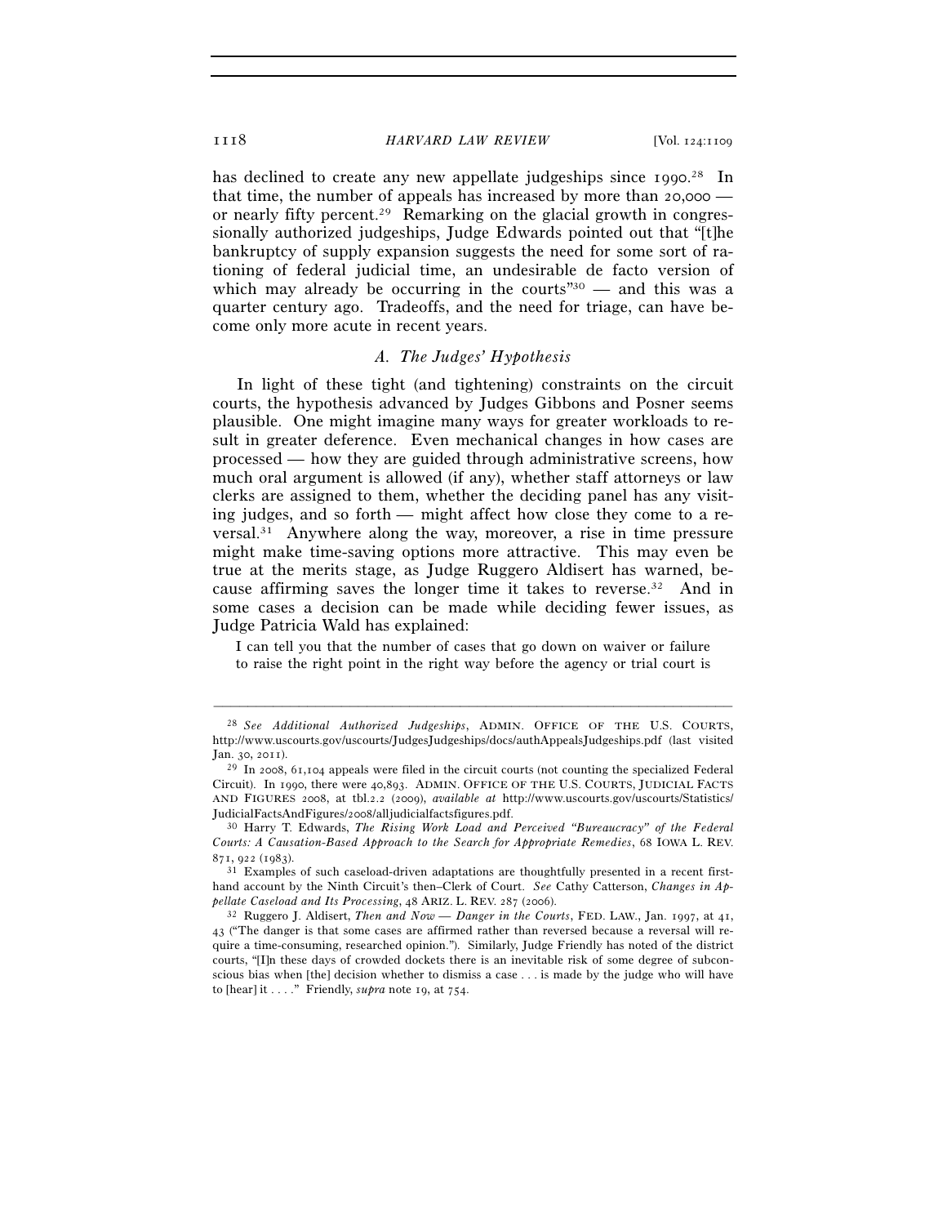#### 1118 *HARVARD LAW REVIEW* [Vol. 124:1109

has declined to create any new appellate judgeships since 1990.<sup>28</sup> In that time, the number of appeals has increased by more than 20,000 or nearly fifty percent.29 Remarking on the glacial growth in congressionally authorized judgeships, Judge Edwards pointed out that "[t]he bankruptcy of supply expansion suggests the need for some sort of rationing of federal judicial time, an undesirable de facto version of which may already be occurring in the courts" $30$  — and this was a quarter century ago. Tradeoffs, and the need for triage, can have become only more acute in recent years.

# *A. The Judges' Hypothesis*

In light of these tight (and tightening) constraints on the circuit courts, the hypothesis advanced by Judges Gibbons and Posner seems plausible. One might imagine many ways for greater workloads to result in greater deference. Even mechanical changes in how cases are processed — how they are guided through administrative screens, how much oral argument is allowed (if any), whether staff attorneys or law clerks are assigned to them, whether the deciding panel has any visiting judges, and so forth — might affect how close they come to a reversal.31 Anywhere along the way, moreover, a rise in time pressure might make time-saving options more attractive. This may even be true at the merits stage, as Judge Ruggero Aldisert has warned, because affirming saves the longer time it takes to reverse.32 And in some cases a decision can be made while deciding fewer issues, as Judge Patricia Wald has explained:

I can tell you that the number of cases that go down on waiver or failure to raise the right point in the right way before the agency or trial court is

<sup>28</sup> *See Additional Authorized Judgeships*, ADMIN. OFFICE OF THE U.S. COURTS, http://www.uscourts.gov/uscourts/JudgesJudgeships/docs/authAppealsJudgeships.pdf (last visited Jan. 30, 2011).<br><sup>29</sup> In 2008, 61,104 appeals were filed in the circuit courts (not counting the specialized Federal

Circuit). In 1990, there were 40,893. ADMIN. OFFICE OF THE U.S. COURTS, JUDICIAL FACTS AND FIGURES 2008, at tbl.2.2 (2009), *available at* http://www.uscourts.gov/uscourts/Statistics/ JudicialFactsAndFigures/2008/alljudicialfactsfigures.pdf. 30 Harry T. Edwards, *The Rising Work Load and Perceived "Bureaucracy" of the Federal* 

*Courts: A Causation-Based Approach to the Search for Appropriate Remedies*, 68 IOWA L. REV.  $871, 922$  (1983).<br><sup>31</sup> Examples of such caseload-driven adaptations are thoughtfully presented in a recent first-

hand account by the Ninth Circuit's then–Clerk of Court. *See* Cathy Catterson, *Changes in Appellate Caseload and Its Processing*, 48 ARIZ. L. REV. 287 (2006). 32 Ruggero J. Aldisert, *Then and Now — Danger in the Courts*, FED. LAW., Jan. 1997, at 41,

<sup>43</sup> ("The danger is that some cases are affirmed rather than reversed because a reversal will require a time-consuming, researched opinion."). Similarly, Judge Friendly has noted of the district courts, "[I]n these days of crowded dockets there is an inevitable risk of some degree of subconscious bias when [the] decision whether to dismiss a case . . . is made by the judge who will have to [hear] it . . . ." Friendly, *supra* note 19, at 754.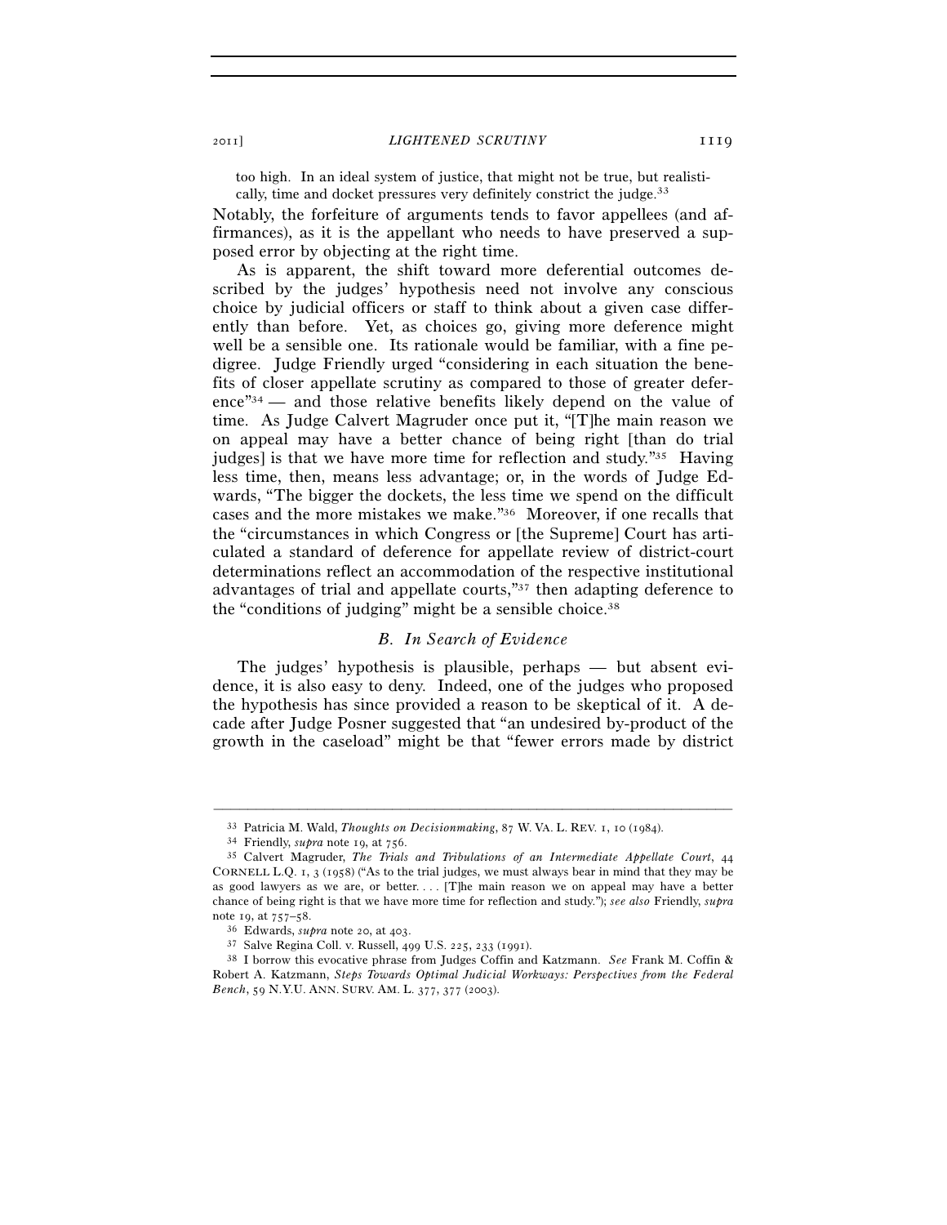too high. In an ideal system of justice, that might not be true, but realistically, time and docket pressures very definitely constrict the judge.<sup>33</sup>

Notably, the forfeiture of arguments tends to favor appellees (and affirmances), as it is the appellant who needs to have preserved a supposed error by objecting at the right time.

As is apparent, the shift toward more deferential outcomes described by the judges' hypothesis need not involve any conscious choice by judicial officers or staff to think about a given case differently than before. Yet, as choices go, giving more deference might well be a sensible one. Its rationale would be familiar, with a fine pedigree. Judge Friendly urged "considering in each situation the benefits of closer appellate scrutiny as compared to those of greater deference"34 — and those relative benefits likely depend on the value of time. As Judge Calvert Magruder once put it, "[T]he main reason we on appeal may have a better chance of being right [than do trial judges] is that we have more time for reflection and study."35 Having less time, then, means less advantage; or, in the words of Judge Edwards, "The bigger the dockets, the less time we spend on the difficult cases and the more mistakes we make."36 Moreover, if one recalls that the "circumstances in which Congress or [the Supreme] Court has articulated a standard of deference for appellate review of district-court determinations reflect an accommodation of the respective institutional advantages of trial and appellate courts,"37 then adapting deference to the "conditions of judging" might be a sensible choice.<sup>38</sup>

## *B. In Search of Evidence*

The judges' hypothesis is plausible, perhaps — but absent evidence, it is also easy to deny. Indeed, one of the judges who proposed the hypothesis has since provided a reason to be skeptical of it. A decade after Judge Posner suggested that "an undesired by-product of the growth in the caseload" might be that "fewer errors made by district

<sup>&</sup>lt;sup>33</sup> Patricia M. Wald, *Thoughts on Decisionmaking*, 87 W. VA. L. REV. 1, 10 (1984).<br><sup>34</sup> Friendly, *supra* note 19, at 756.<br><sup>35</sup> Calvert Magruder, *The Trials and Tribulations of an Intermediate Appellate Court*, 44 CORNELL L.Q. 1, 3 (1958) ("As to the trial judges, we must always bear in mind that they may be as good lawyers as we are, or better. . . . [T]he main reason we on appeal may have a better chance of being right is that we have more time for reflection and study."); *see also* Friendly, *supra*

<sup>&</sup>lt;sup>36</sup> Edwards, *supra* note 20, at 403.<br><sup>37</sup> Salve Regina Coll. v. Russell, 499 U.S. 225, 233 (1991).<br><sup>38</sup> I borrow this evocative phrase from Judges Coffin and Katzmann. *See* Frank M. Coffin & Robert A. Katzmann, *Steps Towards Optimal Judicial Workways: Perspectives from the Federal Bench*, 59 N.Y.U. ANN. SURV. AM. L. 377, 377 (2003).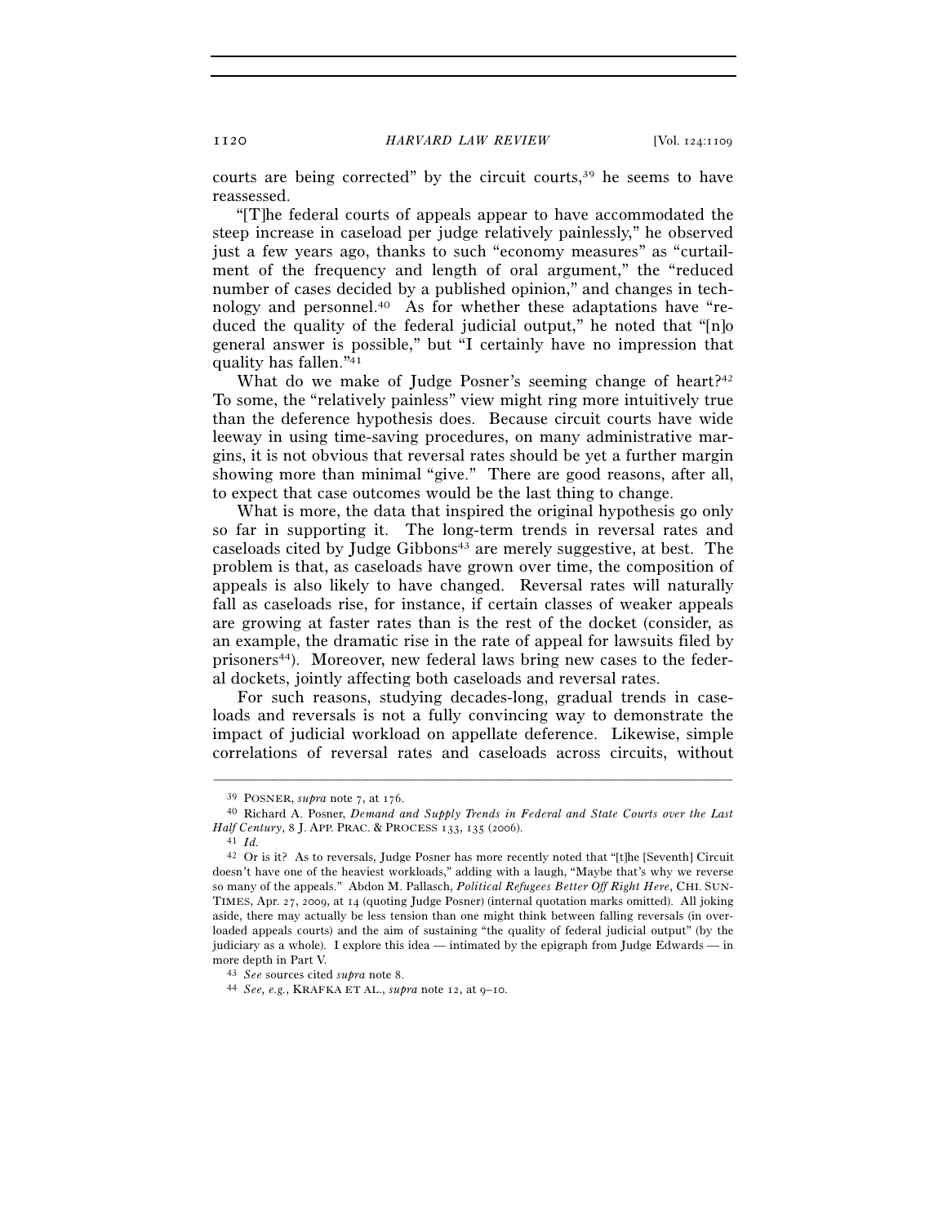courts are being corrected" by the circuit courts,<sup>39</sup> he seems to have reassessed.

"[T]he federal courts of appeals appear to have accommodated the steep increase in caseload per judge relatively painlessly," he observed just a few years ago, thanks to such "economy measures" as "curtailment of the frequency and length of oral argument," the "reduced number of cases decided by a published opinion," and changes in technology and personnel.40 As for whether these adaptations have "reduced the quality of the federal judicial output," he noted that "[n]o general answer is possible," but "I certainly have no impression that quality has fallen."41

What do we make of Judge Posner's seeming change of heart?<sup>42</sup> To some, the "relatively painless" view might ring more intuitively true than the deference hypothesis does. Because circuit courts have wide leeway in using time-saving procedures, on many administrative margins, it is not obvious that reversal rates should be yet a further margin showing more than minimal "give." There are good reasons, after all, to expect that case outcomes would be the last thing to change.

What is more, the data that inspired the original hypothesis go only so far in supporting it. The long-term trends in reversal rates and caseloads cited by Judge Gibbons<sup>43</sup> are merely suggestive, at best. The problem is that, as caseloads have grown over time, the composition of appeals is also likely to have changed. Reversal rates will naturally fall as caseloads rise, for instance, if certain classes of weaker appeals are growing at faster rates than is the rest of the docket (consider, as an example, the dramatic rise in the rate of appeal for lawsuits filed by prisoners44). Moreover, new federal laws bring new cases to the federal dockets, jointly affecting both caseloads and reversal rates.

For such reasons, studying decades-long, gradual trends in caseloads and reversals is not a fully convincing way to demonstrate the impact of judicial workload on appellate deference. Likewise, simple correlations of reversal rates and caseloads across circuits, without

<sup>39</sup> POSNER, *supra* note 7, at 176. 40 Richard A. Posner, *Demand and Supply Trends in Federal and State Courts over the Last Half Century*, 8 J. APP. PRAC. & PROCESS <sup>133</sup>, 135 (2006). 41 *Id.*

<sup>42</sup> Or is it? As to reversals, Judge Posner has more recently noted that "[t]he [Seventh] Circuit doesn't have one of the heaviest workloads," adding with a laugh, "Maybe that's why we reverse so many of the appeals." Abdon M. Pallasch, *Political Refugees Better Off Right Here*, CHI. SUN-TIMES, Apr. 27, 2009, at 14 (quoting Judge Posner) (internal quotation marks omitted). All joking aside, there may actually be less tension than one might think between falling reversals (in overloaded appeals courts) and the aim of sustaining "the quality of federal judicial output" (by the judiciary as a whole). I explore this idea — intimated by the epigraph from Judge Edwards — in

more depth in Part V. 43 *See* sources cited *supra* note 8. 44 *See, e.g.*, KRAFKA ET AL., *supra* note 12, at 9–10.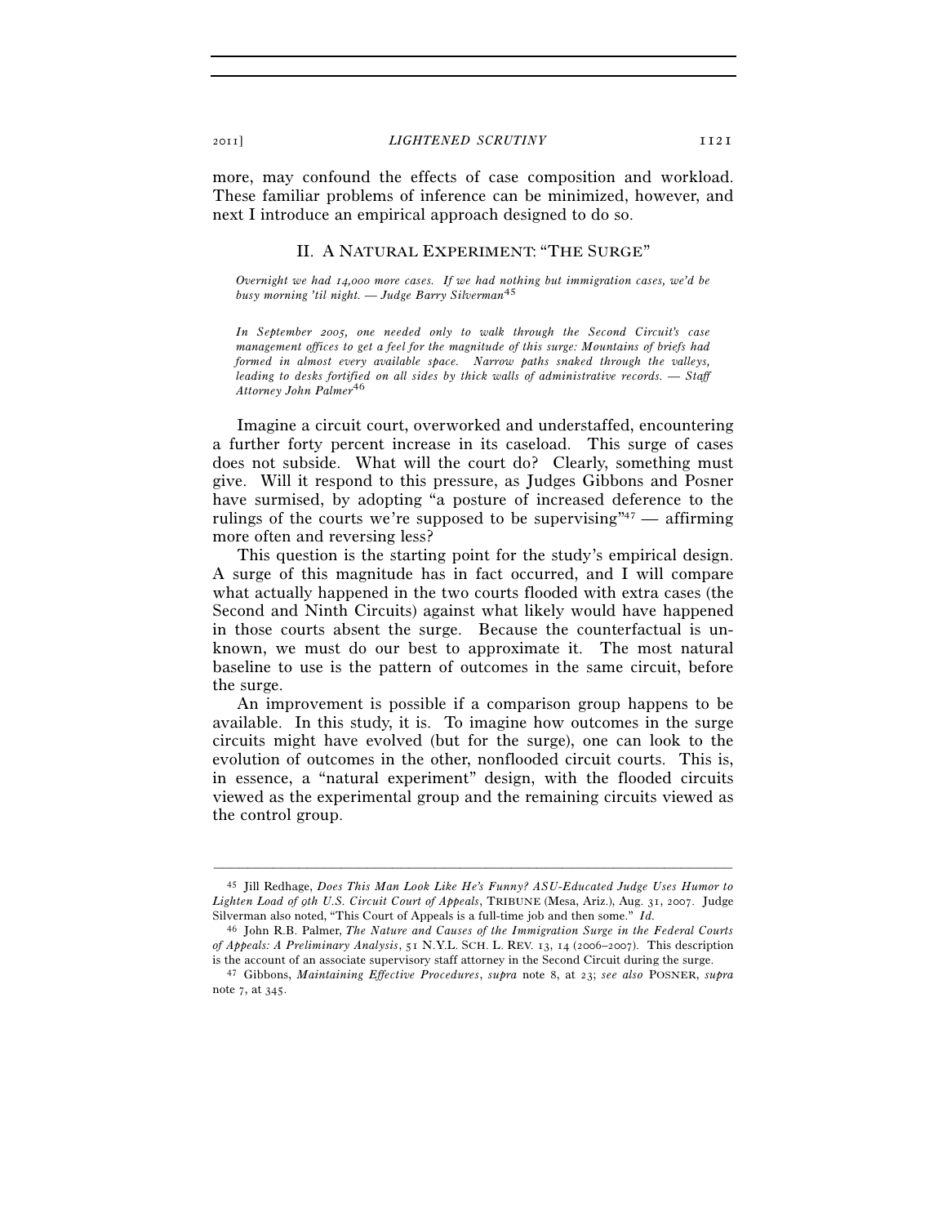more, may confound the effects of case composition and workload. These familiar problems of inference can be minimized, however, and next I introduce an empirical approach designed to do so.

# II. A NATURAL EXPERIMENT: "THE SURGE"

*Overnight we had 14,000 more cases. If we had nothing but immigration cases, we'd be busy morning 'til night. — Judge Barry Silverman*45

*In September 2005, one needed only to walk through the Second Circuit's case management offices to get a feel for the magnitude of this surge: Mountains of briefs had formed in almost every available space. Narrow paths snaked through the valleys, leading to desks fortified on all sides by thick walls of administrative records. — Staff Attorney John Palmer*46

Imagine a circuit court, overworked and understaffed, encountering a further forty percent increase in its caseload. This surge of cases does not subside. What will the court do? Clearly, something must give. Will it respond to this pressure, as Judges Gibbons and Posner have surmised, by adopting "a posture of increased deference to the rulings of the courts we're supposed to be supervising"<sup>47</sup> — affirming more often and reversing less?

This question is the starting point for the study's empirical design. A surge of this magnitude has in fact occurred, and I will compare what actually happened in the two courts flooded with extra cases (the Second and Ninth Circuits) against what likely would have happened in those courts absent the surge. Because the counterfactual is unknown, we must do our best to approximate it. The most natural baseline to use is the pattern of outcomes in the same circuit, before the surge.

An improvement is possible if a comparison group happens to be available. In this study, it is. To imagine how outcomes in the surge circuits might have evolved (but for the surge), one can look to the evolution of outcomes in the other, nonflooded circuit courts. This is, in essence, a "natural experiment" design, with the flooded circuits viewed as the experimental group and the remaining circuits viewed as the control group.

<sup>45</sup> Jill Redhage, *Does This Man Look Like He's Funny? ASU-Educated Judge Uses Humor to Lighten Load of 9th U.S. Circuit Court of Appeals*, TRIBUNE (Mesa, Ariz.), Aug. 31, 2007. Judge Silverman also noted, "This Court of Appeals is a full-time job and then some." *Id.*

<sup>46</sup> John R.B. Palmer, *The Nature and Causes of the Immigration Surge in the Federal Courts of Appeals: A Preliminary Analysis*, 51 N.Y.L. SCH. L. REV. 13, 14 (2006–2007). This description

is the account of an associate supervisory staff attorney in the Second Circuit during the surge. 47 Gibbons, *Maintaining Effective Procedures*, *supra* note 8, at 23; *see also* POSNER, *supra* note 7, at 345.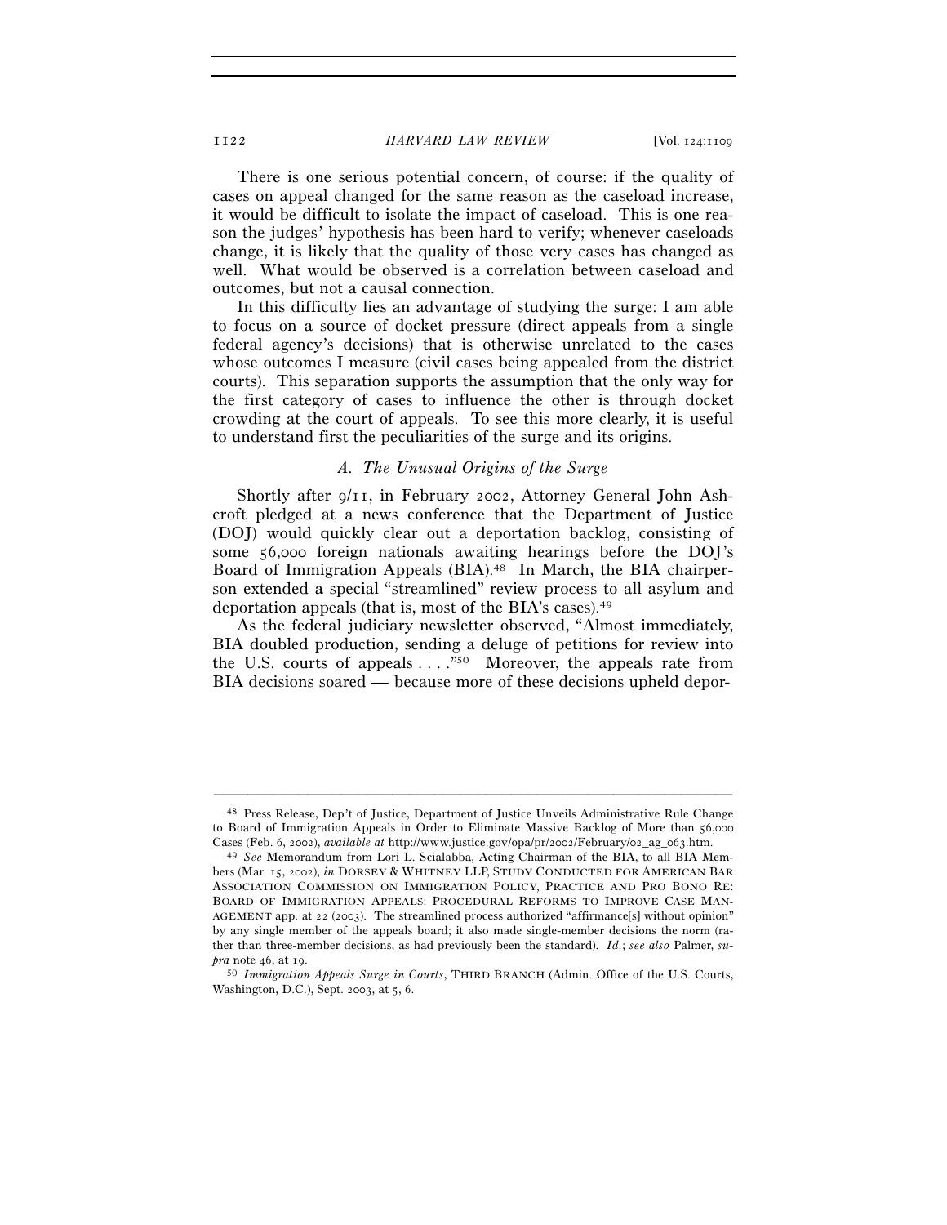#### 1122 *HARVARD LAW REVIEW* [Vol. 124:1109

There is one serious potential concern, of course: if the quality of cases on appeal changed for the same reason as the caseload increase, it would be difficult to isolate the impact of caseload. This is one reason the judges' hypothesis has been hard to verify; whenever caseloads change, it is likely that the quality of those very cases has changed as well. What would be observed is a correlation between caseload and outcomes, but not a causal connection.

In this difficulty lies an advantage of studying the surge: I am able to focus on a source of docket pressure (direct appeals from a single federal agency's decisions) that is otherwise unrelated to the cases whose outcomes I measure (civil cases being appealed from the district courts). This separation supports the assumption that the only way for the first category of cases to influence the other is through docket crowding at the court of appeals. To see this more clearly, it is useful to understand first the peculiarities of the surge and its origins.

# *A. The Unusual Origins of the Surge*

Shortly after 9/11, in February 2002, Attorney General John Ashcroft pledged at a news conference that the Department of Justice (DOJ) would quickly clear out a deportation backlog, consisting of some 56,000 foreign nationals awaiting hearings before the DOJ's Board of Immigration Appeals (BIA).<sup>48</sup> In March, the BIA chairperson extended a special "streamlined" review process to all asylum and deportation appeals (that is, most of the BIA's cases).49

As the federal judiciary newsletter observed, "Almost immediately, BIA doubled production, sending a deluge of petitions for review into the U.S. courts of appeals . . . ."50 Moreover, the appeals rate from BIA decisions soared — because more of these decisions upheld depor-

<sup>48</sup> Press Release, Dep't of Justice, Department of Justice Unveils Administrative Rule Change to Board of Immigration Appeals in Order to Eliminate Massive Backlog of More than 56,000

Cases (Feb. 6, 2002), *available at* http://www.justice.gov/opa/pr/2002/February/02\_ag\_063.htm. 49 *See* Memorandum from Lori L. Scialabba, Acting Chairman of the BIA, to all BIA Members (Mar. 15, 2002), *in* DORSEY & WHITNEY LLP, STUDY CONDUCTED FOR AMERICAN BAR ASSOCIATION COMMISSION ON IMMIGRATION POLICY, PRACTICE AND PRO BONO RE: BOARD OF IMMIGRATION APPEALS: PROCEDURAL REFORMS TO IMPROVE CASE MAN-AGEMENT app. at 22 (2003). The streamlined process authorized "affirmance[s] without opinion" by any single member of the appeals board; it also made single-member decisions the norm (rather than three-member decisions, as had previously been the standard). *Id.*; *see also* Palmer, *su-*

<sup>&</sup>lt;sup>50</sup> *Immigration Appeals Surge in Courts*, THIRD BRANCH (Admin. Office of the U.S. Courts, Washington, D.C.), Sept. 2003, at 5, 6.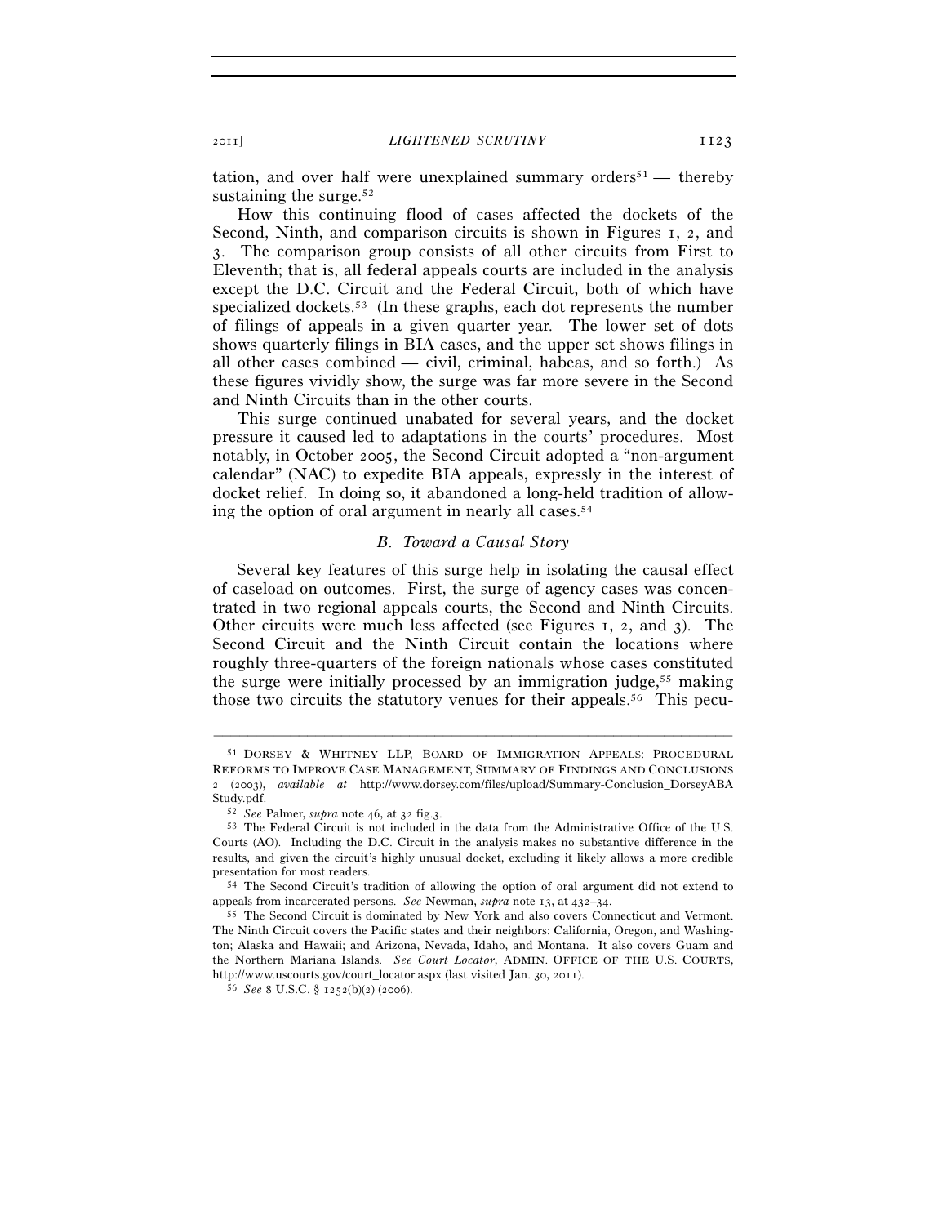tation, and over half were unexplained summary orders<sup>51</sup> — thereby sustaining the surge.<sup>52</sup>

How this continuing flood of cases affected the dockets of the Second, Ninth, and comparison circuits is shown in Figures 1, 2, and 3. The comparison group consists of all other circuits from First to Eleventh; that is, all federal appeals courts are included in the analysis except the D.C. Circuit and the Federal Circuit, both of which have specialized dockets.<sup>53</sup> (In these graphs, each dot represents the number of filings of appeals in a given quarter year. The lower set of dots shows quarterly filings in BIA cases, and the upper set shows filings in all other cases combined — civil, criminal, habeas, and so forth.) As these figures vividly show, the surge was far more severe in the Second and Ninth Circuits than in the other courts.

This surge continued unabated for several years, and the docket pressure it caused led to adaptations in the courts' procedures. Most notably, in October 2005, the Second Circuit adopted a "non-argument calendar" (NAC) to expedite BIA appeals, expressly in the interest of docket relief. In doing so, it abandoned a long-held tradition of allowing the option of oral argument in nearly all cases.54

#### *B. Toward a Causal Story*

Several key features of this surge help in isolating the causal effect of caseload on outcomes. First, the surge of agency cases was concentrated in two regional appeals courts, the Second and Ninth Circuits. Other circuits were much less affected (see Figures 1, 2, and 3). The Second Circuit and the Ninth Circuit contain the locations where roughly three-quarters of the foreign nationals whose cases constituted the surge were initially processed by an immigration judge,<sup>55</sup> making those two circuits the statutory venues for their appeals.<sup>56</sup> This pecu-

<sup>51</sup> DORSEY & WHITNEY LLP, BOARD OF IMMIGRATION APPEALS: PROCEDURAL REFORMS TO IMPROVE CASE MANAGEMENT, SUMMARY OF FINDINGS AND CONCLUSIONS 2 (2003), *available at* http://www.dorsey.com/files/upload/Summary-Conclusion\_DorseyABA Study.pdf.<br><sup>52</sup> *See* Palmer, *supra* note 46, at 32 fig.3.<br><sup>53</sup> The Federal Circuit is not included in the data from the Administrative Office of the U.S.

Courts (AO). Including the D.C. Circuit in the analysis makes no substantive difference in the results, and given the circuit's highly unusual docket, excluding it likely allows a more credible presentation for most readers. 54 The Second Circuit's tradition of allowing the option of oral argument did not extend to

appeals from incarcerated persons. *See* Newman, *supra* note 13, at 432–34. 55 The Second Circuit is dominated by New York and also covers Connecticut and Vermont.

The Ninth Circuit covers the Pacific states and their neighbors: California, Oregon, and Washington; Alaska and Hawaii; and Arizona, Nevada, Idaho, and Montana. It also covers Guam and the Northern Mariana Islands. *See Court Locator*, ADMIN. OFFICE OF THE U.S. COURTS, http://www.uscourts.gov/court\_locator.aspx (last visited Jan. 30, 2011). 56 *See* <sup>8</sup> U.S.C. § 1252(b)(2) (2006).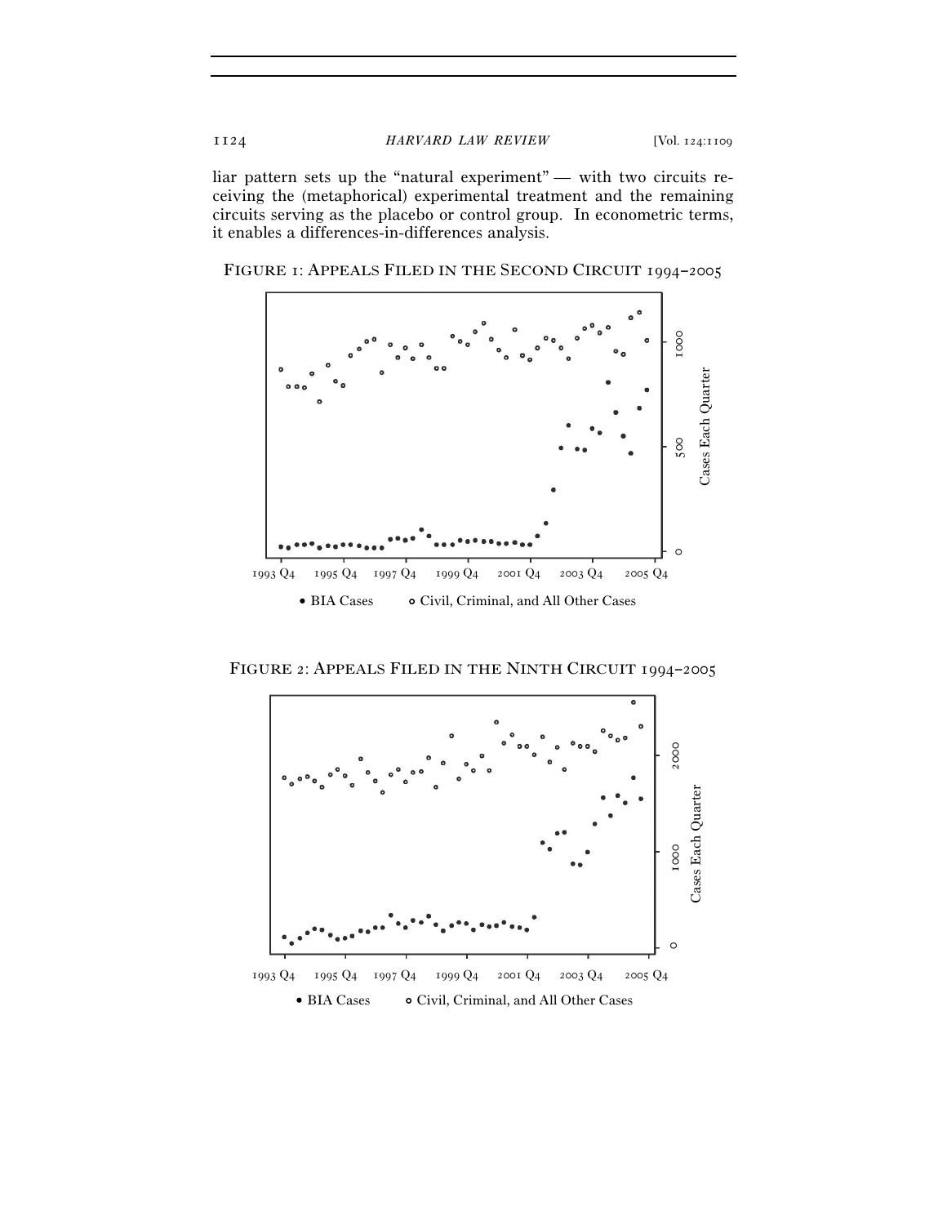liar pattern sets up the "natural experiment" — with two circuits receiving the (metaphorical) experimental treatment and the remaining circuits serving as the placebo or control group. In econometric terms, it enables a differences-in-differences analysis.

FIGURE 1: APPEALS FILED IN THE SECOND CIRCUIT 1994–2005



FIGURE 2: APPEALS FILED IN THE NINTH CIRCUIT 1994–2005

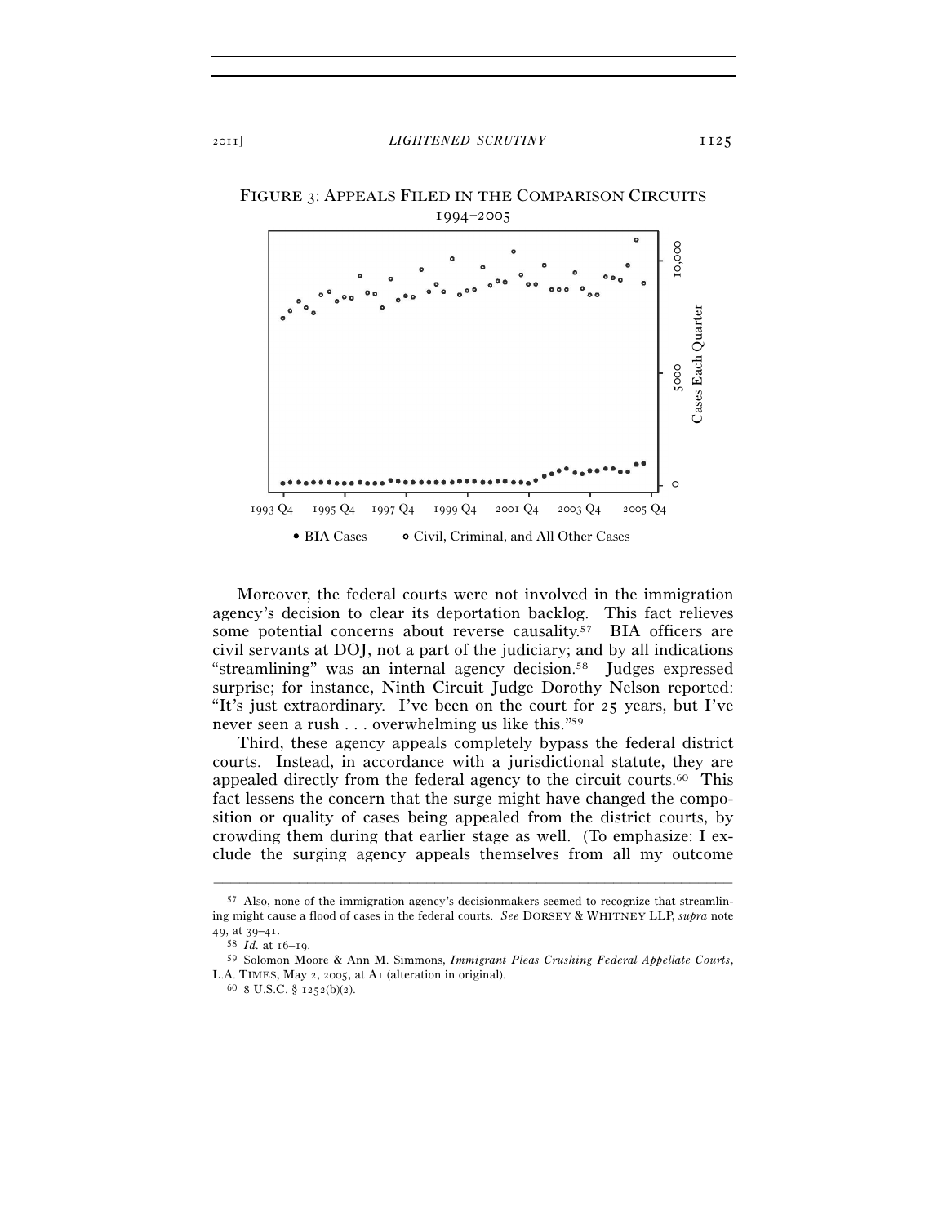

Moreover, the federal courts were not involved in the immigration agency's decision to clear its deportation backlog. This fact relieves some potential concerns about reverse causality.<sup>57</sup> BIA officers are civil servants at DOJ, not a part of the judiciary; and by all indications "streamlining" was an internal agency decision.58 Judges expressed surprise; for instance, Ninth Circuit Judge Dorothy Nelson reported: "It's just extraordinary. I've been on the court for 25 years, but I've never seen a rush . . . overwhelming us like this."59

Third, these agency appeals completely bypass the federal district courts. Instead, in accordance with a jurisdictional statute, they are appealed directly from the federal agency to the circuit courts.60 This fact lessens the concern that the surge might have changed the composition or quality of cases being appealed from the district courts, by crowding them during that earlier stage as well. (To emphasize: I exclude the surging agency appeals themselves from all my outcome

<sup>57</sup> Also, none of the immigration agency's decisionmakers seemed to recognize that streamlining might cause a flood of cases in the federal courts. *See* DORSEY & WHITNEY LLP, *supra* note <sup>49</sup>, at 39–41. 58 *Id.* at 16–19. 59 Solomon Moore & Ann M. Simmons, *Immigrant Pleas Crushing Federal Appellate Courts*,

L.A. TIMES, May 2, 2005, at A1 (alteration in original).  $60\,$  8 U.S.C. § 1252(b)(2).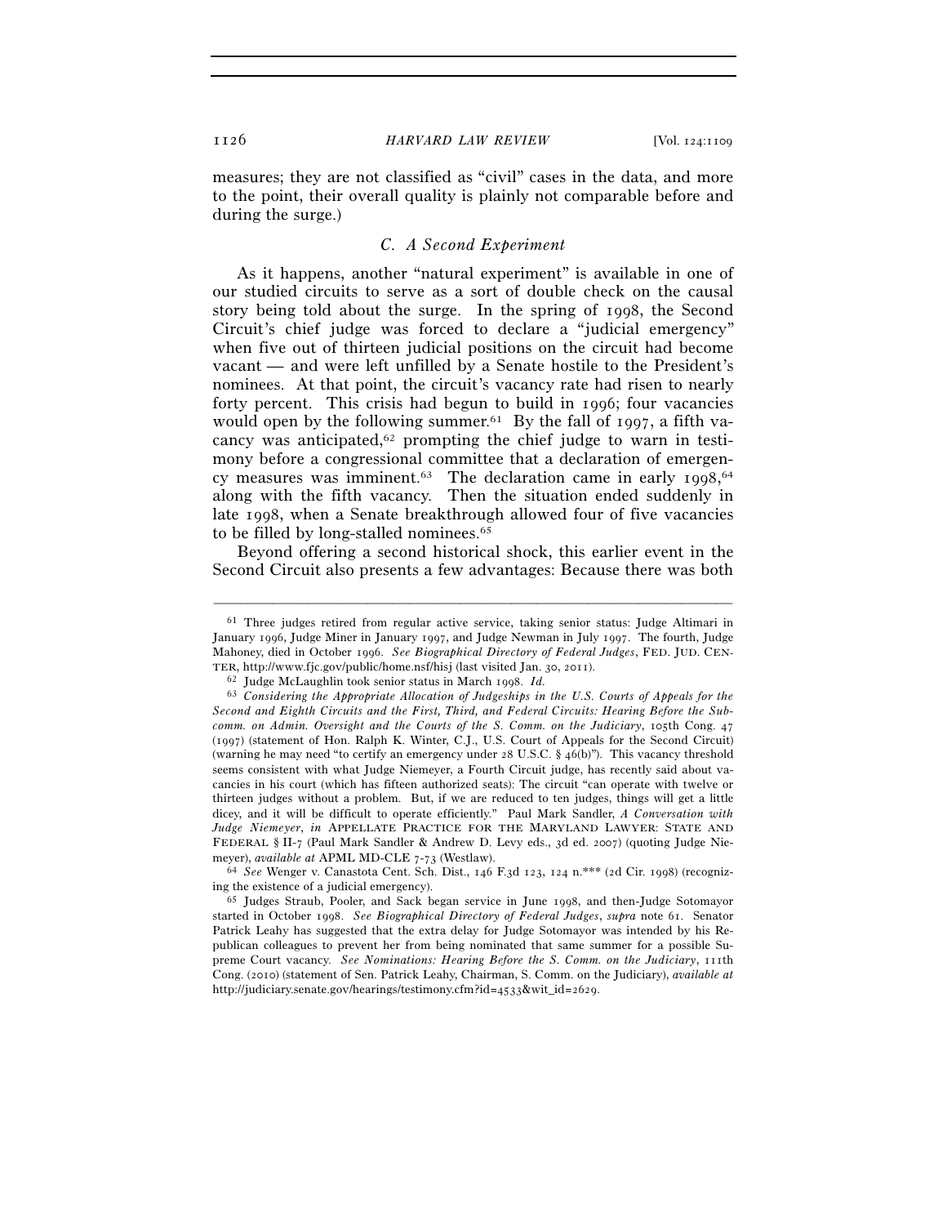measures; they are not classified as "civil" cases in the data, and more to the point, their overall quality is plainly not comparable before and during the surge.)

# *C. A Second Experiment*

As it happens, another "natural experiment" is available in one of our studied circuits to serve as a sort of double check on the causal story being told about the surge. In the spring of 1998, the Second Circuit's chief judge was forced to declare a "judicial emergency" when five out of thirteen judicial positions on the circuit had become vacant — and were left unfilled by a Senate hostile to the President's nominees. At that point, the circuit's vacancy rate had risen to nearly forty percent. This crisis had begun to build in 1996; four vacancies would open by the following summer.<sup>61</sup> By the fall of 1997, a fifth vacancy was anticipated,62 prompting the chief judge to warn in testimony before a congressional committee that a declaration of emergency measures was imminent.<sup>63</sup> The declaration came in early 1998,<sup>64</sup> along with the fifth vacancy. Then the situation ended suddenly in late 1998, when a Senate breakthrough allowed four of five vacancies to be filled by long-stalled nominees.<sup>65</sup>

Beyond offering a second historical shock, this earlier event in the Second Circuit also presents a few advantages: Because there was both

<sup>61</sup> Three judges retired from regular active service, taking senior status: Judge Altimari in January 1996, Judge Miner in January 1997, and Judge Newman in July 1997. The fourth, Judge Mahoney, died in October 1996. *See Biographical Directory of Federal Judges*, FED. JUD. CEN-TER, http://www.fjc.gov/public/home.nsf/hisj (last visited Jan. 30, 2011). 62 Judge McLaughlin took senior status in March 1998. *Id.*

<sup>63</sup> *Considering the Appropriate Allocation of Judgeships in the U.S. Courts of Appeals for the Second and Eighth Circuits and the First, Third, and Federal Circuits: Hearing Before the Subcomm. on Admin. Oversight and the Courts of the S. Comm. on the Judiciary*, 105th Cong. 47 (1997) (statement of Hon. Ralph K. Winter, C.J., U.S. Court of Appeals for the Second Circuit) (warning he may need "to certify an emergency under 28 U.S.C. § 46(b)"). This vacancy threshold seems consistent with what Judge Niemeyer, a Fourth Circuit judge, has recently said about vacancies in his court (which has fifteen authorized seats): The circuit "can operate with twelve or thirteen judges without a problem. But, if we are reduced to ten judges, things will get a little dicey, and it will be difficult to operate efficiently." Paul Mark Sandler, *A Conversation with Judge Niemeyer*, *in* APPELLATE PRACTICE FOR THE MARYLAND LAWYER: STATE AND FEDERAL § II-7 (Paul Mark Sandler & Andrew D. Levy eds., 3d ed. 2007) (quoting Judge Nie-

meyer), *available at* APML MD-CLE 7-73 (Westlaw).<br><sup>64</sup> *See* Wenger v. Canastota Cent. Sch. Dist., 146 F.3d 123, 124 n.\*\*\* (2d Cir. 1998) (recogniz-<br>ing the existence of a judicial emergency).

<sup>&</sup>lt;sup>65</sup> Judges Straub, Pooler, and Sack began service in June 1998, and then-Judge Sotomayor started in October 1998. *See Biographical Directory of Federal Judges*, *supra* note 61. Senator Patrick Leahy has suggested that the extra delay for Judge Sotomayor was intended by his Republican colleagues to prevent her from being nominated that same summer for a possible Supreme Court vacancy. *See Nominations: Hearing Before the S. Comm. on the Judiciary*, 111th Cong. (2010) (statement of Sen. Patrick Leahy, Chairman, S. Comm. on the Judiciary), *available at* http://judiciary.senate.gov/hearings/testimony.cfm?id=4533&wit\_id=2629.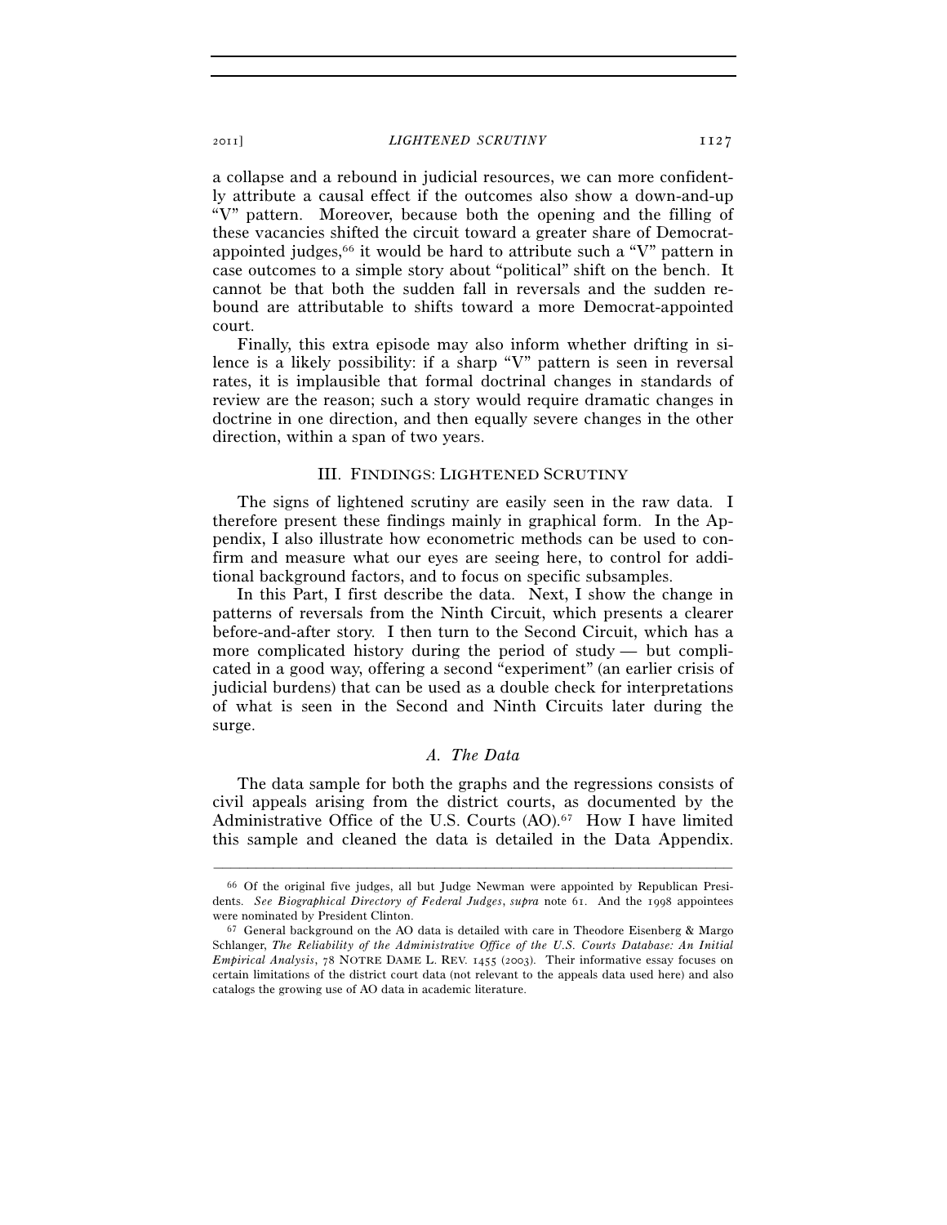#### 2011] *LIGHTENED SCRUTINY* 1127

a collapse and a rebound in judicial resources, we can more confidently attribute a causal effect if the outcomes also show a down-and-up "V" pattern. Moreover, because both the opening and the filling of these vacancies shifted the circuit toward a greater share of Democratappointed judges,<sup>66</sup> it would be hard to attribute such a "V" pattern in case outcomes to a simple story about "political" shift on the bench. It cannot be that both the sudden fall in reversals and the sudden rebound are attributable to shifts toward a more Democrat-appointed court.

Finally, this extra episode may also inform whether drifting in silence is a likely possibility: if a sharp "V" pattern is seen in reversal rates, it is implausible that formal doctrinal changes in standards of review are the reason; such a story would require dramatic changes in doctrine in one direction, and then equally severe changes in the other direction, within a span of two years.

#### III. FINDINGS: LIGHTENED SCRUTINY

The signs of lightened scrutiny are easily seen in the raw data. I therefore present these findings mainly in graphical form. In the Appendix, I also illustrate how econometric methods can be used to confirm and measure what our eyes are seeing here, to control for additional background factors, and to focus on specific subsamples.

In this Part, I first describe the data. Next, I show the change in patterns of reversals from the Ninth Circuit, which presents a clearer before-and-after story. I then turn to the Second Circuit, which has a more complicated history during the period of study — but complicated in a good way, offering a second "experiment" (an earlier crisis of judicial burdens) that can be used as a double check for interpretations of what is seen in the Second and Ninth Circuits later during the surge.

# *A. The Data*

The data sample for both the graphs and the regressions consists of civil appeals arising from the district courts, as documented by the Administrative Office of the U.S. Courts (AO).67 How I have limited this sample and cleaned the data is detailed in the Data Appendix.

<sup>66</sup> Of the original five judges, all but Judge Newman were appointed by Republican Presidents. *See Biographical Directory of Federal Judges*, *supra* note 61. And the 1998 appointees

 $67$  General background on the AO data is detailed with care in Theodore Eisenberg & Margo Schlanger, *The Reliability of the Administrative Office of the U.S. Courts Database: An Initial Empirical Analysis*, 78 NOTRE DAME L. REV. 1455 (2003). Their informative essay focuses on certain limitations of the district court data (not relevant to the appeals data used here) and also catalogs the growing use of AO data in academic literature.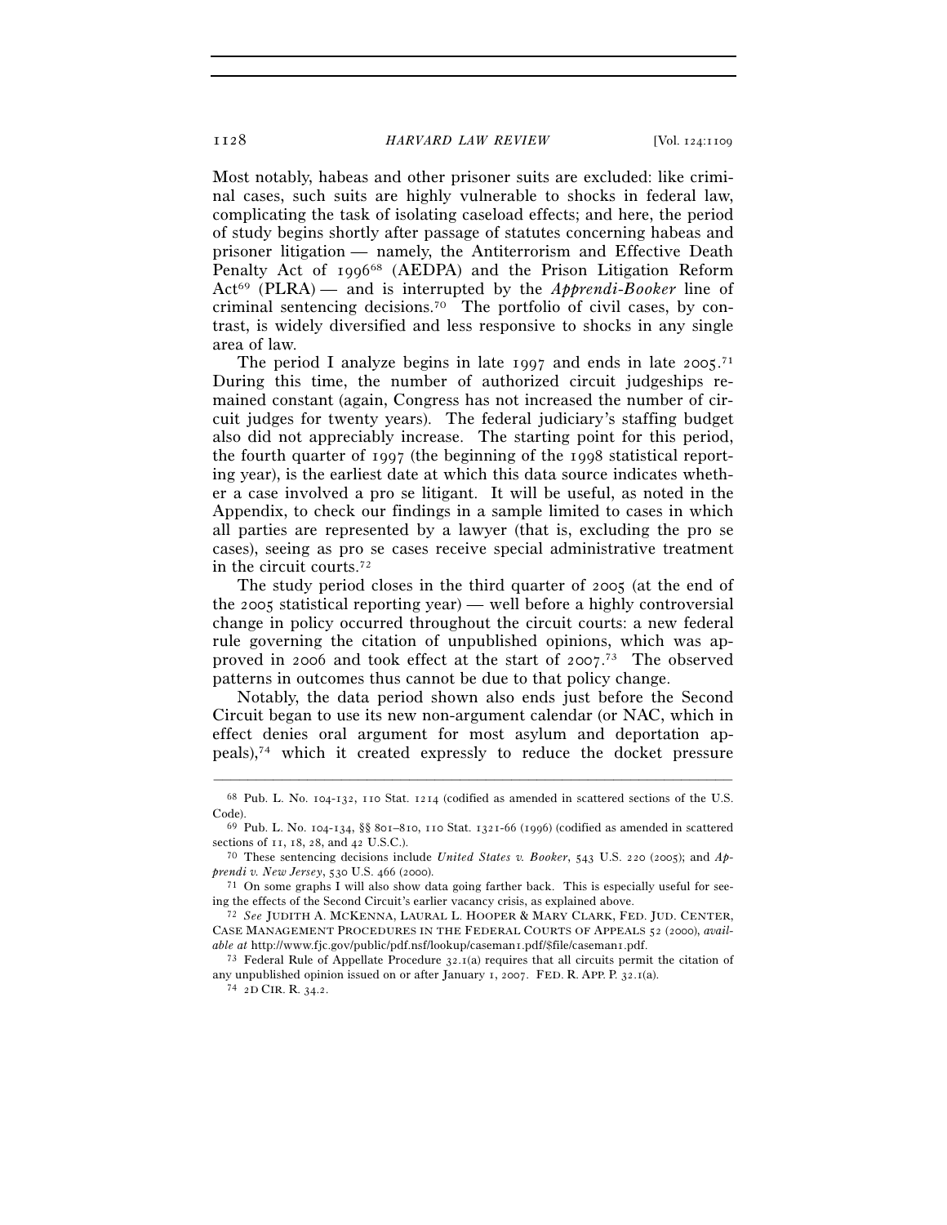Most notably, habeas and other prisoner suits are excluded: like criminal cases, such suits are highly vulnerable to shocks in federal law, complicating the task of isolating caseload effects; and here, the period of study begins shortly after passage of statutes concerning habeas and prisoner litigation — namely, the Antiterrorism and Effective Death Penalty Act of 1996<sup>68</sup> (AEDPA) and the Prison Litigation Reform Act69 (PLRA) — and is interrupted by the *Apprendi*-*Booker* line of criminal sentencing decisions.70 The portfolio of civil cases, by contrast, is widely diversified and less responsive to shocks in any single area of law.

The period I analyze begins in late 1997 and ends in late 2005.<sup>71</sup> During this time, the number of authorized circuit judgeships remained constant (again, Congress has not increased the number of circuit judges for twenty years). The federal judiciary's staffing budget also did not appreciably increase. The starting point for this period, the fourth quarter of 1997 (the beginning of the 1998 statistical reporting year), is the earliest date at which this data source indicates whether a case involved a pro se litigant. It will be useful, as noted in the Appendix, to check our findings in a sample limited to cases in which all parties are represented by a lawyer (that is, excluding the pro se cases), seeing as pro se cases receive special administrative treatment in the circuit courts.72

The study period closes in the third quarter of 2005 (at the end of the 2005 statistical reporting year) — well before a highly controversial change in policy occurred throughout the circuit courts: a new federal rule governing the citation of unpublished opinions, which was approved in 2006 and took effect at the start of 2007. 73 The observed patterns in outcomes thus cannot be due to that policy change.

Notably, the data period shown also ends just before the Second Circuit began to use its new non-argument calendar (or NAC, which in effect denies oral argument for most asylum and deportation appeals),74 which it created expressly to reduce the docket pressure

<sup>–––––––––––––––––––––––––––––––––––––––––––––––––––––––––––––</sup> 68 Pub. L. No. 104-132, 110 Stat. 1214 (codified as amended in scattered sections of the U.S. Code). 69 Pub. L. No. 104-134, §§ 801–810, 110 Stat. 1321-66 (1996) (codified as amended in scattered

sections of 11, 18, 28, and 42 U.S.C.). 70 These sentencing decisions include *United States v. Booker*, 543 U.S. 220 (2005); and *Ap-*

*prendi v. New Jersey*, 530 U.S. 466 (2000).<br><sup>71</sup> On some graphs I will also show data going farther back. This is especially useful for see-

ing the effects of the Second Circuit's earlier vacancy crisis, as explained above. 72 *See* JUDITH A. MCKENNA, LAURAL L. HOOPER & MARY CLARK, FED. JUD. CENTER,

CASE MANAGEMENT PROCEDURES IN THE FEDERAL COURTS OF APPEALS 52 (2000), *available at* http://www.fjc.gov/public/pdf.nsf/lookup/caseman1.pdf/\$file/caseman1.pdf. <sup>73</sup> Federal Rule of Appellate Procedure 32.1(a) requires that all circuits permit the citation of

any unpublished opinion issued on or after January 1, 2007. FED. R. APP. P. 32.1(a). <sup>74</sup> 2D CIR. R. 34.2.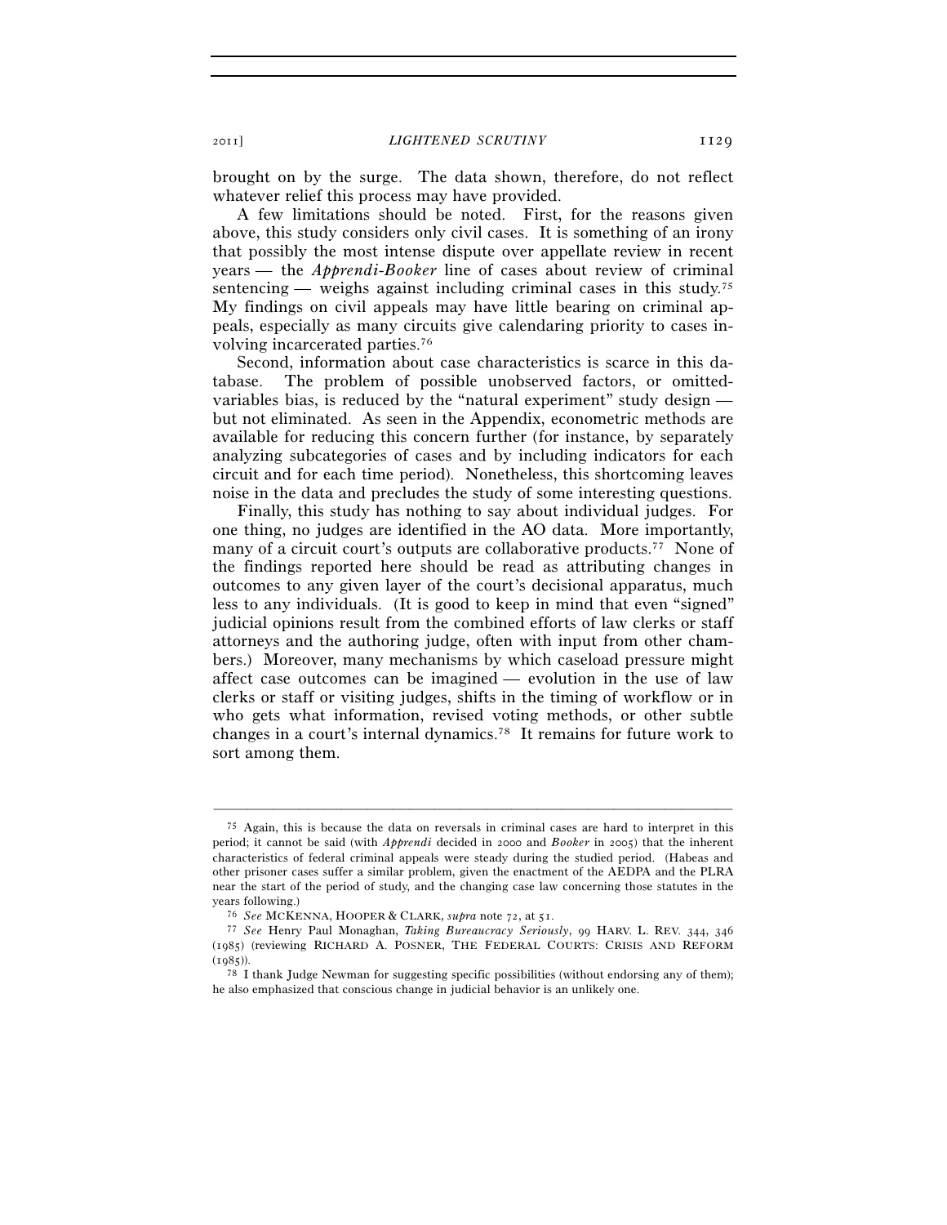2011] *LIGHTENED SCRUTINY* 1129

brought on by the surge. The data shown, therefore, do not reflect whatever relief this process may have provided.

A few limitations should be noted. First, for the reasons given above, this study considers only civil cases. It is something of an irony that possibly the most intense dispute over appellate review in recent years — the *Apprendi*-*Booker* line of cases about review of criminal sentencing — weighs against including criminal cases in this study.<sup>75</sup> My findings on civil appeals may have little bearing on criminal appeals, especially as many circuits give calendaring priority to cases involving incarcerated parties.76

Second, information about case characteristics is scarce in this database. The problem of possible unobserved factors, or omittedvariables bias, is reduced by the "natural experiment" study design but not eliminated. As seen in the Appendix, econometric methods are available for reducing this concern further (for instance, by separately analyzing subcategories of cases and by including indicators for each circuit and for each time period). Nonetheless, this shortcoming leaves noise in the data and precludes the study of some interesting questions.

Finally, this study has nothing to say about individual judges. For one thing, no judges are identified in the AO data. More importantly, many of a circuit court's outputs are collaborative products.77 None of the findings reported here should be read as attributing changes in outcomes to any given layer of the court's decisional apparatus, much less to any individuals. (It is good to keep in mind that even "signed" judicial opinions result from the combined efforts of law clerks or staff attorneys and the authoring judge, often with input from other chambers.) Moreover, many mechanisms by which caseload pressure might affect case outcomes can be imagined — evolution in the use of law clerks or staff or visiting judges, shifts in the timing of workflow or in who gets what information, revised voting methods, or other subtle changes in a court's internal dynamics.78 It remains for future work to sort among them.

<sup>75</sup> Again, this is because the data on reversals in criminal cases are hard to interpret in this period; it cannot be said (with *Apprendi* decided in 2000 and *Booker* in 2005) that the inherent characteristics of federal criminal appeals were steady during the studied period. (Habeas and other prisoner cases suffer a similar problem, given the enactment of the AEDPA and the PLRA near the start of the period of study, and the changing case law concerning those statutes in the

years following.) 76 *See* MCKENNA, HOOPER & CLARK, *supra* note 72, at 51. 77 *See* Henry Paul Monaghan, *Taking Bureaucracy Seriously*, 99 HARV. L. REV. 344, <sup>346</sup> (1985) (reviewing RICHARD A. POSNER, THE FEDERAL COURTS: CRISIS AND REFORM (1985)). <sup>78</sup> I thank Judge Newman for suggesting specific possibilities (without endorsing any of them);

he also emphasized that conscious change in judicial behavior is an unlikely one.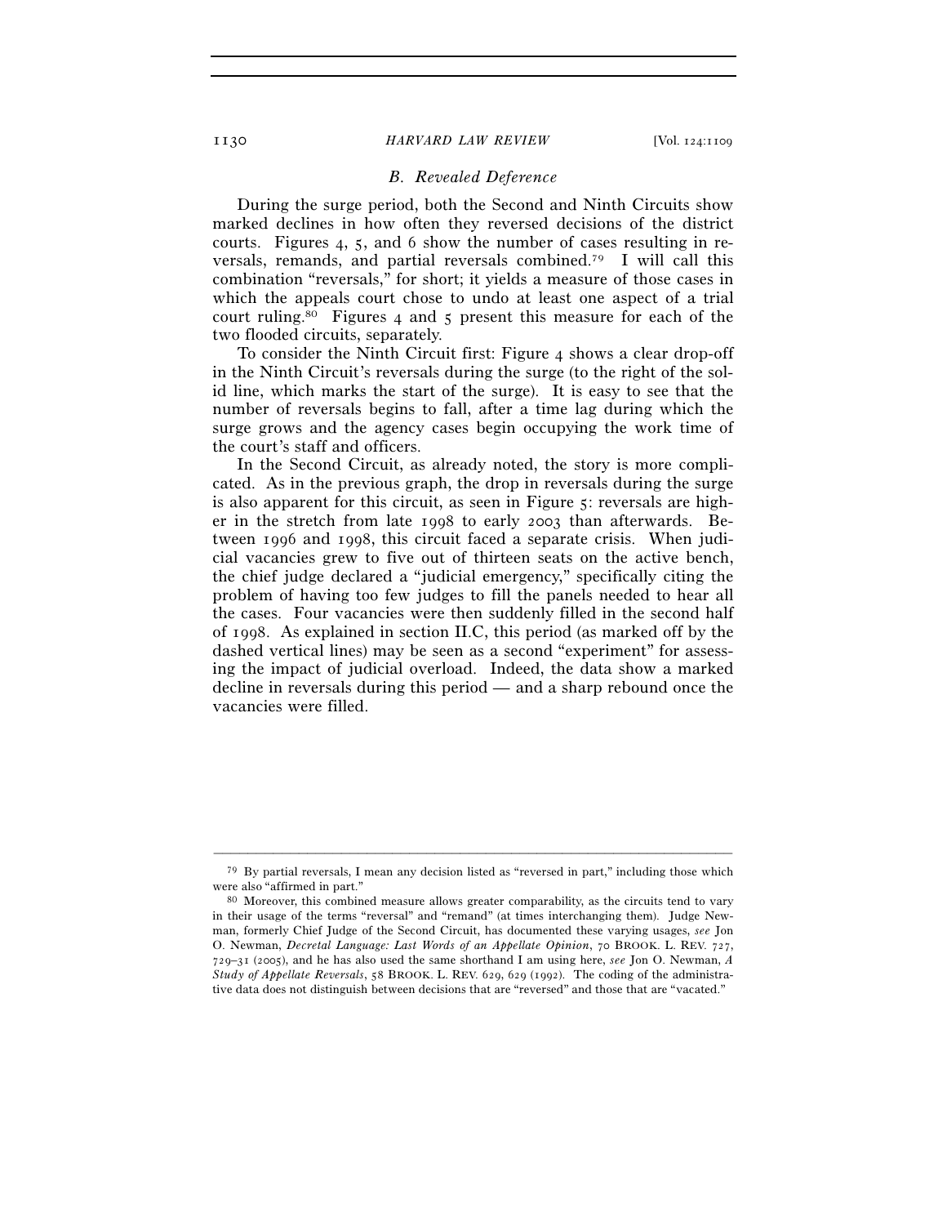#### 1130 *HARVARD LAW REVIEW* [Vol. 124:1109

# *B. Revealed Deference*

During the surge period, both the Second and Ninth Circuits show marked declines in how often they reversed decisions of the district courts. Figures 4, 5, and 6 show the number of cases resulting in reversals, remands, and partial reversals combined.79 I will call this combination "reversals," for short; it yields a measure of those cases in which the appeals court chose to undo at least one aspect of a trial court ruling.80 Figures 4 and 5 present this measure for each of the two flooded circuits, separately.

To consider the Ninth Circuit first: Figure 4 shows a clear drop-off in the Ninth Circuit's reversals during the surge (to the right of the solid line, which marks the start of the surge). It is easy to see that the number of reversals begins to fall, after a time lag during which the surge grows and the agency cases begin occupying the work time of the court's staff and officers.

In the Second Circuit, as already noted, the story is more complicated. As in the previous graph, the drop in reversals during the surge is also apparent for this circuit, as seen in Figure 5: reversals are higher in the stretch from late 1998 to early 2003 than afterwards. Between 1996 and 1998, this circuit faced a separate crisis. When judicial vacancies grew to five out of thirteen seats on the active bench, the chief judge declared a "judicial emergency," specifically citing the problem of having too few judges to fill the panels needed to hear all the cases. Four vacancies were then suddenly filled in the second half of 1998. As explained in section II.C, this period (as marked off by the dashed vertical lines) may be seen as a second "experiment" for assessing the impact of judicial overload. Indeed, the data show a marked decline in reversals during this period — and a sharp rebound once the vacancies were filled.

<sup>–––––––––––––––––––––––––––––––––––––––––––––––––––––––––––––</sup> 79 By partial reversals, I mean any decision listed as "reversed in part," including those which were also "affirmed in part."<br><sup>80</sup> Moreover, this combined measure allows greater comparability, as the circuits tend to vary

in their usage of the terms "reversal" and "remand" (at times interchanging them). Judge Newman, formerly Chief Judge of the Second Circuit, has documented these varying usages, *see* Jon O. Newman, *Decretal Language: Last Words of an Appellate Opinion*, 70 BROOK. L. REV. 727, 729–31 (2005), and he has also used the same shorthand I am using here, *see* Jon O. Newman, *A Study of Appellate Reversals*, 58 BROOK. L. REV. 629, 629 (1992). The coding of the administrative data does not distinguish between decisions that are "reversed" and those that are "vacated."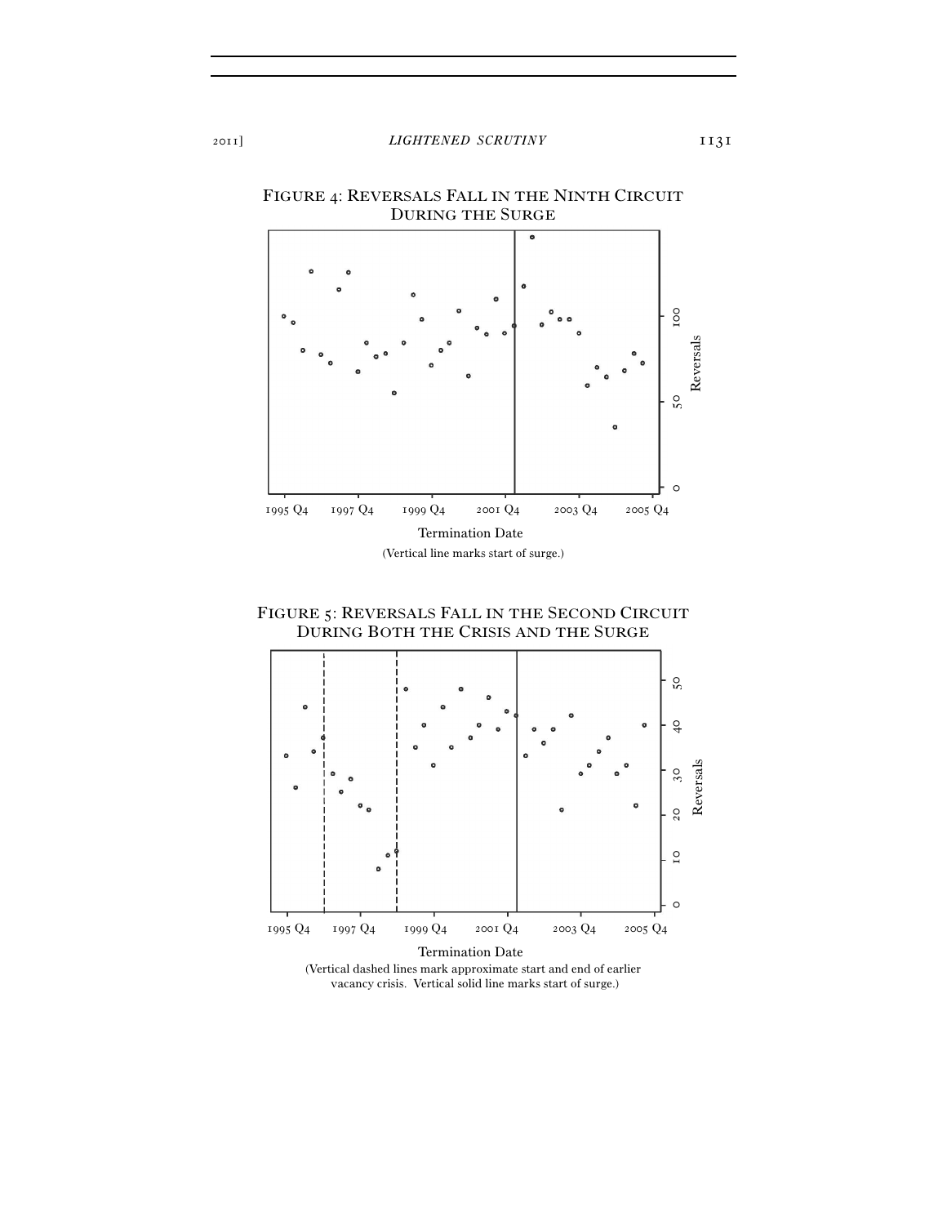

FIGURE 4: REVERSALS FALL IN THE NINTH CIRCUIT DURING THE SURGE





vacancy crisis. Vertical solid line marks start of surge.)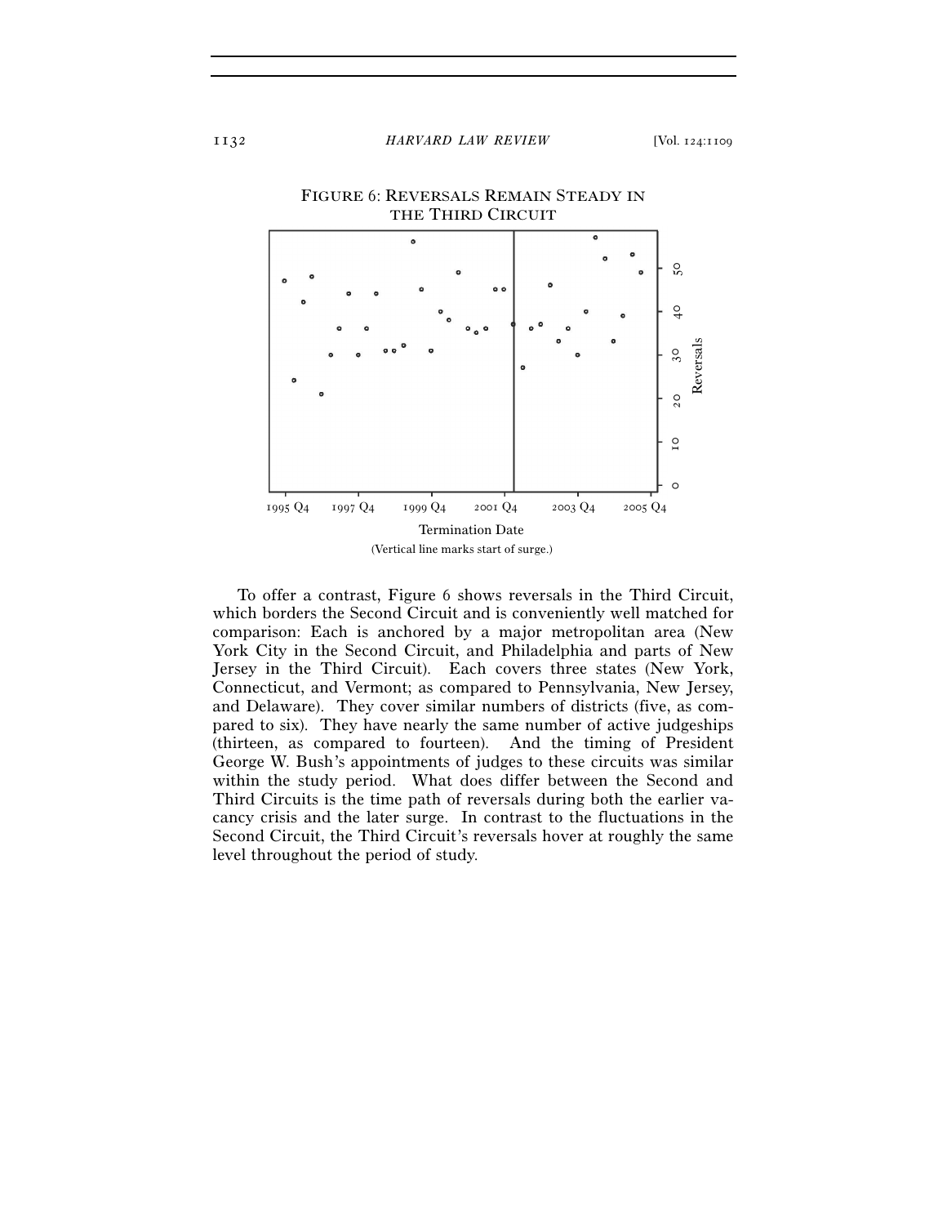

To offer a contrast, Figure 6 shows reversals in the Third Circuit, which borders the Second Circuit and is conveniently well matched for comparison: Each is anchored by a major metropolitan area (New York City in the Second Circuit, and Philadelphia and parts of New Jersey in the Third Circuit). Each covers three states (New York, Connecticut, and Vermont; as compared to Pennsylvania, New Jersey, and Delaware). They cover similar numbers of districts (five, as compared to six). They have nearly the same number of active judgeships (thirteen, as compared to fourteen). And the timing of President George W. Bush's appointments of judges to these circuits was similar within the study period. What does differ between the Second and Third Circuits is the time path of reversals during both the earlier vacancy crisis and the later surge. In contrast to the fluctuations in the Second Circuit, the Third Circuit's reversals hover at roughly the same level throughout the period of study.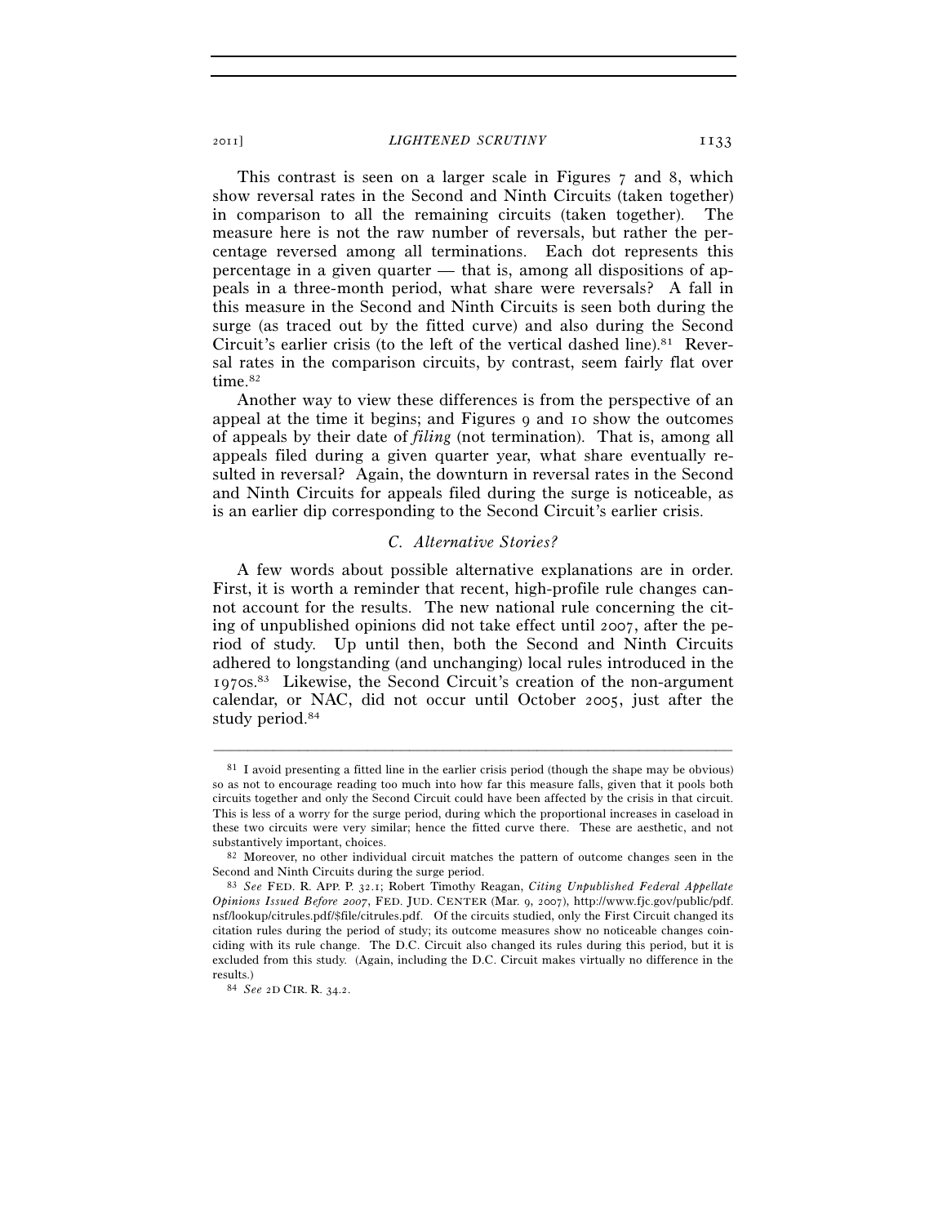2011] *LIGHTENED SCRUTINY* 1133

This contrast is seen on a larger scale in Figures 7 and 8, which show reversal rates in the Second and Ninth Circuits (taken together) in comparison to all the remaining circuits (taken together). The measure here is not the raw number of reversals, but rather the percentage reversed among all terminations. Each dot represents this percentage in a given quarter — that is, among all dispositions of appeals in a three-month period, what share were reversals? A fall in this measure in the Second and Ninth Circuits is seen both during the surge (as traced out by the fitted curve) and also during the Second Circuit's earlier crisis (to the left of the vertical dashed line).<sup>81</sup> Reversal rates in the comparison circuits, by contrast, seem fairly flat over time.<sup>82</sup>

Another way to view these differences is from the perspective of an appeal at the time it begins; and Figures 9 and 10 show the outcomes of appeals by their date of *filing* (not termination). That is, among all appeals filed during a given quarter year, what share eventually resulted in reversal? Again, the downturn in reversal rates in the Second and Ninth Circuits for appeals filed during the surge is noticeable, as is an earlier dip corresponding to the Second Circuit's earlier crisis.

# *C. Alternative Stories?*

A few words about possible alternative explanations are in order. First, it is worth a reminder that recent, high-profile rule changes cannot account for the results. The new national rule concerning the citing of unpublished opinions did not take effect until 2007, after the period of study. Up until then, both the Second and Ninth Circuits adhered to longstanding (and unchanging) local rules introduced in the 1970s.83 Likewise, the Second Circuit's creation of the non-argument calendar, or NAC, did not occur until October 2005, just after the study period.84

<sup>81</sup> I avoid presenting a fitted line in the earlier crisis period (though the shape may be obvious) so as not to encourage reading too much into how far this measure falls, given that it pools both circuits together and only the Second Circuit could have been affected by the crisis in that circuit. This is less of a worry for the surge period, during which the proportional increases in caseload in these two circuits were very similar; hence the fitted curve there. These are aesthetic, and not substantively important, choices.<br><sup>82</sup> Moreover, no other individual circuit matches the pattern of outcome changes seen in the

Second and Ninth Circuits during the surge period. 83 *See* FED. R. APP. P. <sup>32</sup>.1; Robert Timothy Reagan, *Citing Unpublished Federal Appellate* 

*Opinions Issued Before 2007*, FED. JUD. CENTER (Mar. 9, 2007), http://www.fjc.gov/public/pdf. nsf/lookup/citrules.pdf/\$file/citrules.pdf. Of the circuits studied, only the First Circuit changed its citation rules during the period of study; its outcome measures show no noticeable changes coinciding with its rule change. The D.C. Circuit also changed its rules during this period, but it is excluded from this study. (Again, including the D.C. Circuit makes virtually no difference in the results.) 84 *See* <sup>2</sup><sup>D</sup> CIR. R. 34.2.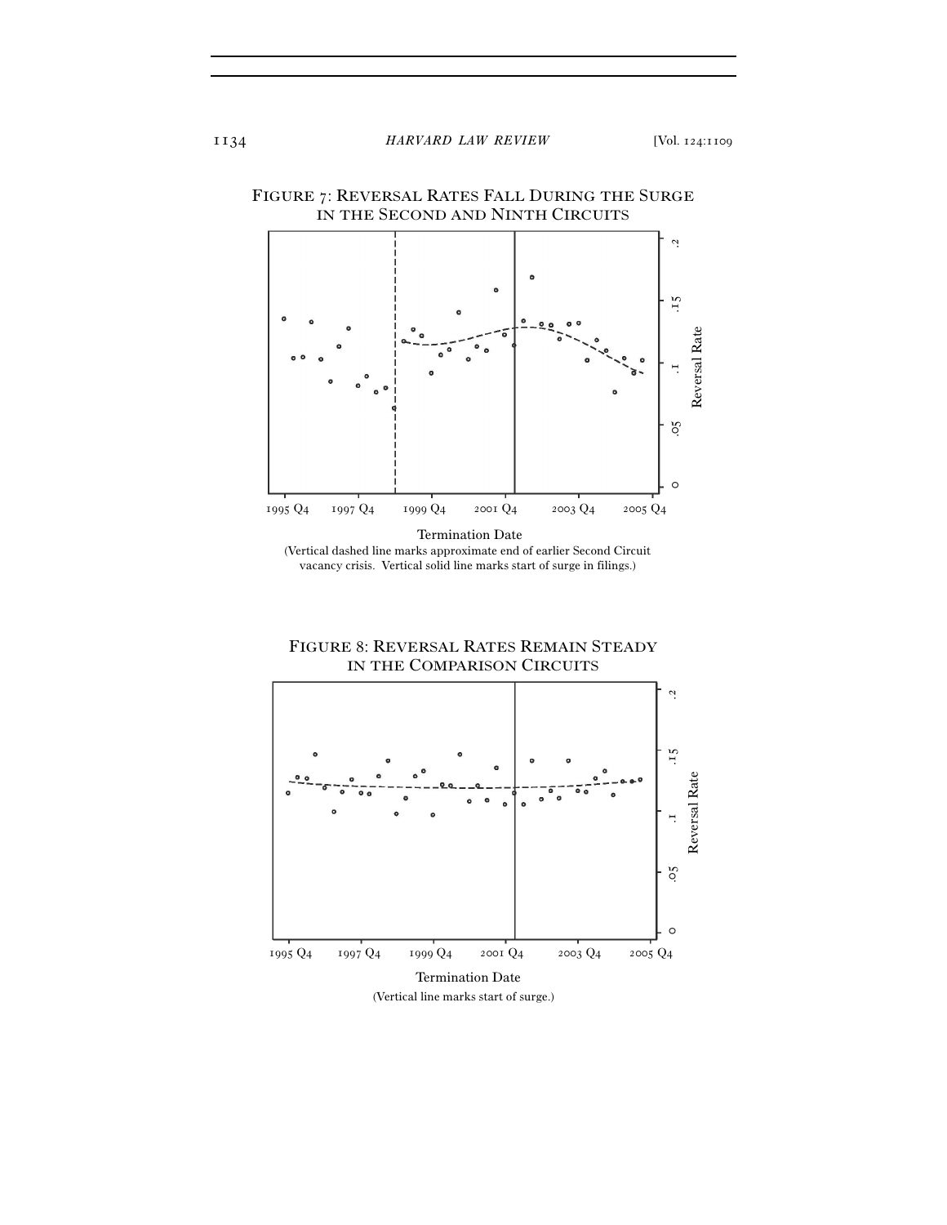

vacancy crisis. Vertical solid line marks start of surge in filings.)



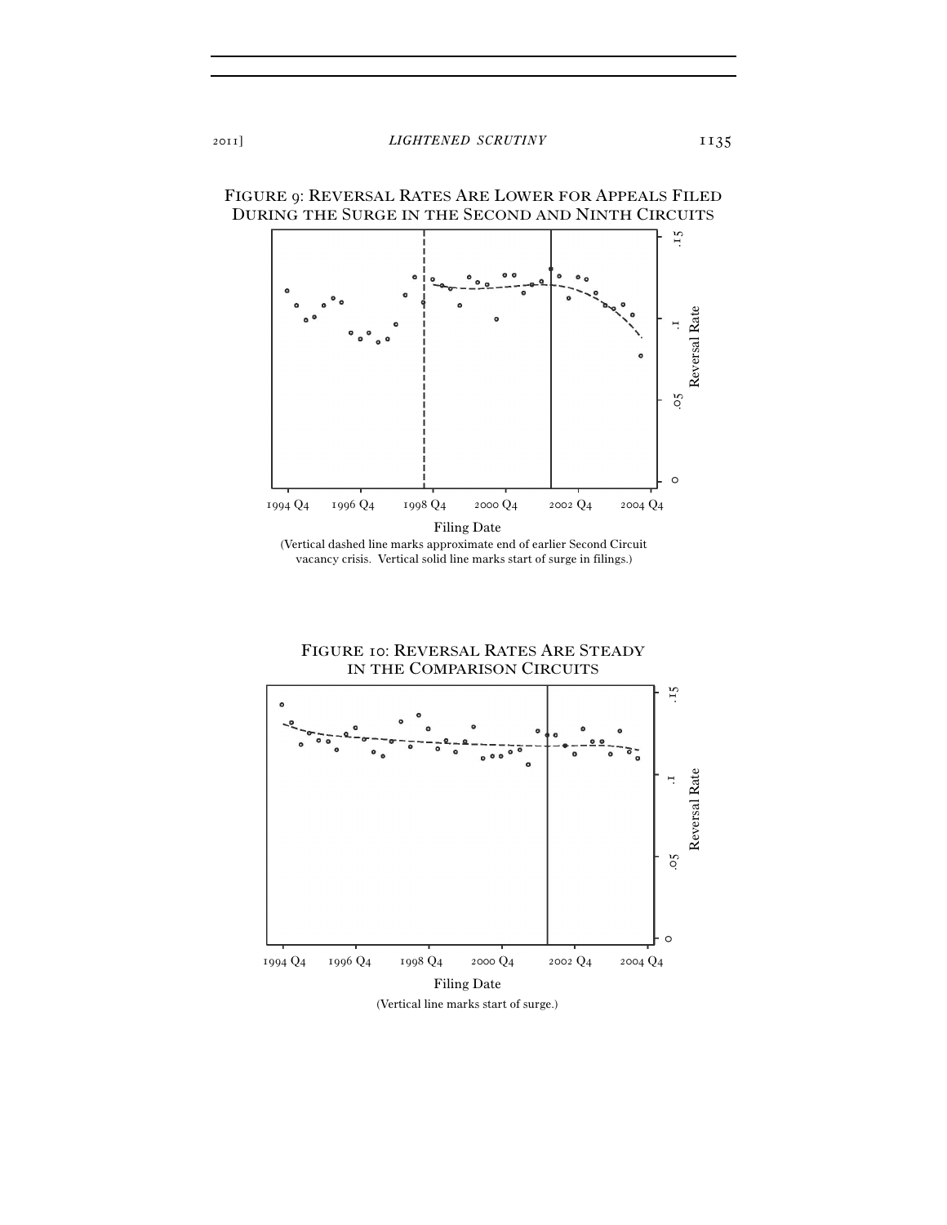



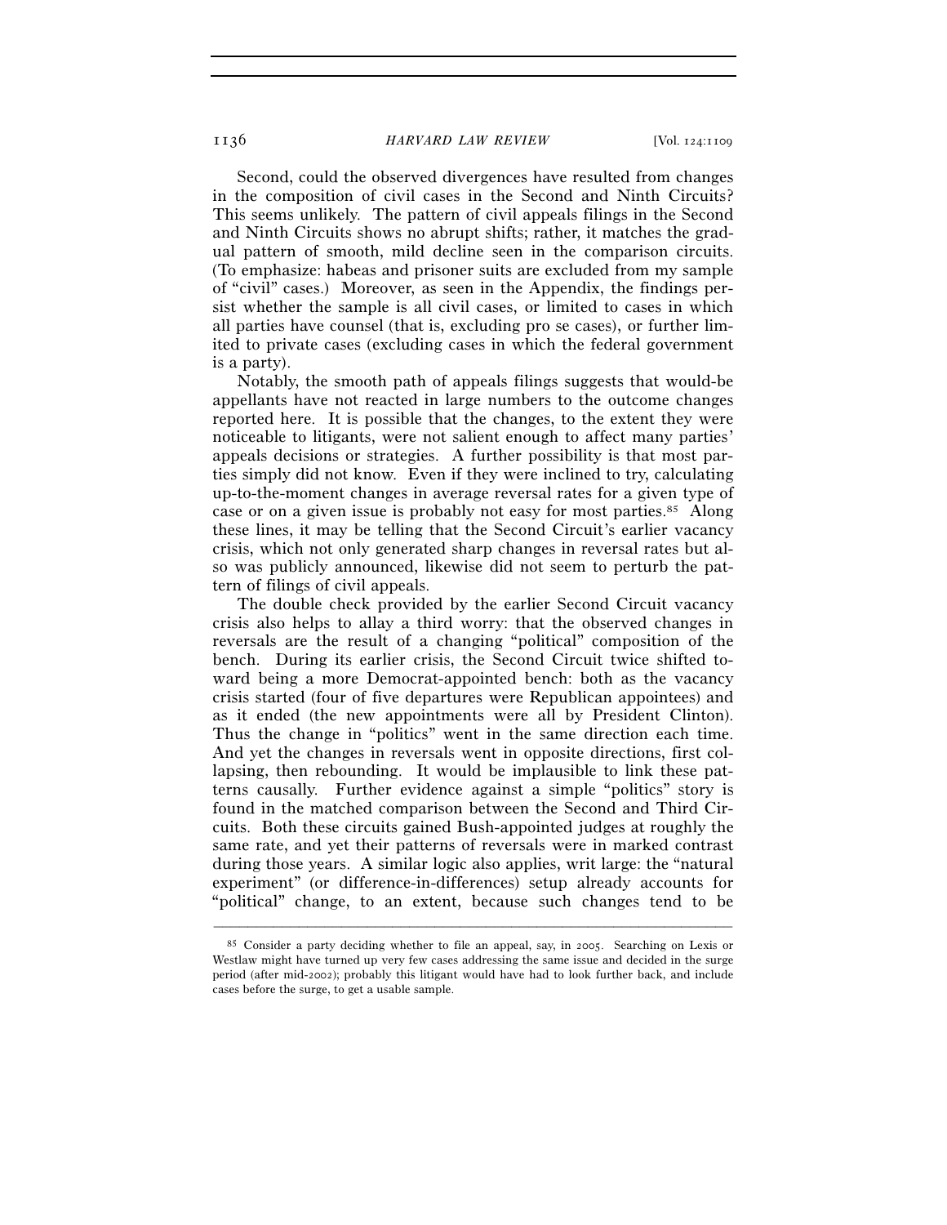1136 *HARVARD LAW REVIEW* [Vol. 124:1109

Second, could the observed divergences have resulted from changes in the composition of civil cases in the Second and Ninth Circuits? This seems unlikely. The pattern of civil appeals filings in the Second and Ninth Circuits shows no abrupt shifts; rather, it matches the gradual pattern of smooth, mild decline seen in the comparison circuits. (To emphasize: habeas and prisoner suits are excluded from my sample of "civil" cases.) Moreover, as seen in the Appendix, the findings persist whether the sample is all civil cases, or limited to cases in which all parties have counsel (that is, excluding pro se cases), or further limited to private cases (excluding cases in which the federal government is a party).

Notably, the smooth path of appeals filings suggests that would-be appellants have not reacted in large numbers to the outcome changes reported here. It is possible that the changes, to the extent they were noticeable to litigants, were not salient enough to affect many parties' appeals decisions or strategies. A further possibility is that most parties simply did not know. Even if they were inclined to try, calculating up-to-the-moment changes in average reversal rates for a given type of case or on a given issue is probably not easy for most parties.85 Along these lines, it may be telling that the Second Circuit's earlier vacancy crisis, which not only generated sharp changes in reversal rates but also was publicly announced, likewise did not seem to perturb the pattern of filings of civil appeals.

The double check provided by the earlier Second Circuit vacancy crisis also helps to allay a third worry: that the observed changes in reversals are the result of a changing "political" composition of the bench. During its earlier crisis, the Second Circuit twice shifted toward being a more Democrat-appointed bench: both as the vacancy crisis started (four of five departures were Republican appointees) and as it ended (the new appointments were all by President Clinton). Thus the change in "politics" went in the same direction each time. And yet the changes in reversals went in opposite directions, first collapsing, then rebounding. It would be implausible to link these patterns causally. Further evidence against a simple "politics" story is found in the matched comparison between the Second and Third Circuits. Both these circuits gained Bush-appointed judges at roughly the same rate, and yet their patterns of reversals were in marked contrast during those years. A similar logic also applies, writ large: the "natural experiment" (or difference-in-differences) setup already accounts for "political" change, to an extent, because such changes tend to be

<sup>85</sup> Consider a party deciding whether to file an appeal, say, in 2005. Searching on Lexis or Westlaw might have turned up very few cases addressing the same issue and decided in the surge period (after mid-2002); probably this litigant would have had to look further back, and include cases before the surge, to get a usable sample.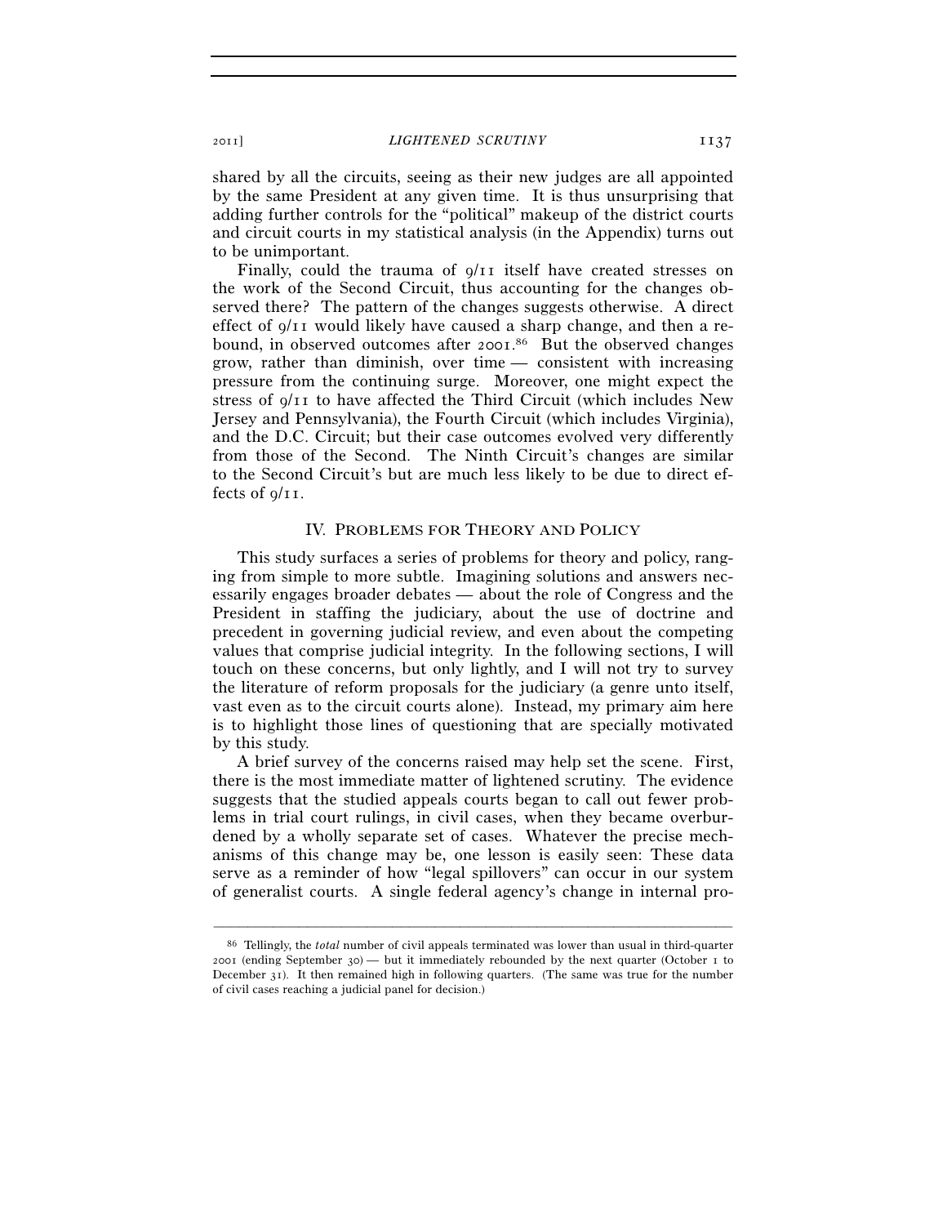shared by all the circuits, seeing as their new judges are all appointed by the same President at any given time. It is thus unsurprising that adding further controls for the "political" makeup of the district courts and circuit courts in my statistical analysis (in the Appendix) turns out to be unimportant.

Finally, could the trauma of 9/11 itself have created stresses on the work of the Second Circuit, thus accounting for the changes observed there? The pattern of the changes suggests otherwise. A direct effect of  $q/I$  would likely have caused a sharp change, and then a rebound, in observed outcomes after 2001. 86 But the observed changes grow, rather than diminish, over time — consistent with increasing pressure from the continuing surge. Moreover, one might expect the stress of 9/11 to have affected the Third Circuit (which includes New Jersey and Pennsylvania), the Fourth Circuit (which includes Virginia), and the D.C. Circuit; but their case outcomes evolved very differently from those of the Second. The Ninth Circuit's changes are similar to the Second Circuit's but are much less likely to be due to direct effects of 9/11.

#### IV. PROBLEMS FOR THEORY AND POLICY

This study surfaces a series of problems for theory and policy, ranging from simple to more subtle. Imagining solutions and answers necessarily engages broader debates — about the role of Congress and the President in staffing the judiciary, about the use of doctrine and precedent in governing judicial review, and even about the competing values that comprise judicial integrity. In the following sections, I will touch on these concerns, but only lightly, and I will not try to survey the literature of reform proposals for the judiciary (a genre unto itself, vast even as to the circuit courts alone). Instead, my primary aim here is to highlight those lines of questioning that are specially motivated by this study.

A brief survey of the concerns raised may help set the scene. First, there is the most immediate matter of lightened scrutiny. The evidence suggests that the studied appeals courts began to call out fewer problems in trial court rulings, in civil cases, when they became overburdened by a wholly separate set of cases. Whatever the precise mechanisms of this change may be, one lesson is easily seen: These data serve as a reminder of how "legal spillovers" can occur in our system of generalist courts. A single federal agency's change in internal pro-

<sup>86</sup> Tellingly, the *total* number of civil appeals terminated was lower than usual in third-quarter 2001 (ending September 30) — but it immediately rebounded by the next quarter (October 1 to December 31). It then remained high in following quarters. (The same was true for the number of civil cases reaching a judicial panel for decision.)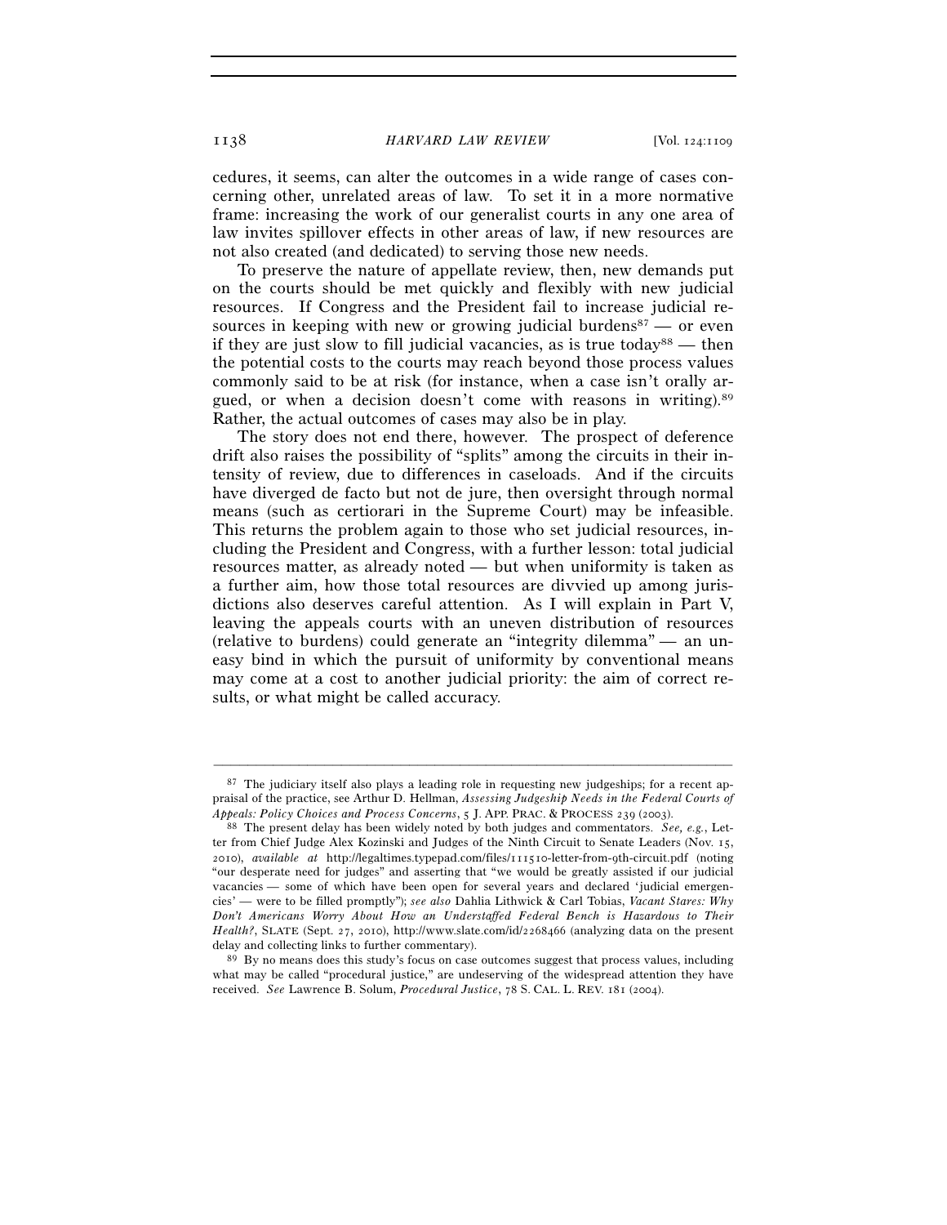1138 *HARVARD LAW REVIEW* [Vol. 124:1109

cedures, it seems, can alter the outcomes in a wide range of cases concerning other, unrelated areas of law. To set it in a more normative frame: increasing the work of our generalist courts in any one area of law invites spillover effects in other areas of law, if new resources are not also created (and dedicated) to serving those new needs.

To preserve the nature of appellate review, then, new demands put on the courts should be met quickly and flexibly with new judicial resources. If Congress and the President fail to increase judicial resources in keeping with new or growing judicial burdens<sup>87</sup> — or even if they are just slow to fill judicial vacancies, as is true today<sup>88</sup> — then the potential costs to the courts may reach beyond those process values commonly said to be at risk (for instance, when a case isn't orally argued, or when a decision doesn't come with reasons in writing).89 Rather, the actual outcomes of cases may also be in play.

The story does not end there, however. The prospect of deference drift also raises the possibility of "splits" among the circuits in their intensity of review, due to differences in caseloads. And if the circuits have diverged de facto but not de jure, then oversight through normal means (such as certiorari in the Supreme Court) may be infeasible. This returns the problem again to those who set judicial resources, including the President and Congress, with a further lesson: total judicial resources matter, as already noted — but when uniformity is taken as a further aim, how those total resources are divvied up among jurisdictions also deserves careful attention. As I will explain in Part V, leaving the appeals courts with an uneven distribution of resources (relative to burdens) could generate an "integrity dilemma" — an uneasy bind in which the pursuit of uniformity by conventional means may come at a cost to another judicial priority: the aim of correct results, or what might be called accuracy.

 $87$  The judiciary itself also plays a leading role in requesting new judgeships; for a recent appraisal of the practice, see Arthur D. Hellman, *Assessing Judgeship Needs in the Federal Courts of Appeals: Policy Choices and Process Concerns*, 5 J. APP. PRAC. & PROCESS <sup>239</sup> (2003). 88 The present delay has been widely noted by both judges and commentators. *See, e.g.*, Let-

ter from Chief Judge Alex Kozinski and Judges of the Ninth Circuit to Senate Leaders (Nov. 15, 2010), *available at* http://legaltimes.typepad.com/files/111510-letter-from-9th-circuit.pdf (noting "our desperate need for judges" and asserting that "we would be greatly assisted if our judicial vacancies — some of which have been open for several years and declared 'judicial emergencies' — were to be filled promptly"); *see also* Dahlia Lithwick & Carl Tobias, *Vacant Stares: Why Don't Americans Worry About How an Understaffed Federal Bench is Hazardous to Their Health?*, SLATE (Sept. 27, 2010), http://www.slate.com/id/2268466 (analyzing data on the present

delay and collecting links to further commentary).<br><sup>89</sup> By no means does this study's focus on case outcomes suggest that process values, including what may be called "procedural justice," are undeserving of the widespread attention they have received. *See* Lawrence B. Solum, *Procedural Justice*, 78 S. CAL. L. REV. 181 (2004).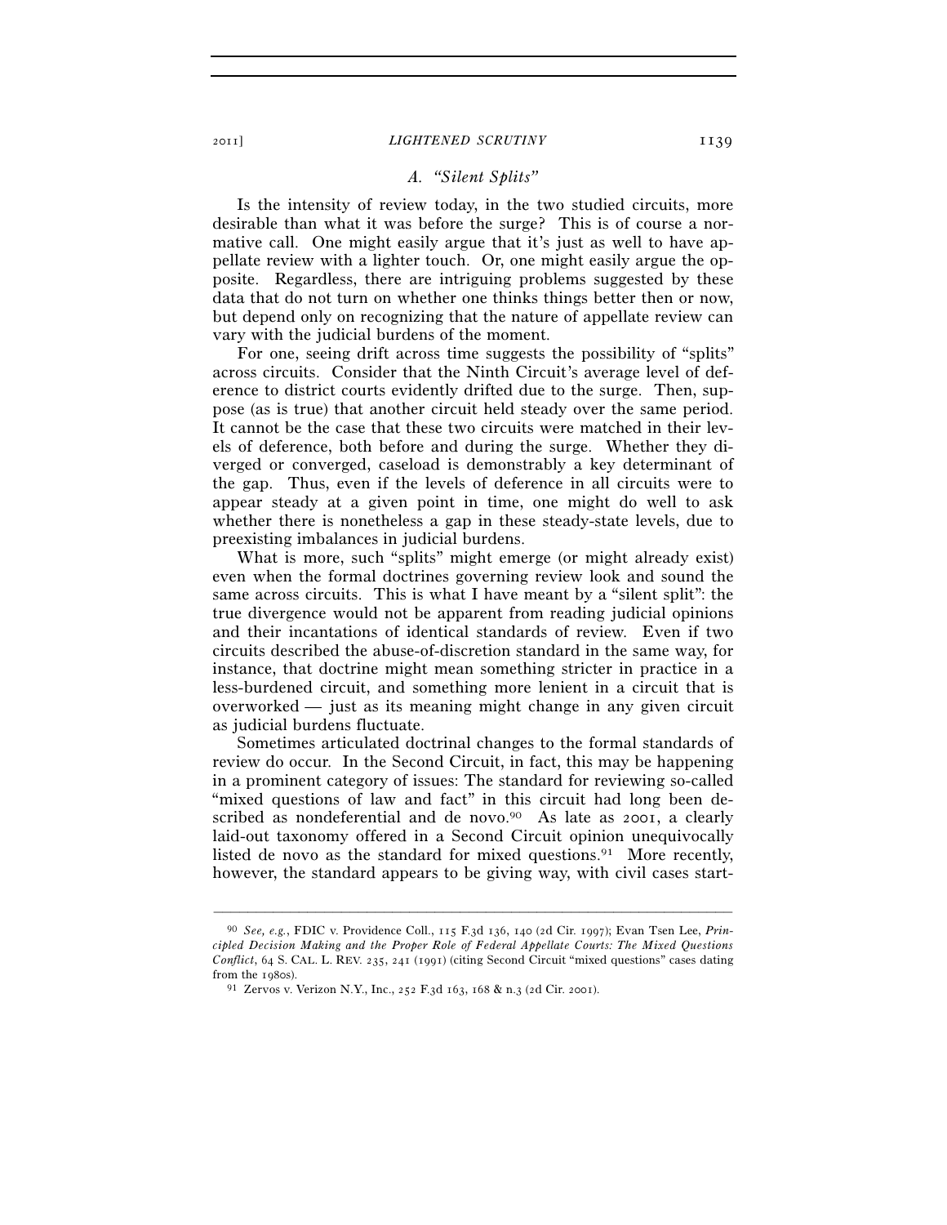#### 2011] *LIGHTENED SCRUTINY* 1139

#### *A. "Silent Splits"*

Is the intensity of review today, in the two studied circuits, more desirable than what it was before the surge? This is of course a normative call. One might easily argue that it's just as well to have appellate review with a lighter touch. Or, one might easily argue the opposite. Regardless, there are intriguing problems suggested by these data that do not turn on whether one thinks things better then or now, but depend only on recognizing that the nature of appellate review can vary with the judicial burdens of the moment.

For one, seeing drift across time suggests the possibility of "splits" across circuits. Consider that the Ninth Circuit's average level of deference to district courts evidently drifted due to the surge. Then, suppose (as is true) that another circuit held steady over the same period. It cannot be the case that these two circuits were matched in their levels of deference, both before and during the surge. Whether they diverged or converged, caseload is demonstrably a key determinant of the gap. Thus, even if the levels of deference in all circuits were to appear steady at a given point in time, one might do well to ask whether there is nonetheless a gap in these steady-state levels, due to preexisting imbalances in judicial burdens.

What is more, such "splits" might emerge (or might already exist) even when the formal doctrines governing review look and sound the same across circuits. This is what I have meant by a "silent split": the true divergence would not be apparent from reading judicial opinions and their incantations of identical standards of review. Even if two circuits described the abuse-of-discretion standard in the same way, for instance, that doctrine might mean something stricter in practice in a less-burdened circuit, and something more lenient in a circuit that is overworked — just as its meaning might change in any given circuit as judicial burdens fluctuate.

Sometimes articulated doctrinal changes to the formal standards of review do occur. In the Second Circuit, in fact, this may be happening in a prominent category of issues: The standard for reviewing so-called "mixed questions of law and fact" in this circuit had long been described as nondeferential and de novo.<sup>90</sup> As late as 2001, a clearly laid-out taxonomy offered in a Second Circuit opinion unequivocally listed de novo as the standard for mixed questions.<sup>91</sup> More recently, however, the standard appears to be giving way, with civil cases start-

<sup>90</sup> *See, e.g.*, FDIC v. Providence Coll., 115 F.3d 136, 140 (2d Cir. 1997); Evan Tsen Lee, *Principled Decision Making and the Proper Role of Federal Appellate Courts: The Mixed Questions Conflict*, 64 S. CAL. L. REV. 235, 241 (1991) (citing Second Circuit "mixed questions" cases dating from the 1980s). 91 Zervos v. Verizon N.Y., Inc., 252 F.3d 163, 168 & n.3 (2d Cir. 2001).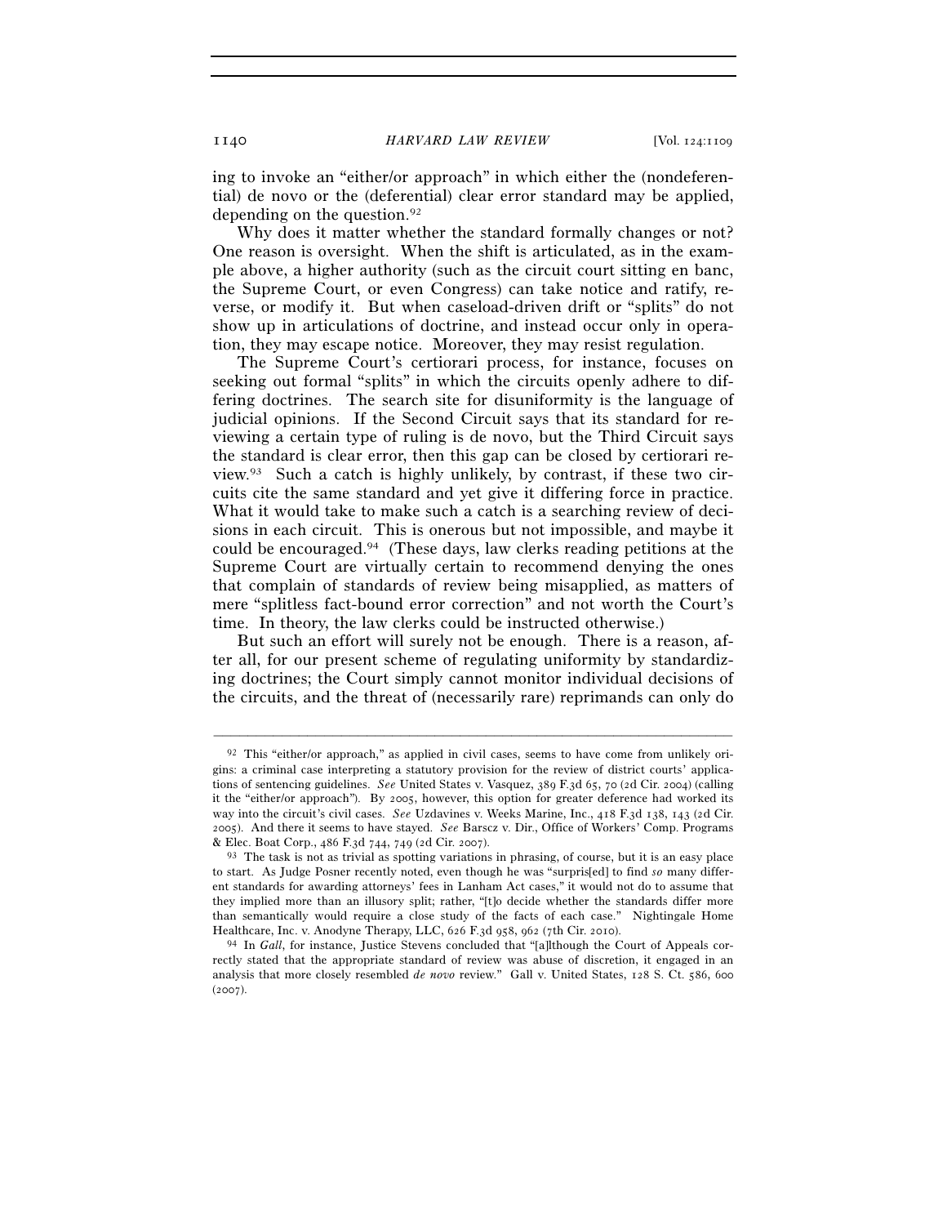ing to invoke an "either/or approach" in which either the (nondeferential) de novo or the (deferential) clear error standard may be applied, depending on the question.<sup>92</sup>

Why does it matter whether the standard formally changes or not? One reason is oversight. When the shift is articulated, as in the example above, a higher authority (such as the circuit court sitting en banc, the Supreme Court, or even Congress) can take notice and ratify, reverse, or modify it. But when caseload-driven drift or "splits" do not show up in articulations of doctrine, and instead occur only in operation, they may escape notice. Moreover, they may resist regulation.

The Supreme Court's certiorari process, for instance, focuses on seeking out formal "splits" in which the circuits openly adhere to differing doctrines. The search site for disuniformity is the language of judicial opinions. If the Second Circuit says that its standard for reviewing a certain type of ruling is de novo, but the Third Circuit says the standard is clear error, then this gap can be closed by certiorari review.93 Such a catch is highly unlikely, by contrast, if these two circuits cite the same standard and yet give it differing force in practice. What it would take to make such a catch is a searching review of decisions in each circuit. This is onerous but not impossible, and maybe it could be encouraged.94 (These days, law clerks reading petitions at the Supreme Court are virtually certain to recommend denying the ones that complain of standards of review being misapplied, as matters of mere "splitless fact-bound error correction" and not worth the Court's time. In theory, the law clerks could be instructed otherwise.)

But such an effort will surely not be enough. There is a reason, after all, for our present scheme of regulating uniformity by standardizing doctrines; the Court simply cannot monitor individual decisions of the circuits, and the threat of (necessarily rare) reprimands can only do

<sup>92</sup> This "either/or approach," as applied in civil cases, seems to have come from unlikely origins: a criminal case interpreting a statutory provision for the review of district courts' applications of sentencing guidelines. *See* United States v. Vasquez, 389 F.3d 65, 70 (2d Cir. 2004) (calling it the "either/or approach"). By 2005, however, this option for greater deference had worked its way into the circuit's civil cases. *See* Uzdavines v. Weeks Marine, Inc., 418 F.3d 138, 143 (2d Cir. 2005). And there it seems to have stayed. *See* Barscz v. Dir., Office of Workers' Comp. Programs & Elec. Boat Corp., 486 F.3d 744, 749 (2d Cir. 2007).<br><sup>93</sup> The task is not as trivial as spotting variations in phrasing, of course, but it is an easy place

to start. As Judge Posner recently noted, even though he was "surpris[ed] to find *so* many different standards for awarding attorneys' fees in Lanham Act cases," it would not do to assume that they implied more than an illusory split; rather, "[t]o decide whether the standards differ more than semantically would require a close study of the facts of each case." Nightingale Home Healthcare, Inc. v. Anodyne Therapy, LLC, 626 F.3d 958, 962 (7th Cir. 2010). 94 In *Gall*, for instance, Justice Stevens concluded that "[a]lthough the Court of Appeals cor-

rectly stated that the appropriate standard of review was abuse of discretion, it engaged in an analysis that more closely resembled *de novo* review." Gall v. United States, 128 S. Ct. 586, 600  $(2007)$ .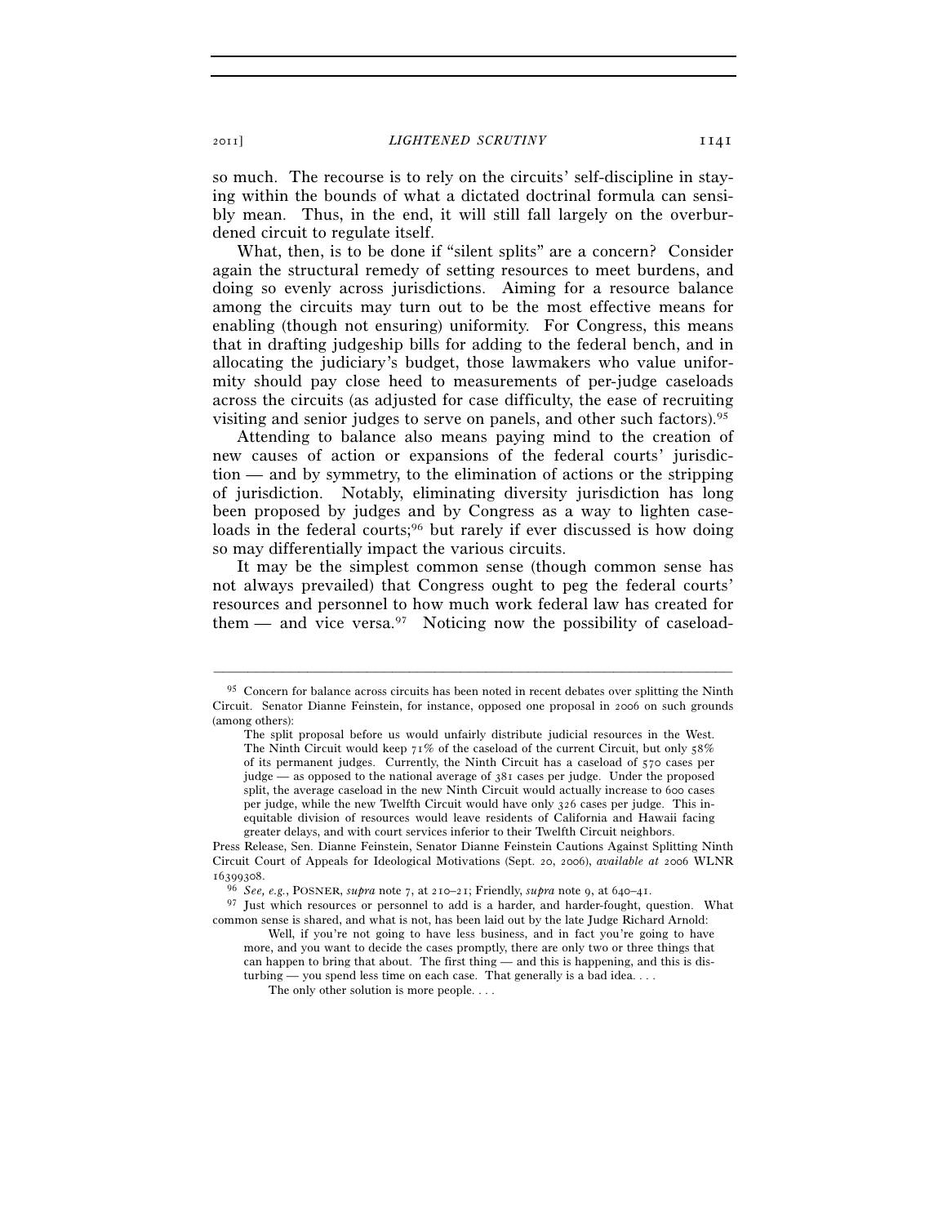so much. The recourse is to rely on the circuits' self-discipline in staying within the bounds of what a dictated doctrinal formula can sensibly mean. Thus, in the end, it will still fall largely on the overburdened circuit to regulate itself.

What, then, is to be done if "silent splits" are a concern? Consider again the structural remedy of setting resources to meet burdens, and doing so evenly across jurisdictions. Aiming for a resource balance among the circuits may turn out to be the most effective means for enabling (though not ensuring) uniformity. For Congress, this means that in drafting judgeship bills for adding to the federal bench, and in allocating the judiciary's budget, those lawmakers who value uniformity should pay close heed to measurements of per-judge caseloads across the circuits (as adjusted for case difficulty, the ease of recruiting visiting and senior judges to serve on panels, and other such factors).95

Attending to balance also means paying mind to the creation of new causes of action or expansions of the federal courts' jurisdiction — and by symmetry, to the elimination of actions or the stripping of jurisdiction. Notably, eliminating diversity jurisdiction has long been proposed by judges and by Congress as a way to lighten caseloads in the federal courts;<sup>96</sup> but rarely if ever discussed is how doing so may differentially impact the various circuits.

It may be the simplest common sense (though common sense has not always prevailed) that Congress ought to peg the federal courts' resources and personnel to how much work federal law has created for them — and vice versa.<sup>97</sup> Noticing now the possibility of caseload-

 $95$  Concern for balance across circuits has been noted in recent debates over splitting the Ninth Circuit. Senator Dianne Feinstein, for instance, opposed one proposal in 2006 on such grounds (among others):

The split proposal before us would unfairly distribute judicial resources in the West. The Ninth Circuit would keep  $71\%$  of the caseload of the current Circuit, but only  $58\%$ of its permanent judges. Currently, the Ninth Circuit has a caseload of 570 cases per judge — as opposed to the national average of 381 cases per judge. Under the proposed split, the average caseload in the new Ninth Circuit would actually increase to 600 cases per judge, while the new Twelfth Circuit would have only 326 cases per judge. This inequitable division of resources would leave residents of California and Hawaii facing greater delays, and with court services inferior to their Twelfth Circuit neighbors.

Press Release, Sen. Dianne Feinstein, Senator Dianne Feinstein Cautions Against Splitting Ninth Circuit Court of Appeals for Ideological Motivations (Sept. 20, 2006), *available at* 2006 WLNR

<sup>16399308</sup>. 96 *See, e.g.*, POSNER, *supra* note 7, at 210–21; Friendly, *supra* note 9, at 640–41. 97 Just which resources or personnel to add is a harder, and harder-fought, question. What common sense is shared, and what is not, has been laid out by the late Judge Richard Arnold:

Well, if you're not going to have less business, and in fact you're going to have more, and you want to decide the cases promptly, there are only two or three things that can happen to bring that about. The first thing — and this is happening, and this is disturbing — you spend less time on each case. That generally is a bad idea...

The only other solution is more people. . . .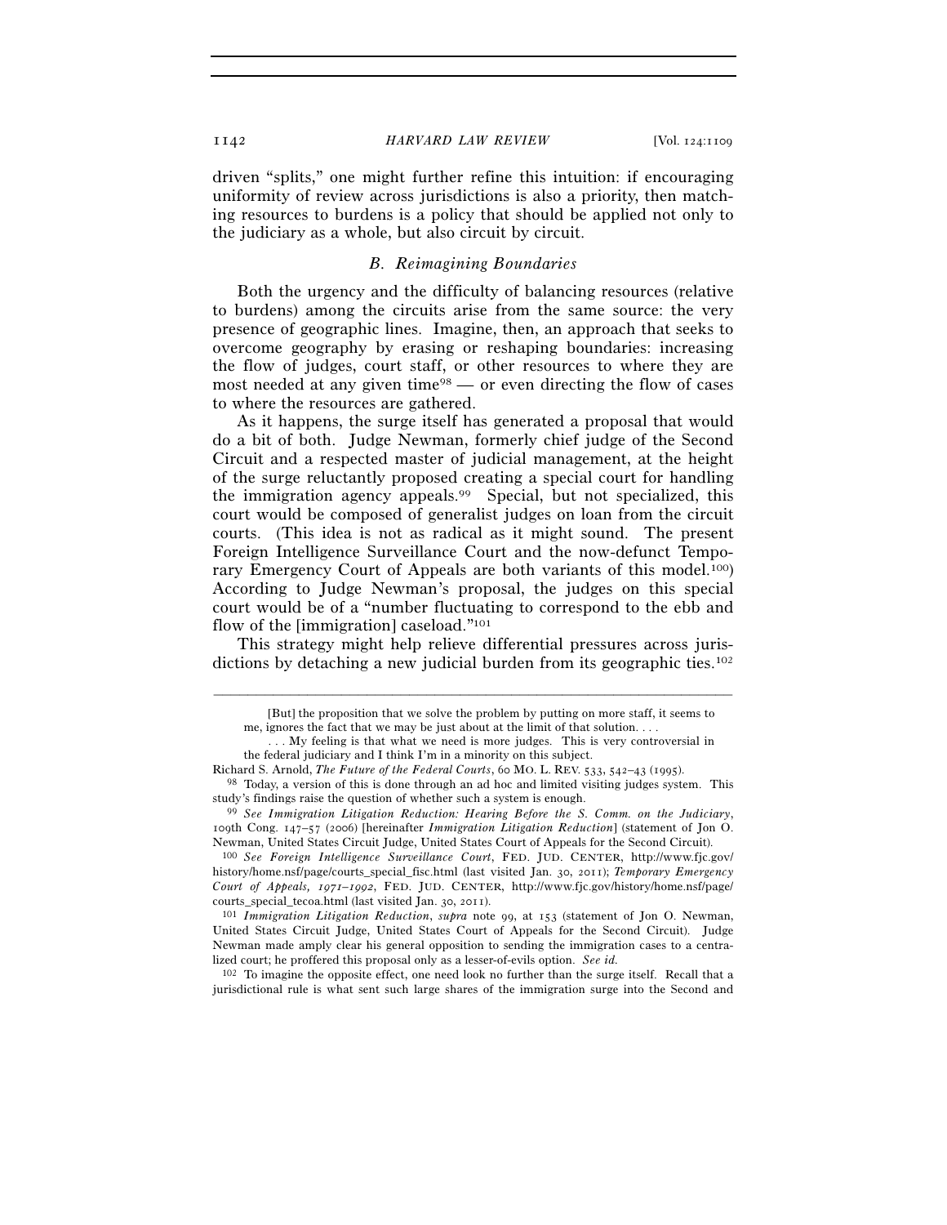#### 1142 *HARVARD LAW REVIEW* [Vol. 124:1109

driven "splits," one might further refine this intuition: if encouraging uniformity of review across jurisdictions is also a priority, then matching resources to burdens is a policy that should be applied not only to the judiciary as a whole, but also circuit by circuit.

# *B. Reimagining Boundaries*

Both the urgency and the difficulty of balancing resources (relative to burdens) among the circuits arise from the same source: the very presence of geographic lines. Imagine, then, an approach that seeks to overcome geography by erasing or reshaping boundaries: increasing the flow of judges, court staff, or other resources to where they are most needed at any given time<sup>98</sup> — or even directing the flow of cases to where the resources are gathered.

As it happens, the surge itself has generated a proposal that would do a bit of both. Judge Newman, formerly chief judge of the Second Circuit and a respected master of judicial management, at the height of the surge reluctantly proposed creating a special court for handling the immigration agency appeals.99 Special, but not specialized, this court would be composed of generalist judges on loan from the circuit courts. (This idea is not as radical as it might sound. The present Foreign Intelligence Surveillance Court and the now-defunct Temporary Emergency Court of Appeals are both variants of this model.100) According to Judge Newman's proposal, the judges on this special court would be of a "number fluctuating to correspond to the ebb and flow of the [immigration] caseload."101

This strategy might help relieve differential pressures across jurisdictions by detaching a new judicial burden from its geographic ties.<sup>102</sup>

–––––––––––––––––––––––––––––––––––––––––––––––––––––––––––––

102 To imagine the opposite effect, one need look no further than the surge itself. Recall that a jurisdictional rule is what sent such large shares of the immigration surge into the Second and

 <sup>[</sup>But] the proposition that we solve the problem by putting on more staff, it seems to me, ignores the fact that we may be just about at the limit of that solution. . . .

 <sup>. . .</sup> My feeling is that what we need is more judges. This is very controversial in the federal judiciary and I think I'm in a minority on this subject.

Richard S. Arnold, *The Future of the Federal Courts*, 60 MO. L. REV. 533, 542–43 (1995). 98 Today, a version of this is done through an ad hoc and limited visiting judges system. This study's findings raise the question of whether such a system is enough. 99 *See Immigration Litigation Reduction: Hearing Before the S. Comm. on the Judiciary*,

<sup>109</sup>th Cong. 147–57 (2006) [hereinafter *Immigration Litigation Reduction*] (statement of Jon O. Newman, United States Circuit Judge, United States Court of Appeals for the Second Circuit). 100 *See Foreign Intelligence Surveillance Court*, FED. JUD. CENTER, http://www.fjc.gov/

history/home.nsf/page/courts\_special\_fisc.html (last visited Jan. 30, 2011); *Temporary Emergency Court of Appeals, 1971–1992*, FED. JUD. CENTER, http://www.fjc.gov/history/home.nsf/page/ courts\_special\_tecoa.html (last visited Jan. 30, 2011). 101 *Immigration Litigation Reduction*, *supra* note 99, at 153 (statement of Jon O. Newman,

United States Circuit Judge, United States Court of Appeals for the Second Circuit). Judge Newman made amply clear his general opposition to sending the immigration cases to a centralized court; he proffered this proposal only as a lesser-of-evils option. *See id.*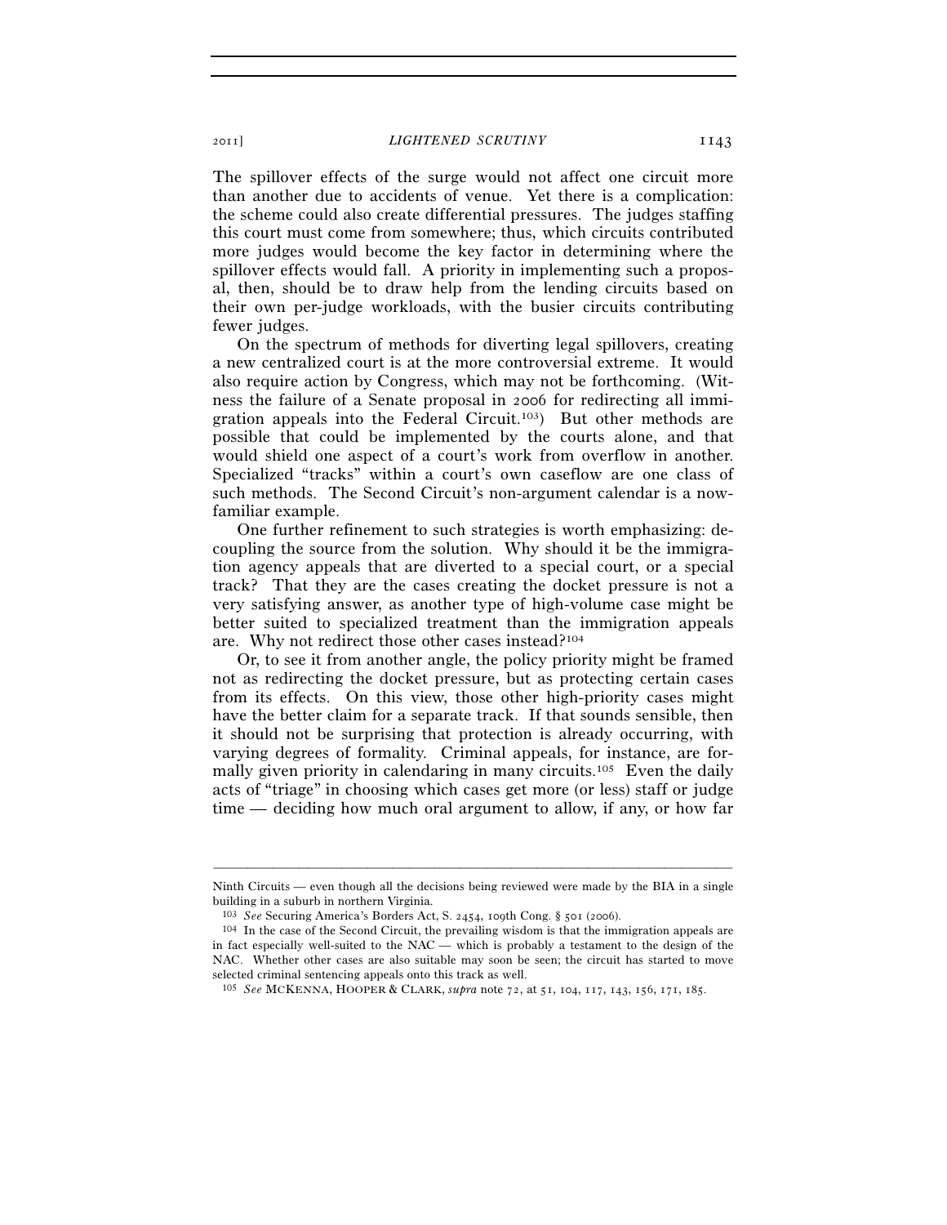2011] *LIGHTENED SCRUTINY* 1143

The spillover effects of the surge would not affect one circuit more than another due to accidents of venue. Yet there is a complication: the scheme could also create differential pressures. The judges staffing this court must come from somewhere; thus, which circuits contributed more judges would become the key factor in determining where the spillover effects would fall. A priority in implementing such a proposal, then, should be to draw help from the lending circuits based on their own per-judge workloads, with the busier circuits contributing fewer judges.

On the spectrum of methods for diverting legal spillovers, creating a new centralized court is at the more controversial extreme. It would also require action by Congress, which may not be forthcoming. (Witness the failure of a Senate proposal in 2006 for redirecting all immigration appeals into the Federal Circuit.103) But other methods are possible that could be implemented by the courts alone, and that would shield one aspect of a court's work from overflow in another. Specialized "tracks" within a court's own caseflow are one class of such methods. The Second Circuit's non-argument calendar is a nowfamiliar example.

One further refinement to such strategies is worth emphasizing: decoupling the source from the solution. Why should it be the immigration agency appeals that are diverted to a special court, or a special track? That they are the cases creating the docket pressure is not a very satisfying answer, as another type of high-volume case might be better suited to specialized treatment than the immigration appeals are. Why not redirect those other cases instead?104

Or, to see it from another angle, the policy priority might be framed not as redirecting the docket pressure, but as protecting certain cases from its effects. On this view, those other high-priority cases might have the better claim for a separate track. If that sounds sensible, then it should not be surprising that protection is already occurring, with varying degrees of formality. Criminal appeals, for instance, are formally given priority in calendaring in many circuits.<sup>105</sup> Even the daily acts of "triage" in choosing which cases get more (or less) staff or judge time — deciding how much oral argument to allow, if any, or how far

<sup>–––––––––––––––––––––––––––––––––––––––––––––––––––––––––––––</sup> Ninth Circuits — even though all the decisions being reviewed were made by the BIA in a single building in a suburb in northern Virginia.<br><sup>103</sup> See Securing America's Borders Act, S. 2454, 109th Cong. § 501 (2006).

<sup>&</sup>lt;sup>104</sup> In the case of the Second Circuit, the prevailing wisdom is that the immigration appeals are in fact especially well-suited to the NAC — which is probably a testament to the design of the NAC. Whether other cases are also suitable may soon be seen; the circuit has started to move selected criminal sentencing appeals onto this track as well.

<sup>105</sup> *See* MCKENNA, HOOPER & CLARK, *supra* note 72, at 51, 104, 117, 143, 156, 171, 185.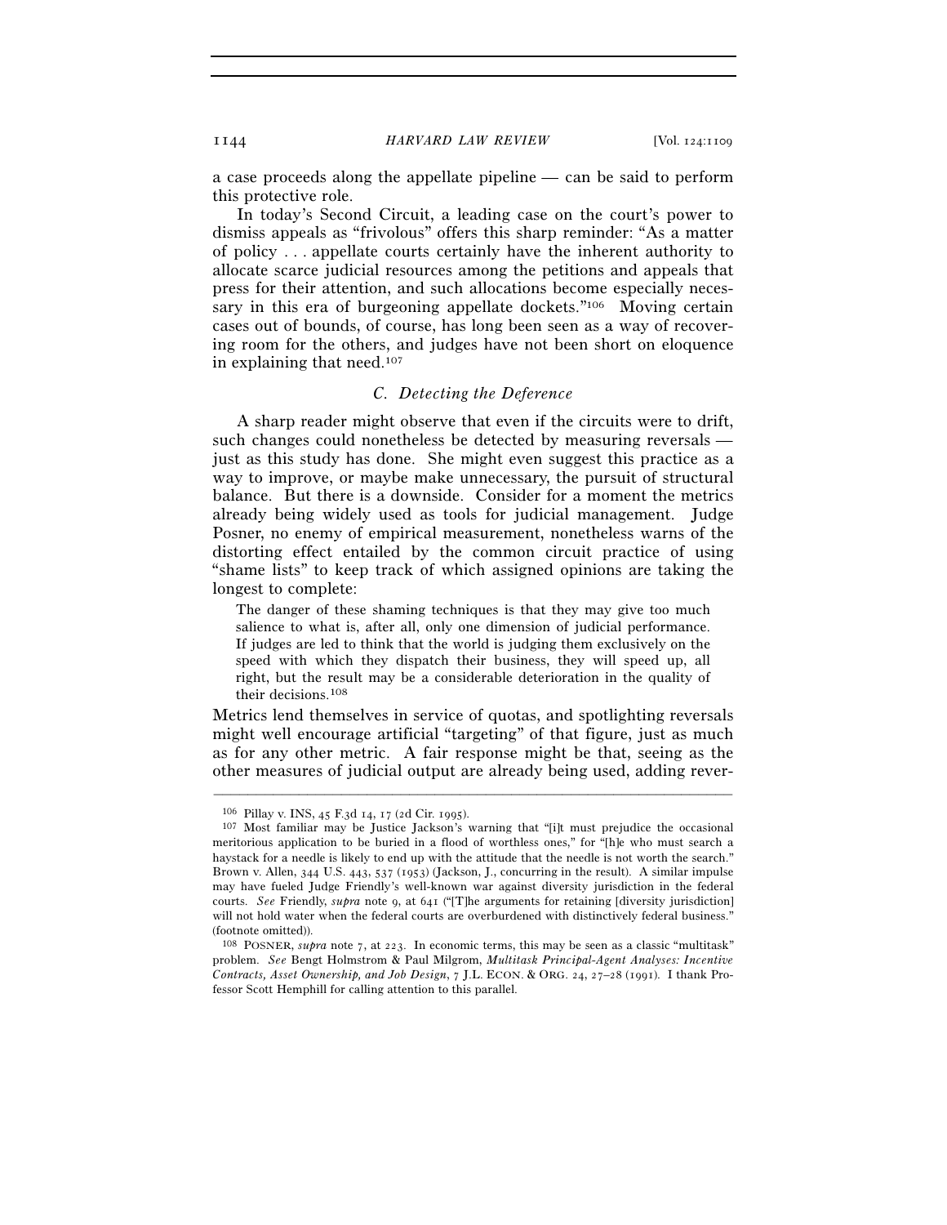a case proceeds along the appellate pipeline — can be said to perform this protective role.

In today's Second Circuit, a leading case on the court's power to dismiss appeals as "frivolous" offers this sharp reminder: "As a matter of policy . . . appellate courts certainly have the inherent authority to allocate scarce judicial resources among the petitions and appeals that press for their attention, and such allocations become especially necessary in this era of burgeoning appellate dockets."<sup>106</sup> Moving certain cases out of bounds, of course, has long been seen as a way of recovering room for the others, and judges have not been short on eloquence in explaining that need.107

# *C. Detecting the Deference*

A sharp reader might observe that even if the circuits were to drift, such changes could nonetheless be detected by measuring reversals just as this study has done. She might even suggest this practice as a way to improve, or maybe make unnecessary, the pursuit of structural balance. But there is a downside. Consider for a moment the metrics already being widely used as tools for judicial management. Judge Posner, no enemy of empirical measurement, nonetheless warns of the distorting effect entailed by the common circuit practice of using "shame lists" to keep track of which assigned opinions are taking the longest to complete:

The danger of these shaming techniques is that they may give too much salience to what is, after all, only one dimension of judicial performance. If judges are led to think that the world is judging them exclusively on the speed with which they dispatch their business, they will speed up, all right, but the result may be a considerable deterioration in the quality of their decisions.108

Metrics lend themselves in service of quotas, and spotlighting reversals might well encourage artificial "targeting" of that figure, just as much as for any other metric. A fair response might be that, seeing as the other measures of judicial output are already being used, adding rever-

<sup>&</sup>lt;sup>106</sup> Pillay v. INS, 45 F.3d 14, 17 (2d Cir. 1995). 107 Most familiar may be Justice Jackson's warning that "[i]t must prejudice the occasional meritorious application to be buried in a flood of worthless ones," for "[h]e who must search a haystack for a needle is likely to end up with the attitude that the needle is not worth the search." Brown v. Allen, 344 U.S. 443, 537 (1953) (Jackson, J., concurring in the result). A similar impulse may have fueled Judge Friendly's well-known war against diversity jurisdiction in the federal courts. *See* Friendly, *supra* note 9, at 641 ("[T]he arguments for retaining [diversity jurisdiction] will not hold water when the federal courts are overburdened with distinctively federal business.' (footnote omitted)).

<sup>108</sup> POSNER, *supra* note 7, at 223. In economic terms, this may be seen as a classic "multitask" problem. *See* Bengt Holmstrom & Paul Milgrom, *Multitask Principal-Agent Analyses: Incentive Contracts, Asset Ownership, and Job Design*, 7 J.L. ECON. & ORG. 24, 27–28 (1991). I thank Professor Scott Hemphill for calling attention to this parallel.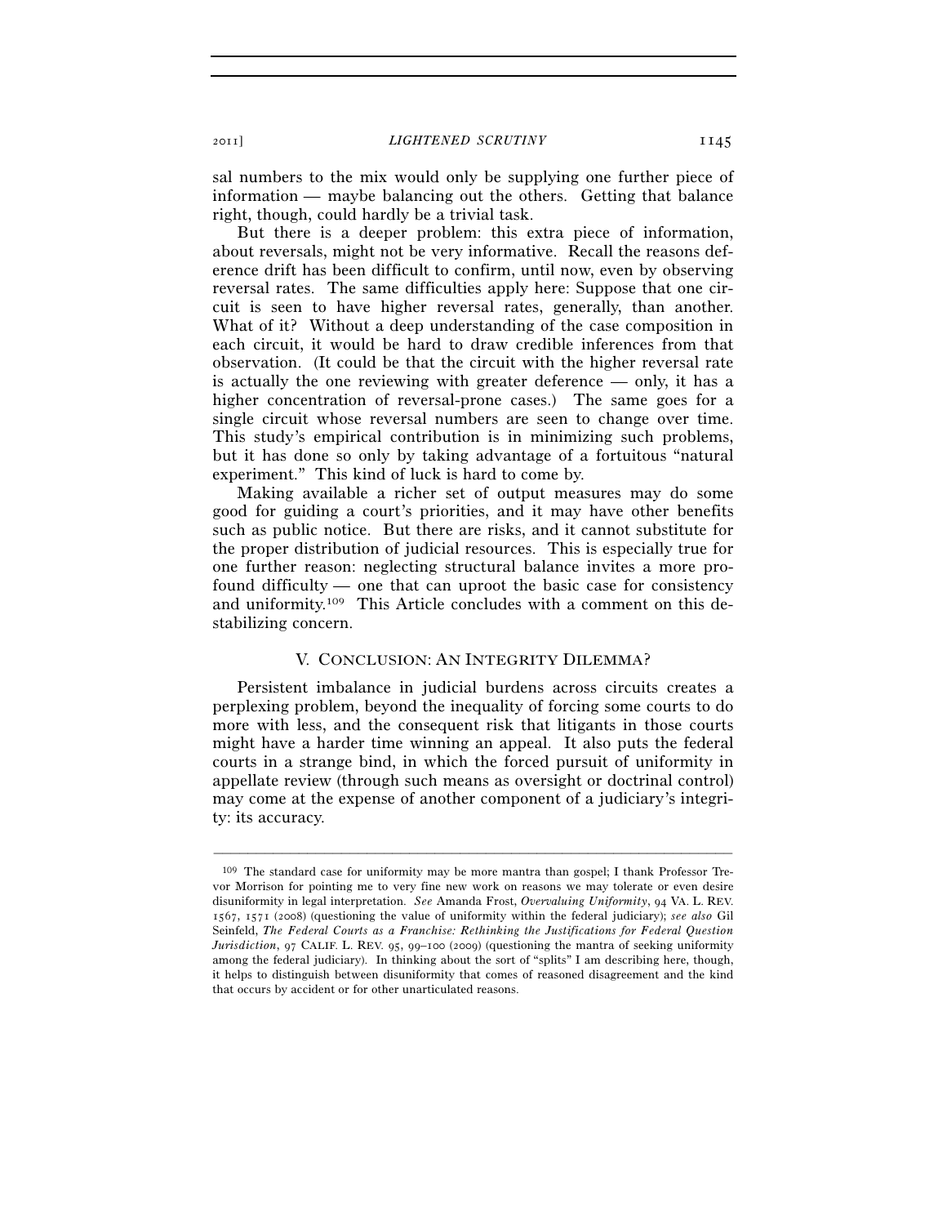sal numbers to the mix would only be supplying one further piece of information — maybe balancing out the others. Getting that balance right, though, could hardly be a trivial task.

But there is a deeper problem: this extra piece of information, about reversals, might not be very informative. Recall the reasons deference drift has been difficult to confirm, until now, even by observing reversal rates. The same difficulties apply here: Suppose that one circuit is seen to have higher reversal rates, generally, than another. What of it? Without a deep understanding of the case composition in each circuit, it would be hard to draw credible inferences from that observation. (It could be that the circuit with the higher reversal rate is actually the one reviewing with greater deference — only, it has a higher concentration of reversal-prone cases.) The same goes for a single circuit whose reversal numbers are seen to change over time. This study's empirical contribution is in minimizing such problems, but it has done so only by taking advantage of a fortuitous "natural experiment." This kind of luck is hard to come by.

Making available a richer set of output measures may do some good for guiding a court's priorities, and it may have other benefits such as public notice. But there are risks, and it cannot substitute for the proper distribution of judicial resources. This is especially true for one further reason: neglecting structural balance invites a more profound difficulty — one that can uproot the basic case for consistency and uniformity.109 This Article concludes with a comment on this destabilizing concern.

## V. CONCLUSION: AN INTEGRITY DILEMMA?

Persistent imbalance in judicial burdens across circuits creates a perplexing problem, beyond the inequality of forcing some courts to do more with less, and the consequent risk that litigants in those courts might have a harder time winning an appeal. It also puts the federal courts in a strange bind, in which the forced pursuit of uniformity in appellate review (through such means as oversight or doctrinal control) may come at the expense of another component of a judiciary's integrity: its accuracy.

<sup>109</sup> The standard case for uniformity may be more mantra than gospel; I thank Professor Trevor Morrison for pointing me to very fine new work on reasons we may tolerate or even desire disuniformity in legal interpretation. *See* Amanda Frost, *Overvaluing Uniformity*, 94 VA. L. REV. 1567, 1571 (2008) (questioning the value of uniformity within the federal judiciary); *see also* Gil Seinfeld, *The Federal Courts as a Franchise: Rethinking the Justifications for Federal Question Jurisdiction*, 97 CALIF. L. REV. 95, 99–100 (2009) (questioning the mantra of seeking uniformity among the federal judiciary). In thinking about the sort of "splits" I am describing here, though, it helps to distinguish between disuniformity that comes of reasoned disagreement and the kind that occurs by accident or for other unarticulated reasons.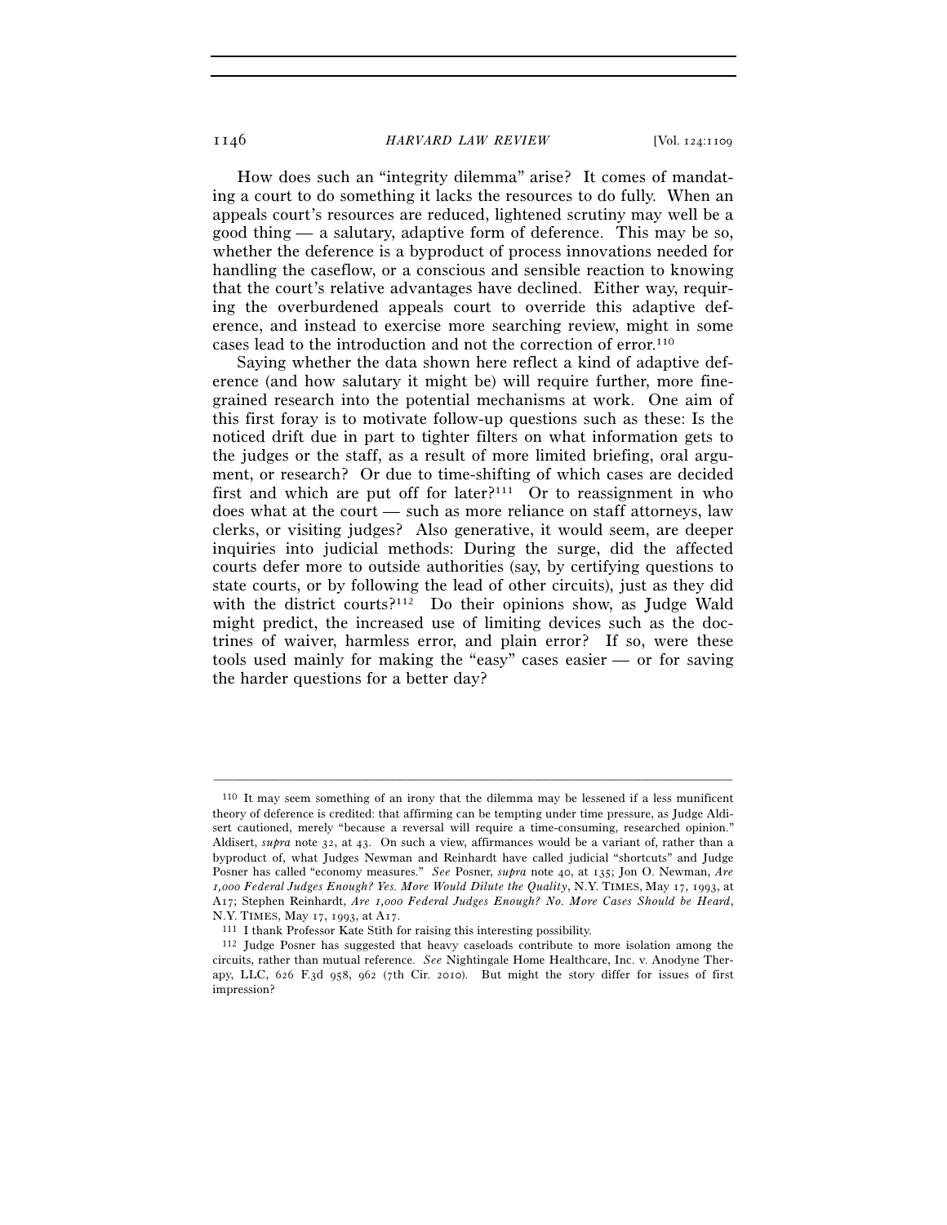1146 *HARVARD LAW REVIEW* [Vol. 124:1109

How does such an "integrity dilemma" arise? It comes of mandating a court to do something it lacks the resources to do fully. When an appeals court's resources are reduced, lightened scrutiny may well be a good thing — a salutary, adaptive form of deference. This may be so, whether the deference is a byproduct of process innovations needed for handling the caseflow, or a conscious and sensible reaction to knowing that the court's relative advantages have declined. Either way, requiring the overburdened appeals court to override this adaptive deference, and instead to exercise more searching review, might in some cases lead to the introduction and not the correction of error.110

Saying whether the data shown here reflect a kind of adaptive deference (and how salutary it might be) will require further, more finegrained research into the potential mechanisms at work. One aim of this first foray is to motivate follow-up questions such as these: Is the noticed drift due in part to tighter filters on what information gets to the judges or the staff, as a result of more limited briefing, oral argument, or research? Or due to time-shifting of which cases are decided first and which are put off for later? $111$  Or to reassignment in who does what at the court — such as more reliance on staff attorneys, law clerks, or visiting judges? Also generative, it would seem, are deeper inquiries into judicial methods: During the surge, did the affected courts defer more to outside authorities (say, by certifying questions to state courts, or by following the lead of other circuits), just as they did with the district courts?<sup>112</sup> Do their opinions show, as Judge Wald might predict, the increased use of limiting devices such as the doctrines of waiver, harmless error, and plain error? If so, were these tools used mainly for making the "easy" cases easier — or for saving the harder questions for a better day?

<sup>110</sup> It may seem something of an irony that the dilemma may be lessened if a less munificent theory of deference is credited: that affirming can be tempting under time pressure, as Judge Aldisert cautioned, merely "because a reversal will require a time-consuming, researched opinion." Aldisert, *supra* note 32, at 43. On such a view, affirmances would be a variant of, rather than a byproduct of, what Judges Newman and Reinhardt have called judicial "shortcuts" and Judge Posner has called "economy measures." *See* Posner, *supra* note 40, at 135; Jon O. Newman, *Are 1,000 Federal Judges Enough? Yes. More Would Dilute the Quality*, N.Y. TIMES, May 17, 1993, at A17; Stephen Reinhardt, *Are 1,000 Federal Judges Enough? No. More Cases Should be Heard*,

<sup>&</sup>lt;sup>111</sup> I thank Professor Kate Stith for raising this interesting possibility.<br><sup>112</sup> Judge Posner has suggested that heavy caseloads contribute to more isolation among the circuits, rather than mutual reference. *See* Nightingale Home Healthcare, Inc. v. Anodyne Therapy, LLC, 626 F.3d 958, 962 (7th Cir. 2010). But might the story differ for issues of first impression?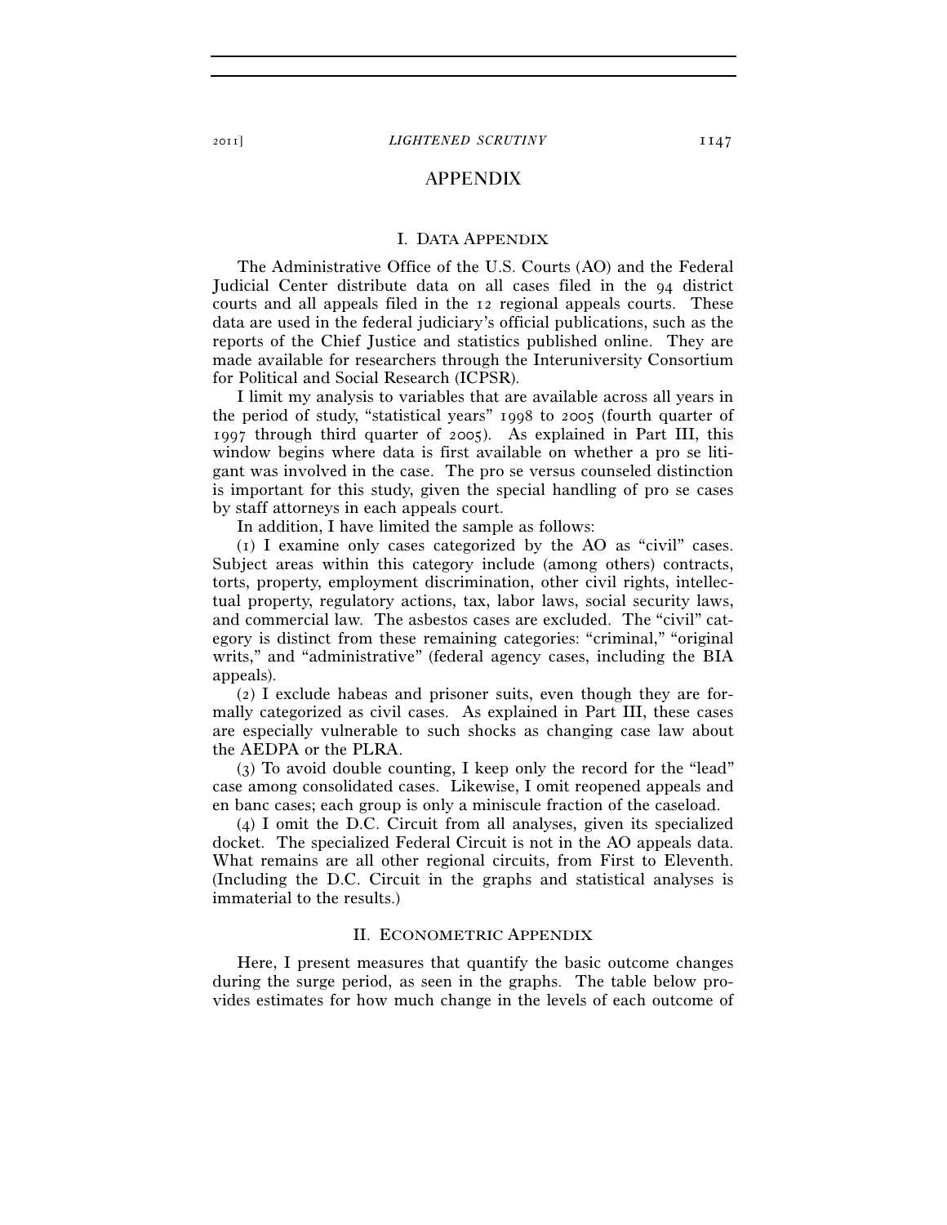# APPENDIX

#### I. DATA APPENDIX

The Administrative Office of the U.S. Courts (AO) and the Federal Judicial Center distribute data on all cases filed in the 94 district courts and all appeals filed in the 12 regional appeals courts. These data are used in the federal judiciary's official publications, such as the reports of the Chief Justice and statistics published online. They are made available for researchers through the Interuniversity Consortium for Political and Social Research (ICPSR).

I limit my analysis to variables that are available across all years in the period of study, "statistical years" 1998 to 2005 (fourth quarter of 1997 through third quarter of 2005). As explained in Part III, this window begins where data is first available on whether a pro se litigant was involved in the case. The pro se versus counseled distinction is important for this study, given the special handling of pro se cases by staff attorneys in each appeals court.

In addition, I have limited the sample as follows:

(1) I examine only cases categorized by the AO as "civil" cases. Subject areas within this category include (among others) contracts, torts, property, employment discrimination, other civil rights, intellectual property, regulatory actions, tax, labor laws, social security laws, and commercial law. The asbestos cases are excluded. The "civil" category is distinct from these remaining categories: "criminal," "original writs," and "administrative" (federal agency cases, including the BIA appeals).

(2) I exclude habeas and prisoner suits, even though they are formally categorized as civil cases. As explained in Part III, these cases are especially vulnerable to such shocks as changing case law about the AEDPA or the PLRA.

(3) To avoid double counting, I keep only the record for the "lead" case among consolidated cases. Likewise, I omit reopened appeals and en banc cases; each group is only a miniscule fraction of the caseload.

(4) I omit the D.C. Circuit from all analyses, given its specialized docket. The specialized Federal Circuit is not in the AO appeals data. What remains are all other regional circuits, from First to Eleventh. (Including the D.C. Circuit in the graphs and statistical analyses is immaterial to the results.)

# II. ECONOMETRIC APPENDIX

Here, I present measures that quantify the basic outcome changes during the surge period, as seen in the graphs. The table below provides estimates for how much change in the levels of each outcome of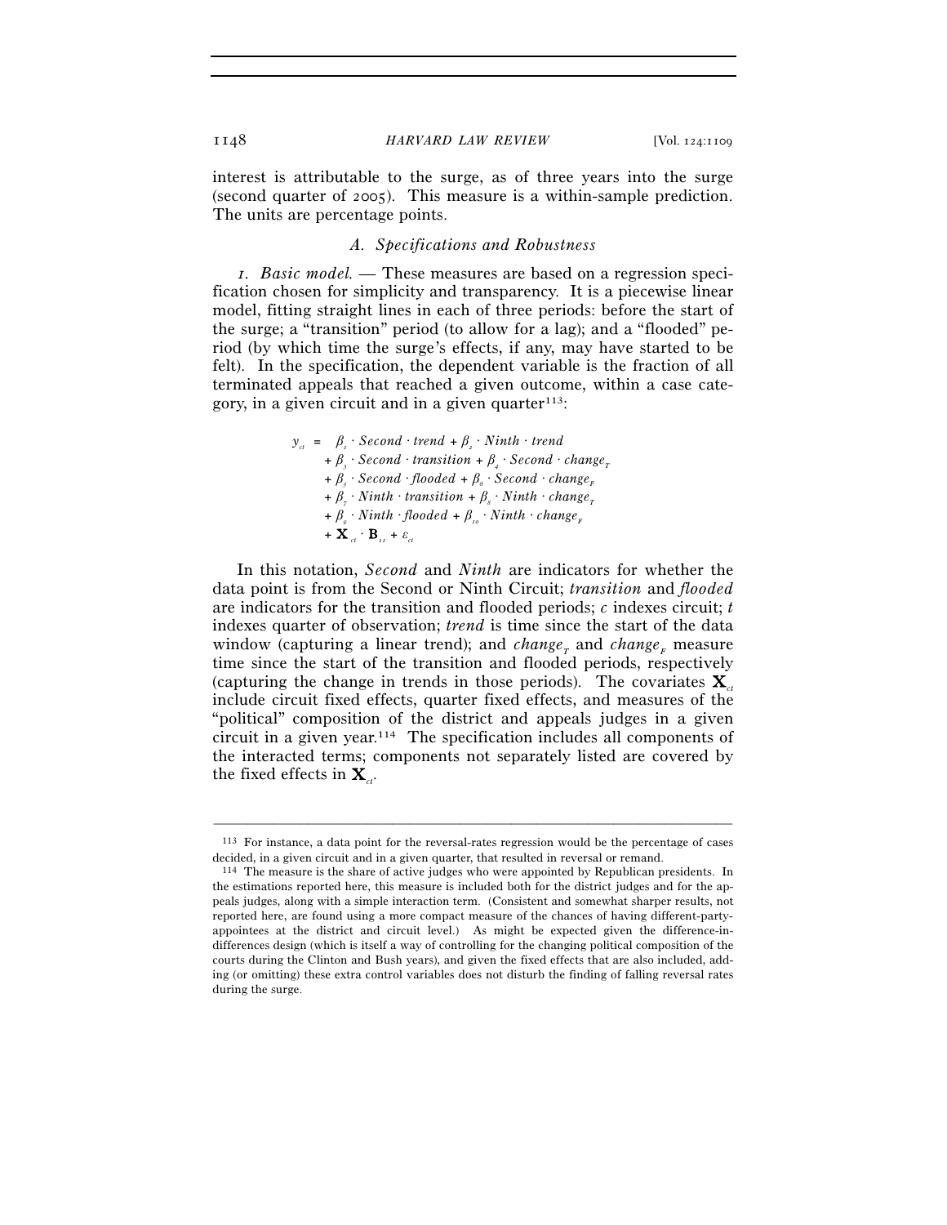interest is attributable to the surge, as of three years into the surge (second quarter of 2005). This measure is a within-sample prediction. The units are percentage points.

# *A. Specifications and Robustness*

*1. Basic model.* — These measures are based on a regression specification chosen for simplicity and transparency. It is a piecewise linear model, fitting straight lines in each of three periods: before the start of the surge; a "transition" period (to allow for a lag); and a "flooded" period (by which time the surge's effects, if any, may have started to be felt). In the specification, the dependent variable is the fraction of all terminated appeals that reached a given outcome, within a case category, in a given circuit and in a given quarter $113$ :

$$
y_{\alpha} = \beta_{i} \cdot Second \cdot trend + \beta_{i} \cdot Ninth \cdot trend
$$
  
+  $\beta_{j} \cdot Second \cdot transition + \beta_{i} \cdot Second \cdot change_{r}$   
+  $\beta_{j} \cdot Second \cdot flooded + \beta_{\delta} \cdot Second \cdot change_{r}$   
+  $\beta_{j} \cdot Ninth \cdot transition + \beta_{s} \cdot Ninth \cdot change_{r}$   
+  $\beta_{\phi} \cdot Ninth \cdot flooded + \beta_{i\phi} \cdot Ninth \cdot change_{r}$   
+  $\mathbf{X}_{\alpha} \cdot \mathbf{B}_{i\alpha} + \varepsilon_{\alpha}$ 

In this notation, *Second* and *Ninth* are indicators for whether the data point is from the Second or Ninth Circuit; *transition* and *flooded* are indicators for the transition and flooded periods; *c* indexes circuit; *t* indexes quarter of observation; *trend* is time since the start of the data window (capturing a linear trend); and *change<sub>r</sub>* and *change<sub>F</sub>* measure time since the start of the transition and flooded periods, respectively (capturing the change in trends in those periods). The covariates  $\mathbf{X}_{at}$ include circuit fixed effects, quarter fixed effects, and measures of the "political" composition of the district and appeals judges in a given circuit in a given year.114 The specification includes all components of the interacted terms; components not separately listed are covered by the fixed effects in  $\mathbf{X}_{a}$ .

<sup>–––––––––––––––––––––––––––––––––––––––––––––––––––––––––––––</sup> 113 For instance, a data point for the reversal-rates regression would be the percentage of cases decided, in a given circuit and in a given quarter, that resulted in reversal or remand.

<sup>114</sup> The measure is the share of active judges who were appointed by Republican presidents. In the estimations reported here, this measure is included both for the district judges and for the appeals judges, along with a simple interaction term. (Consistent and somewhat sharper results, not reported here, are found using a more compact measure of the chances of having different-partyappointees at the district and circuit level.) As might be expected given the difference-indifferences design (which is itself a way of controlling for the changing political composition of the courts during the Clinton and Bush years), and given the fixed effects that are also included, adding (or omitting) these extra control variables does not disturb the finding of falling reversal rates during the surge.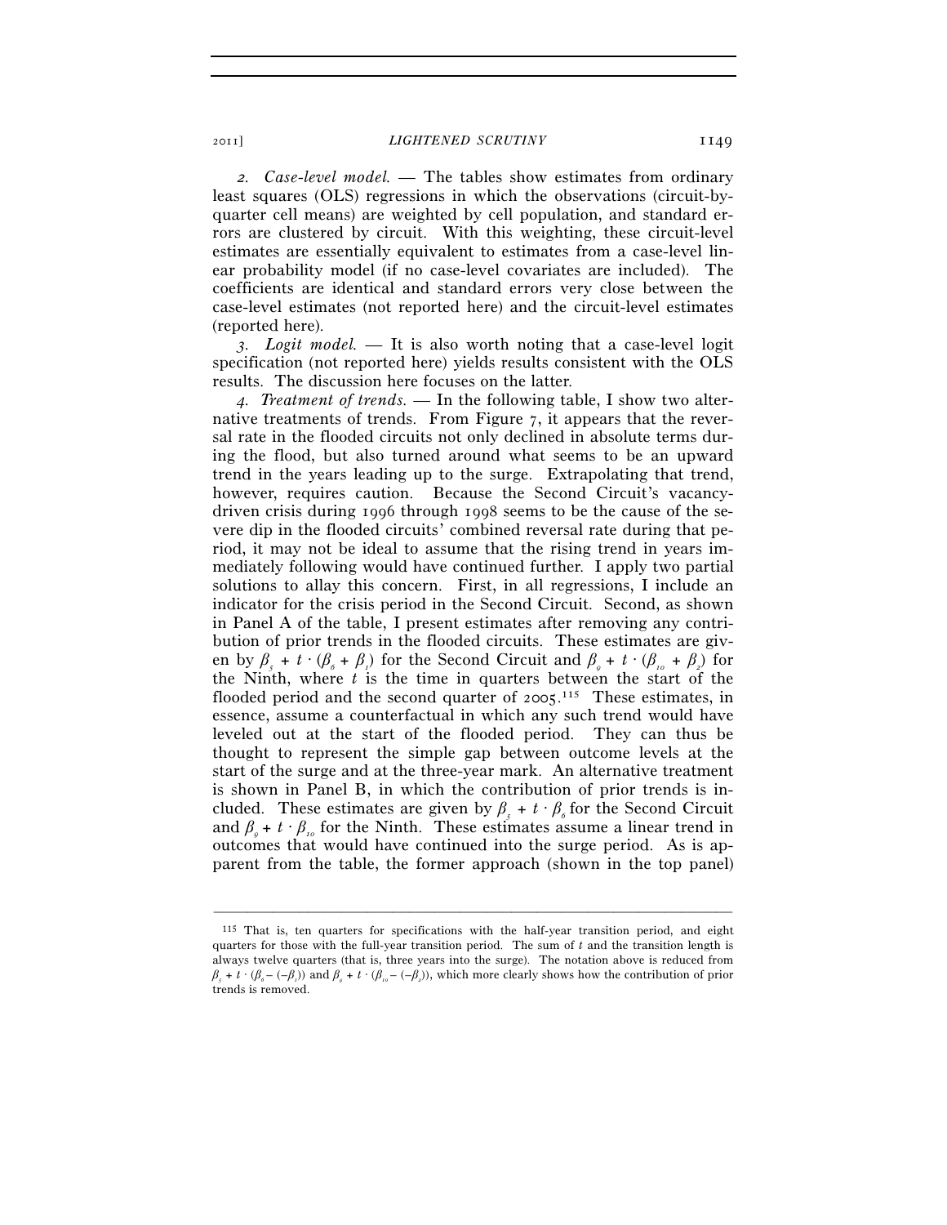*2. Case-level model.* — The tables show estimates from ordinary least squares (OLS) regressions in which the observations (circuit-byquarter cell means) are weighted by cell population, and standard errors are clustered by circuit. With this weighting, these circuit-level estimates are essentially equivalent to estimates from a case-level linear probability model (if no case-level covariates are included). The coefficients are identical and standard errors very close between the case-level estimates (not reported here) and the circuit-level estimates (reported here).

*3. Logit model.* — It is also worth noting that a case-level logit specification (not reported here) yields results consistent with the OLS results. The discussion here focuses on the latter.

*4. Treatment of trends.* — In the following table, I show two alternative treatments of trends. From Figure 7, it appears that the reversal rate in the flooded circuits not only declined in absolute terms during the flood, but also turned around what seems to be an upward trend in the years leading up to the surge. Extrapolating that trend, however, requires caution. Because the Second Circuit's vacancydriven crisis during 1996 through 1998 seems to be the cause of the severe dip in the flooded circuits' combined reversal rate during that period, it may not be ideal to assume that the rising trend in years immediately following would have continued further. I apply two partial solutions to allay this concern. First, in all regressions, I include an indicator for the crisis period in the Second Circuit. Second, as shown in Panel A of the table, I present estimates after removing any contribution of prior trends in the flooded circuits. These estimates are given by  $\beta_s + t \cdot (\beta_s + \beta_t)$  for the Second Circuit and  $\beta_s + t \cdot (\beta_{10} + \beta_2)$  for the Ninth, where *t* is the time in quarters between the start of the flooded period and the second quarter of 2005.<sup>115</sup> These estimates, in essence, assume a counterfactual in which any such trend would have leveled out at the start of the flooded period. They can thus be thought to represent the simple gap between outcome levels at the start of the surge and at the three-year mark. An alternative treatment is shown in Panel B, in which the contribution of prior trends is included. These estimates are given by  $\beta_s + t \cdot \beta_s$  for the Second Circuit and  $\beta_{0} + t \cdot \beta_{0}$  for the Ninth. These estimates assume a linear trend in outcomes that would have continued into the surge period. As is apparent from the table, the former approach (shown in the top panel)

<sup>115</sup> That is, ten quarters for specifications with the half-year transition period, and eight quarters for those with the full-year transition period. The sum of *t* and the transition length is always twelve quarters (that is, three years into the surge). The notation above is reduced from  $\beta_s + t \cdot (\beta_s - (-\beta_s))$  and  $\beta_s + t \cdot (\beta_s - (-\beta_s))$ , which more clearly shows how the contribution of prior trends is removed.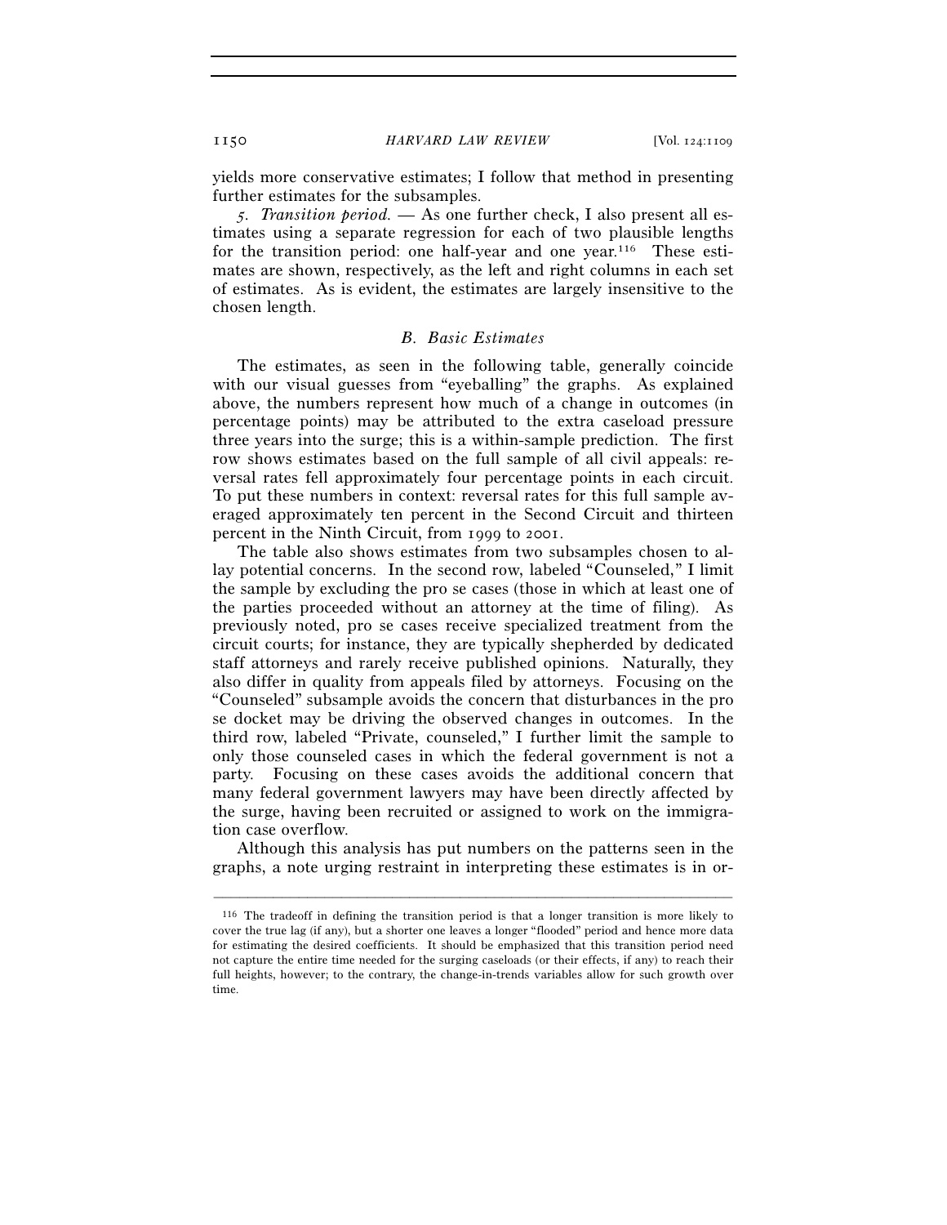yields more conservative estimates; I follow that method in presenting further estimates for the subsamples.

*5. Transition period.* — As one further check, I also present all estimates using a separate regression for each of two plausible lengths for the transition period: one half-year and one year.116 These estimates are shown, respectively, as the left and right columns in each set of estimates. As is evident, the estimates are largely insensitive to the chosen length.

#### *B. Basic Estimates*

The estimates, as seen in the following table, generally coincide with our visual guesses from "eyeballing" the graphs. As explained above, the numbers represent how much of a change in outcomes (in percentage points) may be attributed to the extra caseload pressure three years into the surge; this is a within-sample prediction. The first row shows estimates based on the full sample of all civil appeals: reversal rates fell approximately four percentage points in each circuit. To put these numbers in context: reversal rates for this full sample averaged approximately ten percent in the Second Circuit and thirteen percent in the Ninth Circuit, from 1999 to 2001.

The table also shows estimates from two subsamples chosen to allay potential concerns. In the second row, labeled "Counseled," I limit the sample by excluding the pro se cases (those in which at least one of the parties proceeded without an attorney at the time of filing). As previously noted, pro se cases receive specialized treatment from the circuit courts; for instance, they are typically shepherded by dedicated staff attorneys and rarely receive published opinions. Naturally, they also differ in quality from appeals filed by attorneys. Focusing on the "Counseled" subsample avoids the concern that disturbances in the pro se docket may be driving the observed changes in outcomes. In the third row, labeled "Private, counseled," I further limit the sample to only those counseled cases in which the federal government is not a party. Focusing on these cases avoids the additional concern that many federal government lawyers may have been directly affected by the surge, having been recruited or assigned to work on the immigration case overflow.

Although this analysis has put numbers on the patterns seen in the graphs, a note urging restraint in interpreting these estimates is in or-

<sup>116</sup> The tradeoff in defining the transition period is that a longer transition is more likely to cover the true lag (if any), but a shorter one leaves a longer "flooded" period and hence more data for estimating the desired coefficients. It should be emphasized that this transition period need not capture the entire time needed for the surging caseloads (or their effects, if any) to reach their full heights, however; to the contrary, the change-in-trends variables allow for such growth over time.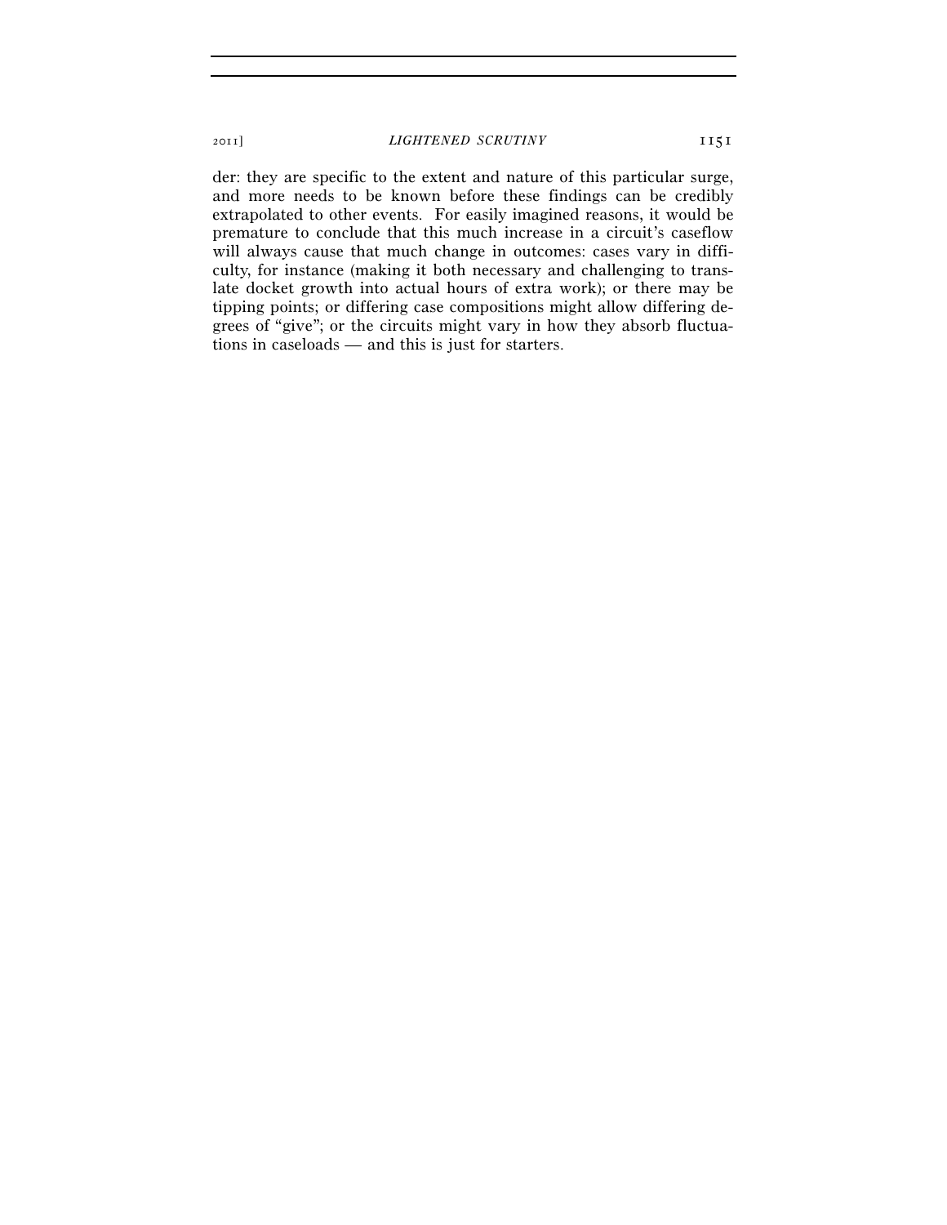der: they are specific to the extent and nature of this particular surge, and more needs to be known before these findings can be credibly extrapolated to other events. For easily imagined reasons, it would be premature to conclude that this much increase in a circuit's caseflow will always cause that much change in outcomes: cases vary in difficulty, for instance (making it both necessary and challenging to translate docket growth into actual hours of extra work); or there may be tipping points; or differing case compositions might allow differing degrees of "give"; or the circuits might vary in how they absorb fluctuations in caseloads — and this is just for starters.